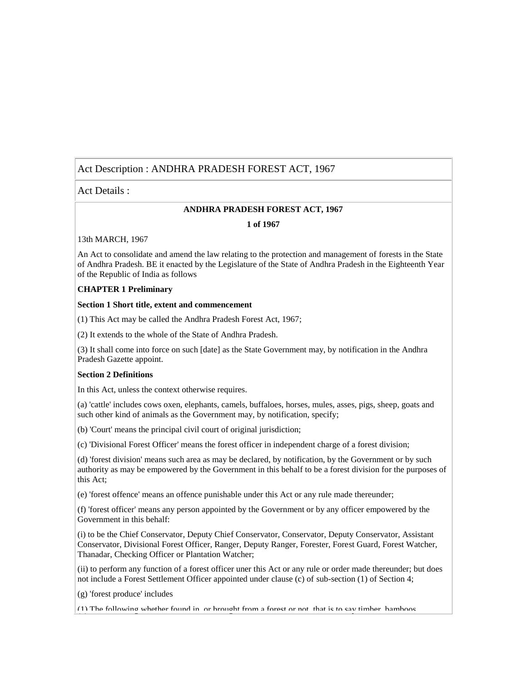# Act Description : ANDHRA PRADESH FOREST ACT, 1967

Act Details :

#### **ANDHRA PRADESH FOREST ACT, 1967**

#### **1 of 1967**

### 13th MARCH, 1967

An Act to consolidate and amend the law relating to the protection and management of forests in the State of Andhra Pradesh. BE it enacted by the Legislature of the State of Andhra Pradesh in the Eighteenth Year of the Republic of India as follows

### **CHAPTER 1 Preliminary**

#### **Section 1 Short title, extent and commencement**

(1) This Act may be called the Andhra Pradesh Forest Act, 1967;

(2) It extends to the whole of the State of Andhra Pradesh.

(3) It shall come into force on such [date] as the State Government may, by notification in the Andhra Pradesh Gazette appoint.

#### **Section 2 Definitions**

In this Act, unless the context otherwise requires.

(a) 'cattle' includes cows oxen, elephants, camels, buffaloes, horses, mules, asses, pigs, sheep, goats and such other kind of animals as the Government may, by notification, specify;

(b) 'Court' means the principal civil court of original jurisdiction;

(c) 'Divisional Forest Officer' means the forest officer in independent charge of a forest division;

(d) 'forest division' means such area as may be declared, by notification, by the Government or by such authority as may be empowered by the Government in this behalf to be a forest division for the purposes of this Act;

(e) 'forest offence' means an offence punishable under this Act or any rule made thereunder;

(f) 'forest officer' means any person appointed by the Government or by any officer empowered by the Government in this behalf:

(i) to be the Chief Conservator, Deputy Chief Conservator, Conservator, Deputy Conservator, Assistant Conservator, Divisional Forest Officer, Ranger, Deputy Ranger, Forester, Forest Guard, Forest Watcher, Thanadar, Checking Officer or Plantation Watcher;

(ii) to perform any function of a forest officer uner this Act or any rule or order made thereunder; but does not include a Forest Settlement Officer appointed under clause (c) of sub-section (1) of Section 4;

(g) 'forest produce' includes

(1) The following whether found in, or brought from a forest or not, that is to say timber, bamboos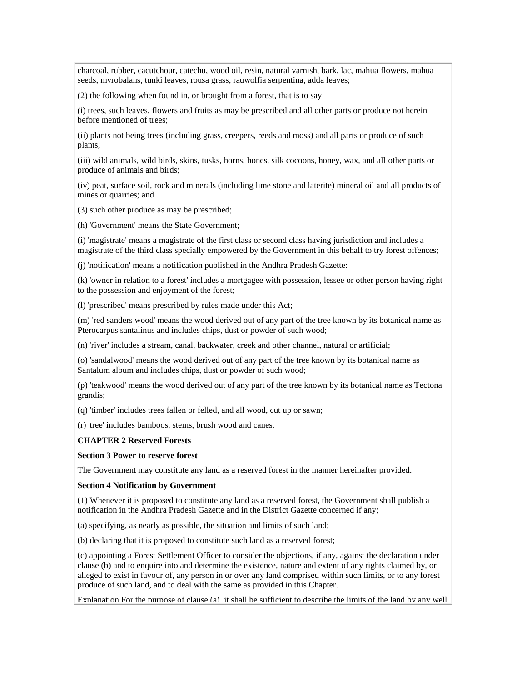charcoal, rubber, cacutchour, catechu, wood oil, resin, natural varnish, bark, lac, mahua flowers, mahua seeds, myrobalans, tunki leaves, rousa grass, rauwolfia serpentina, adda leaves;

(2) the following when found in, or brought from a forest, that is to say

(i) trees, such leaves, flowers and fruits as may be prescribed and all other parts or produce not herein before mentioned of trees;

(ii) plants not being trees (including grass, creepers, reeds and moss) and all parts or produce of such plants;

(iii) wild animals, wild birds, skins, tusks, horns, bones, silk cocoons, honey, wax, and all other parts or produce of animals and birds;

(iv) peat, surface soil, rock and minerals (including lime stone and laterite) mineral oil and all products of mines or quarries; and

(3) such other produce as may be prescribed;

(h) 'Government' means the State Government;

(i) 'magistrate' means a magistrate of the first class or second class having jurisdiction and includes a magistrate of the third class specially empowered by the Government in this behalf to try forest offences;

(j) 'notification' means a notification published in the Andhra Pradesh Gazette:

(k) 'owner in relation to a forest' includes a mortgagee with possession, lessee or other person having right to the possession and enjoyment of the forest;

(l) 'prescribed' means prescribed by rules made under this Act;

(m) 'red sanders wood' means the wood derived out of any part of the tree known by its botanical name as Pterocarpus santalinus and includes chips, dust or powder of such wood;

(n) 'river' includes a stream, canal, backwater, creek and other channel, natural or artificial;

(o) 'sandalwood' means the wood derived out of any part of the tree known by its botanical name as Santalum album and includes chips, dust or powder of such wood;

(p) 'teakwood' means the wood derived out of any part of the tree known by its botanical name as Tectona grandis;

(q) 'timber' includes trees fallen or felled, and all wood, cut up or sawn;

(r) 'tree' includes bamboos, stems, brush wood and canes.

#### **CHAPTER 2 Reserved Forests**

#### **Section 3 Power to reserve forest**

The Government may constitute any land as a reserved forest in the manner hereinafter provided.

#### **Section 4 Notification by Government**

(1) Whenever it is proposed to constitute any land as a reserved forest, the Government shall publish a notification in the Andhra Pradesh Gazette and in the District Gazette concerned if any;

(a) specifying, as nearly as possible, the situation and limits of such land;

(b) declaring that it is proposed to constitute such land as a reserved forest;

(c) appointing a Forest Settlement Officer to consider the objections, if any, against the declaration under clause (b) and to enquire into and determine the existence, nature and extent of any rights claimed by, or alleged to exist in favour of, any person in or over any land comprised within such limits, or to any forest produce of such land, and to deal with the same as provided in this Chapter.

Explanation For the purpose of clause (a), it shall be sufficient to describe the limits of the land by any well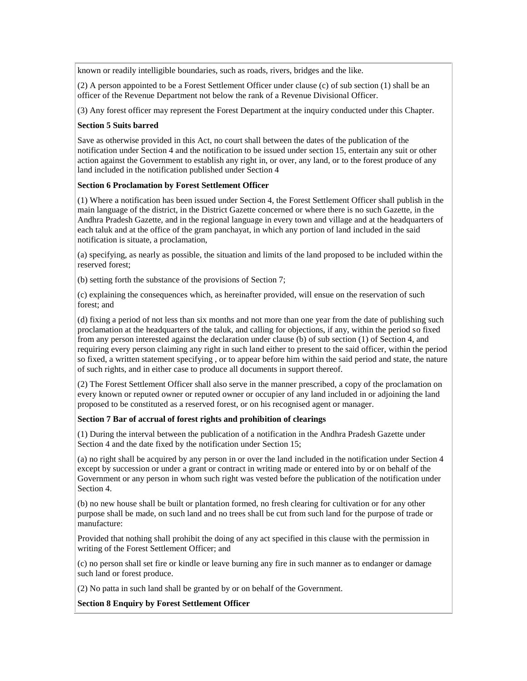known or readily intelligible boundaries, such as roads, rivers, bridges and the like.

(2) A person appointed to be a Forest Settlement Officer under clause (c) of sub section (1) shall be an officer of the Revenue Department not below the rank of a Revenue Divisional Officer.

(3) Any forest officer may represent the Forest Department at the inquiry conducted under this Chapter.

#### **Section 5 Suits barred**

Save as otherwise provided in this Act, no court shall between the dates of the publication of the notification under Section 4 and the notification to be issued under section 15, entertain any suit or other action against the Government to establish any right in, or over, any land, or to the forest produce of any land included in the notification published under Section 4

#### **Section 6 Proclamation by Forest Settlement Officer**

(1) Where a notification has been issued under Section 4, the Forest Settlement Officer shall publish in the main language of the district, in the District Gazette concerned or where there is no such Gazette, in the Andhra Pradesh Gazette, and in the regional language in every town and village and at the headquarters of each taluk and at the office of the gram panchayat, in which any portion of land included in the said notification is situate, a proclamation,

(a) specifying, as nearly as possible, the situation and limits of the land proposed to be included within the reserved forest;

(b) setting forth the substance of the provisions of Section 7;

(c) explaining the consequences which, as hereinafter provided, will ensue on the reservation of such forest; and

(d) fixing a period of not less than six months and not more than one year from the date of publishing such proclamation at the headquarters of the taluk, and calling for objections, if any, within the period so fixed from any person interested against the declaration under clause (b) of sub section (1) of Section 4, and requiring every person claiming any right in such land either to present to the said officer, within the period so fixed, a written statement specifying , or to appear before him within the said period and state, the nature of such rights, and in either case to produce all documents in support thereof.

(2) The Forest Settlement Officer shall also serve in the manner prescribed, a copy of the proclamation on every known or reputed owner or reputed owner or occupier of any land included in or adjoining the land proposed to be constituted as a reserved forest, or on his recognised agent or manager.

### **Section 7 Bar of accrual of forest rights and prohibition of clearings**

(1) During the interval between the publication of a notification in the Andhra Pradesh Gazette under Section 4 and the date fixed by the notification under Section 15;

(a) no right shall be acquired by any person in or over the land included in the notification under Section 4 except by succession or under a grant or contract in writing made or entered into by or on behalf of the Government or any person in whom such right was vested before the publication of the notification under Section 4.

(b) no new house shall be built or plantation formed, no fresh clearing for cultivation or for any other purpose shall be made, on such land and no trees shall be cut from such land for the purpose of trade or manufacture:

Provided that nothing shall prohibit the doing of any act specified in this clause with the permission in writing of the Forest Settlement Officer; and

(c) no person shall set fire or kindle or leave burning any fire in such manner as to endanger or damage such land or forest produce.

(2) No patta in such land shall be granted by or on behalf of the Government.

### **Section 8 Enquiry by Forest Settlement Officer**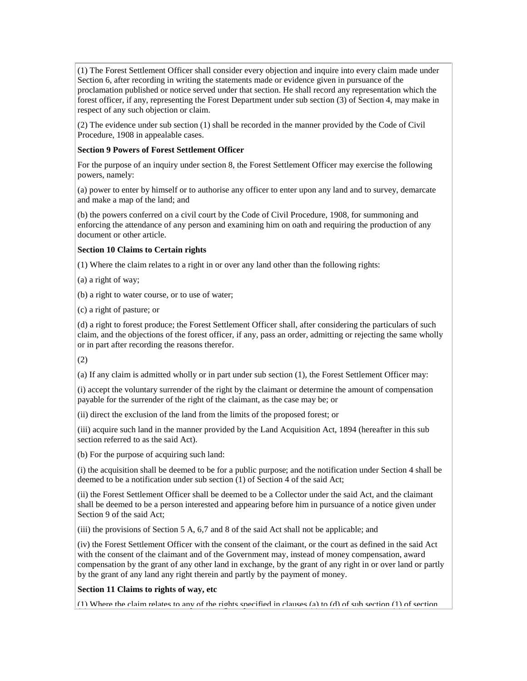(1) The Forest Settlement Officer shall consider every objection and inquire into every claim made under Section 6, after recording in writing the statements made or evidence given in pursuance of the proclamation published or notice served under that section. He shall record any representation which the forest officer, if any, representing the Forest Department under sub section (3) of Section 4, may make in respect of any such objection or claim.

(2) The evidence under sub section (1) shall be recorded in the manner provided by the Code of Civil Procedure, 1908 in appealable cases.

#### **Section 9 Powers of Forest Settlement Officer**

For the purpose of an inquiry under section 8, the Forest Settlement Officer may exercise the following powers, namely:

(a) power to enter by himself or to authorise any officer to enter upon any land and to survey, demarcate and make a map of the land; and

(b) the powers conferred on a civil court by the Code of Civil Procedure, 1908, for summoning and enforcing the attendance of any person and examining him on oath and requiring the production of any document or other article.

### **Section 10 Claims to Certain rights**

(1) Where the claim relates to a right in or over any land other than the following rights:

(a) a right of way;

(b) a right to water course, or to use of water;

(c) a right of pasture; or

(d) a right to forest produce; the Forest Settlement Officer shall, after considering the particulars of such claim, and the objections of the forest officer, if any, pass an order, admitting or rejecting the same wholly or in part after recording the reasons therefor.

(2)

(a) If any claim is admitted wholly or in part under sub section (1), the Forest Settlement Officer may:

(i) accept the voluntary surrender of the right by the claimant or determine the amount of compensation payable for the surrender of the right of the claimant, as the case may be; or

(ii) direct the exclusion of the land from the limits of the proposed forest; or

(iii) acquire such land in the manner provided by the Land Acquisition Act, 1894 (hereafter in this sub section referred to as the said Act).

(b) For the purpose of acquiring such land:

(i) the acquisition shall be deemed to be for a public purpose; and the notification under Section 4 shall be deemed to be a notification under sub section (1) of Section 4 of the said Act;

(ii) the Forest Settlement Officer shall be deemed to be a Collector under the said Act, and the claimant shall be deemed to be a person interested and appearing before him in pursuance of a notice given under Section 9 of the said Act;

(iii) the provisions of Section 5 A, 6,7 and 8 of the said Act shall not be applicable; and

(iv) the Forest Settlement Officer with the consent of the claimant, or the court as defined in the said Act with the consent of the claimant and of the Government may, instead of money compensation, award compensation by the grant of any other land in exchange, by the grant of any right in or over land or partly by the grant of any land any right therein and partly by the payment of money.

### **Section 11 Claims to rights of way, etc**

(1) Where the claim relates to any of the rights specified in clauses (a) to (d) of sub section (1) of section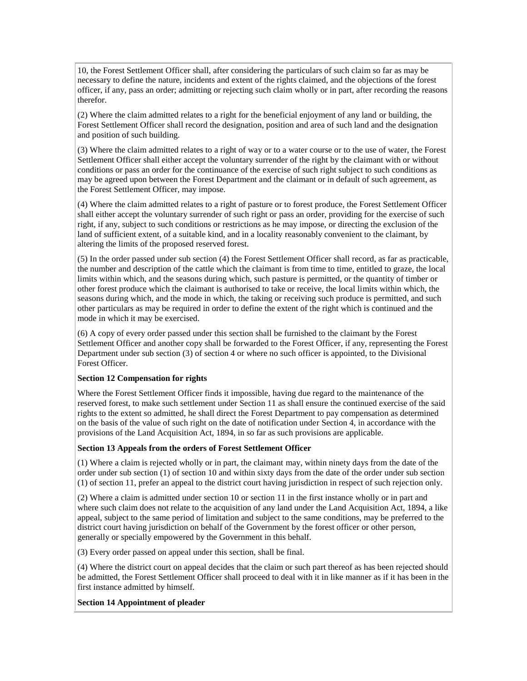10, the Forest Settlement Officer shall, after considering the particulars of such claim so far as may be necessary to define the nature, incidents and extent of the rights claimed, and the objections of the forest officer, if any, pass an order; admitting or rejecting such claim wholly or in part, after recording the reasons therefor.

(2) Where the claim admitted relates to a right for the beneficial enjoyment of any land or building, the Forest Settlement Officer shall record the designation, position and area of such land and the designation and position of such building.

(3) Where the claim admitted relates to a right of way or to a water course or to the use of water, the Forest Settlement Officer shall either accept the voluntary surrender of the right by the claimant with or without conditions or pass an order for the continuance of the exercise of such right subject to such conditions as may be agreed upon between the Forest Department and the claimant or in default of such agreement, as the Forest Settlement Officer, may impose.

(4) Where the claim admitted relates to a right of pasture or to forest produce, the Forest Settlement Officer shall either accept the voluntary surrender of such right or pass an order, providing for the exercise of such right, if any, subject to such conditions or restrictions as he may impose, or directing the exclusion of the land of sufficient extent, of a suitable kind, and in a locality reasonably convenient to the claimant, by altering the limits of the proposed reserved forest.

(5) In the order passed under sub section (4) the Forest Settlement Officer shall record, as far as practicable, the number and description of the cattle which the claimant is from time to time, entitled to graze, the local limits within which, and the seasons during which, such pasture is permitted, or the quantity of timber or other forest produce which the claimant is authorised to take or receive, the local limits within which, the seasons during which, and the mode in which, the taking or receiving such produce is permitted, and such other particulars as may be required in order to define the extent of the right which is continued and the mode in which it may be exercised.

(6) A copy of every order passed under this section shall be furnished to the claimant by the Forest Settlement Officer and another copy shall be forwarded to the Forest Officer, if any, representing the Forest Department under sub section (3) of section 4 or where no such officer is appointed, to the Divisional Forest Officer.

### **Section 12 Compensation for rights**

Where the Forest Settlement Officer finds it impossible, having due regard to the maintenance of the reserved forest, to make such settlement under Section 11 as shall ensure the continued exercise of the said rights to the extent so admitted, he shall direct the Forest Department to pay compensation as determined on the basis of the value of such right on the date of notification under Section 4, in accordance with the provisions of the Land Acquisition Act, 1894, in so far as such provisions are applicable.

#### **Section 13 Appeals from the orders of Forest Settlement Officer**

(1) Where a claim is rejected wholly or in part, the claimant may, within ninety days from the date of the order under sub section (1) of section 10 and within sixty days from the date of the order under sub section (1) of section 11, prefer an appeal to the district court having jurisdiction in respect of such rejection only.

(2) Where a claim is admitted under section 10 or section 11 in the first instance wholly or in part and where such claim does not relate to the acquisition of any land under the Land Acquisition Act, 1894, a like appeal, subject to the same period of limitation and subject to the same conditions, may be preferred to the district court having jurisdiction on behalf of the Government by the forest officer or other person, generally or specially empowered by the Government in this behalf.

(3) Every order passed on appeal under this section, shall be final.

(4) Where the district court on appeal decides that the claim or such part thereof as has been rejected should be admitted, the Forest Settlement Officer shall proceed to deal with it in like manner as if it has been in the first instance admitted by himself.

#### **Section 14 Appointment of pleader**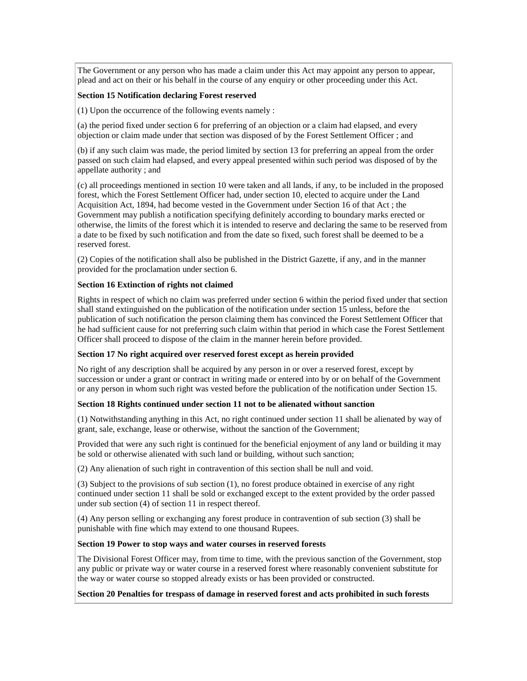The Government or any person who has made a claim under this Act may appoint any person to appear, plead and act on their or his behalf in the course of any enquiry or other proceeding under this Act.

#### **Section 15 Notification declaring Forest reserved**

(1) Upon the occurrence of the following events namely :

(a) the period fixed under section 6 for preferring of an objection or a claim had elapsed, and every objection or claim made under that section was disposed of by the Forest Settlement Officer ; and

(b) if any such claim was made, the period limited by section 13 for preferring an appeal from the order passed on such claim had elapsed, and every appeal presented within such period was disposed of by the appellate authority ; and

(c) all proceedings mentioned in section 10 were taken and all lands, if any, to be included in the proposed forest, which the Forest Settlement Officer had, under section 10, elected to acquire under the Land Acquisition Act, 1894, had become vested in the Government under Section 16 of that Act ; the Government may publish a notification specifying definitely according to boundary marks erected or otherwise, the limits of the forest which it is intended to reserve and declaring the same to be reserved from a date to be fixed by such notification and from the date so fixed, such forest shall be deemed to be a reserved forest.

(2) Copies of the notification shall also be published in the District Gazette, if any, and in the manner provided for the proclamation under section 6.

#### **Section 16 Extinction of rights not claimed**

Rights in respect of which no claim was preferred under section 6 within the period fixed under that section shall stand extinguished on the publication of the notification under section 15 unless, before the publication of such notification the person claiming them has convinced the Forest Settlement Officer that he had sufficient cause for not preferring such claim within that period in which case the Forest Settlement Officer shall proceed to dispose of the claim in the manner herein before provided.

### **Section 17 No right acquired over reserved forest except as herein provided**

No right of any description shall be acquired by any person in or over a reserved forest, except by succession or under a grant or contract in writing made or entered into by or on behalf of the Government or any person in whom such right was vested before the publication of the notification under Section 15.

#### **Section 18 Rights continued under section 11 not to be alienated without sanction**

(1) Notwithstanding anything in this Act, no right continued under section 11 shall be alienated by way of grant, sale, exchange, lease or otherwise, without the sanction of the Government;

Provided that were any such right is continued for the beneficial enjoyment of any land or building it may be sold or otherwise alienated with such land or building, without such sanction;

(2) Any alienation of such right in contravention of this section shall be null and void.

(3) Subject to the provisions of sub section (1), no forest produce obtained in exercise of any right continued under section 11 shall be sold or exchanged except to the extent provided by the order passed under sub section (4) of section 11 in respect thereof.

(4) Any person selling or exchanging any forest produce in contravention of sub section (3) shall be punishable with fine which may extend to one thousand Rupees.

#### **Section 19 Power to stop ways and water courses in reserved forests**

The Divisional Forest Officer may, from time to time, with the previous sanction of the Government, stop any public or private way or water course in a reserved forest where reasonably convenient substitute for the way or water course so stopped already exists or has been provided or constructed.

#### **Section 20 Penalties for trespass of damage in reserved forest and acts prohibited in such forests**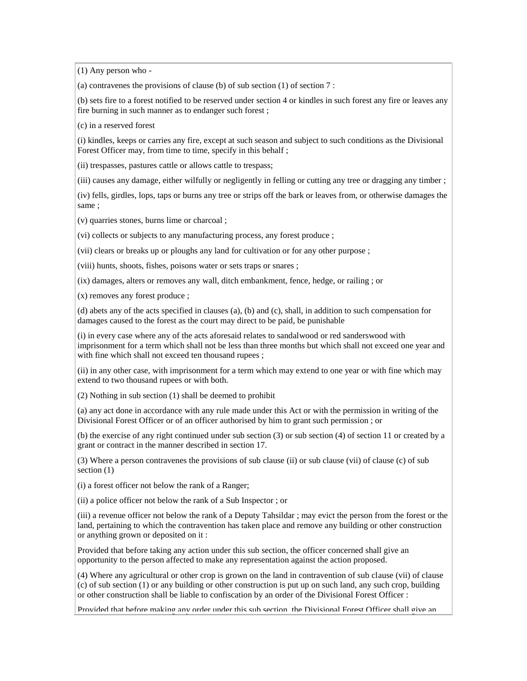(1) Any person who -

(a) contravenes the provisions of clause (b) of sub section (1) of section 7 :

(b) sets fire to a forest notified to be reserved under section 4 or kindles in such forest any fire or leaves any fire burning in such manner as to endanger such forest ;

(c) in a reserved forest

(i) kindles, keeps or carries any fire, except at such season and subject to such conditions as the Divisional Forest Officer may, from time to time, specify in this behalf ;

(ii) trespasses, pastures cattle or allows cattle to trespass;

(iii) causes any damage, either wilfully or negligently in felling or cutting any tree or dragging any timber ;

(iv) fells, girdles, lops, taps or burns any tree or strips off the bark or leaves from, or otherwise damages the same ;

(v) quarries stones, burns lime or charcoal ;

(vi) collects or subjects to any manufacturing process, any forest produce ;

(vii) clears or breaks up or ploughs any land for cultivation or for any other purpose ;

(viii) hunts, shoots, fishes, poisons water or sets traps or snares ;

(ix) damages, alters or removes any wall, ditch embankment, fence, hedge, or railing ; or

(x) removes any forest produce ;

(d) abets any of the acts specified in clauses (a), (b) and (c), shall, in addition to such compensation for damages caused to the forest as the court may direct to be paid, be punishable

(i) in every case where any of the acts aforesaid relates to sandalwood or red sanderswood with imprisonment for a term which shall not be less than three months but which shall not exceed one year and with fine which shall not exceed ten thousand rupees ;

(ii) in any other case, with imprisonment for a term which may extend to one year or with fine which may extend to two thousand rupees or with both.

(2) Nothing in sub section (1) shall be deemed to prohibit

(a) any act done in accordance with any rule made under this Act or with the permission in writing of the Divisional Forest Officer or of an officer authorised by him to grant such permission ; or

(b) the exercise of any right continued under sub section (3) or sub section (4) of section 11 or created by a grant or contract in the manner described in section 17.

(3) Where a person contravenes the provisions of sub clause (ii) or sub clause (vii) of clause (c) of sub section  $(1)$ 

(i) a forest officer not below the rank of a Ranger;

(ii) a police officer not below the rank of a Sub Inspector ; or

(iii) a revenue officer not below the rank of a Deputy Tahsildar ; may evict the person from the forest or the land, pertaining to which the contravention has taken place and remove any building or other construction or anything grown or deposited on it :

Provided that before taking any action under this sub section, the officer concerned shall give an opportunity to the person affected to make any representation against the action proposed.

(4) Where any agricultural or other crop is grown on the land in contravention of sub clause (vii) of clause (c) of sub section (1) or any building or other construction is put up on such land, any such crop, building or other construction shall be liable to confiscation by an order of the Divisional Forest Officer :

Provided that before making any order under this sub section, the Divisional Forest Officer shall give an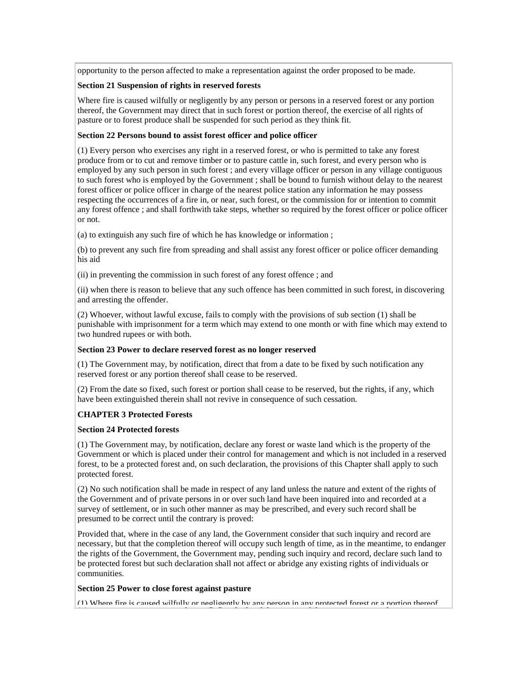opportunity to the person affected to make a representation against the order proposed to be made.

#### **Section 21 Suspension of rights in reserved forests**

Where fire is caused wilfully or negligently by any person or persons in a reserved forest or any portion thereof, the Government may direct that in such forest or portion thereof, the exercise of all rights of pasture or to forest produce shall be suspended for such period as they think fit.

#### **Section 22 Persons bound to assist forest officer and police officer**

(1) Every person who exercises any right in a reserved forest, or who is permitted to take any forest produce from or to cut and remove timber or to pasture cattle in, such forest, and every person who is employed by any such person in such forest ; and every village officer or person in any village contiguous to such forest who is employed by the Government ; shall be bound to furnish without delay to the nearest forest officer or police officer in charge of the nearest police station any information he may possess respecting the occurrences of a fire in, or near, such forest, or the commission for or intention to commit any forest offence ; and shall forthwith take steps, whether so required by the forest officer or police officer or not.

(a) to extinguish any such fire of which he has knowledge or information ;

(b) to prevent any such fire from spreading and shall assist any forest officer or police officer demanding his aid

(ii) in preventing the commission in such forest of any forest offence ; and

(ii) when there is reason to believe that any such offence has been committed in such forest, in discovering and arresting the offender.

(2) Whoever, without lawful excuse, fails to comply with the provisions of sub section (1) shall be punishable with imprisonment for a term which may extend to one month or with fine which may extend to two hundred rupees or with both.

#### **Section 23 Power to declare reserved forest as no longer reserved**

(1) The Government may, by notification, direct that from a date to be fixed by such notification any reserved forest or any portion thereof shall cease to be reserved.

(2) From the date so fixed, such forest or portion shall cease to be reserved, but the rights, if any, which have been extinguished therein shall not revive in consequence of such cessation.

# **CHAPTER 3 Protected Forests**

### **Section 24 Protected forests**

(1) The Government may, by notification, declare any forest or waste land which is the property of the Government or which is placed under their control for management and which is not included in a reserved forest, to be a protected forest and, on such declaration, the provisions of this Chapter shall apply to such protected forest.

(2) No such notification shall be made in respect of any land unless the nature and extent of the rights of the Government and of private persons in or over such land have been inquired into and recorded at a survey of settlement, or in such other manner as may be prescribed, and every such record shall be presumed to be correct until the contrary is proved:

Provided that, where in the case of any land, the Government consider that such inquiry and record are necessary, but that the completion thereof will occupy such length of time, as in the meantime, to endanger the rights of the Government, the Government may, pending such inquiry and record, declare such land to be protected forest but such declaration shall not affect or abridge any existing rights of individuals or communities.

### **Section 25 Power to close forest against pasture**

(1) Where fire is caused wilfully or negligently by any person in any protected forest or a portion thereof,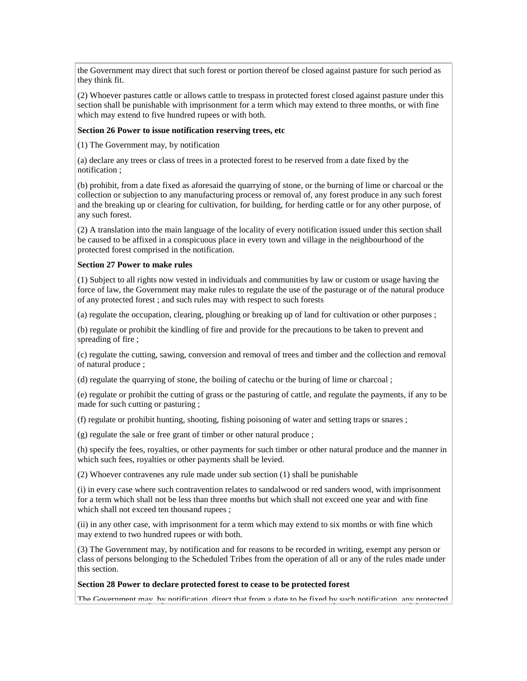the Government may direct that such forest or portion thereof be closed against pasture for such period as they think fit.

(2) Whoever pastures cattle or allows cattle to trespass in protected forest closed against pasture under this section shall be punishable with imprisonment for a term which may extend to three months, or with fine which may extend to five hundred rupees or with both.

#### **Section 26 Power to issue notification reserving trees, etc**

(1) The Government may, by notification

(a) declare any trees or class of trees in a protected forest to be reserved from a date fixed by the notification ;

(b) prohibit, from a date fixed as aforesaid the quarrying of stone, or the burning of lime or charcoal or the collection or subjection to any manufacturing process or removal of, any forest produce in any such forest and the breaking up or clearing for cultivation, for building, for herding cattle or for any other purpose, of any such forest.

(2) A translation into the main language of the locality of every notification issued under this section shall be caused to be affixed in a conspicuous place in every town and village in the neighbourhood of the protected forest comprised in the notification.

#### **Section 27 Power to make rules**

(1) Subject to all rights now vested in individuals and communities by law or custom or usage having the force of law, the Government may make rules to regulate the use of the pasturage or of the natural produce of any protected forest ; and such rules may with respect to such forests

(a) regulate the occupation, clearing, ploughing or breaking up of land for cultivation or other purposes ;

(b) regulate or prohibit the kindling of fire and provide for the precautions to be taken to prevent and spreading of fire ;

(c) regulate the cutting, sawing, conversion and removal of trees and timber and the collection and removal of natural produce ;

(d) regulate the quarrying of stone, the boiling of catechu or the buring of lime or charcoal ;

(e) regulate or prohibit the cutting of grass or the pasturing of cattle, and regulate the payments, if any to be made for such cutting or pasturing ;

(f) regulate or prohibit hunting, shooting, fishing poisoning of water and setting traps or snares ;

(g) regulate the sale or free grant of timber or other natural produce ;

(h) specify the fees, royalties, or other payments for such timber or other natural produce and the manner in which such fees, royalties or other payments shall be levied.

(2) Whoever contravenes any rule made under sub section (1) shall be punishable

(i) in every case where such contravention relates to sandalwood or red sanders wood, with imprisonment for a term which shall not be less than three months but which shall not exceed one year and with fine which shall not exceed ten thousand rupees ;

(ii) in any other case, with imprisonment for a term which may extend to six months or with fine which may extend to two hundred rupees or with both.

(3) The Government may, by notification and for reasons to be recorded in writing, exempt any person or class of persons belonging to the Scheduled Tribes from the operation of all or any of the rules made under this section.

#### **Section 28 Power to declare protected forest to cease to be protected forest**

The Government may, by notification, direct that from a date to be fixed by such notification, any protected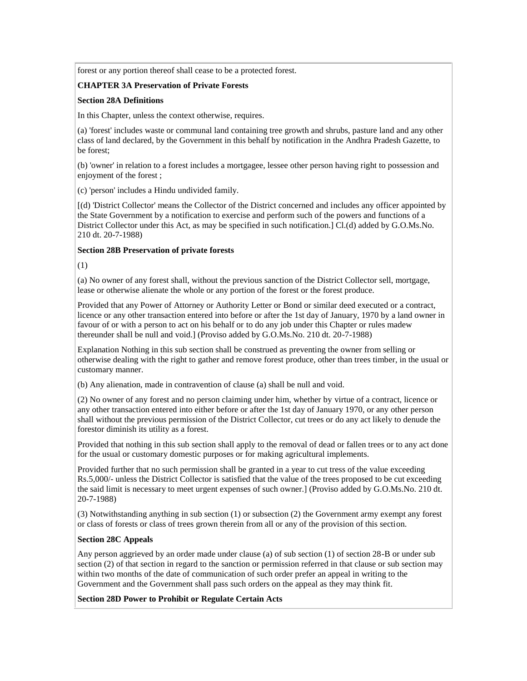forest or any portion thereof shall cease to be a protected forest.

### **CHAPTER 3A Preservation of Private Forests**

#### **Section 28A Definitions**

In this Chapter, unless the context otherwise, requires.

(a) 'forest' includes waste or communal land containing tree growth and shrubs, pasture land and any other class of land declared, by the Government in this behalf by notification in the Andhra Pradesh Gazette, to be forest;

(b) 'owner' in relation to a forest includes a mortgagee, lessee other person having right to possession and enjoyment of the forest ;

(c) 'person' includes a Hindu undivided family.

[(d) 'District Collector' means the Collector of the District concerned and includes any officer appointed by the State Government by a notification to exercise and perform such of the powers and functions of a District Collector under this Act, as may be specified in such notification.] Cl.(d) added by G.O.Ms.No. 210 dt. 20-7-1988)

#### **Section 28B Preservation of private forests**

(1)

(a) No owner of any forest shall, without the previous sanction of the District Collector sell, mortgage, lease or otherwise alienate the whole or any portion of the forest or the forest produce.

Provided that any Power of Attorney or Authority Letter or Bond or similar deed executed or a contract, licence or any other transaction entered into before or after the 1st day of January, 1970 by a land owner in favour of or with a person to act on his behalf or to do any job under this Chapter or rules madew thereunder shall be null and void.] (Proviso added by G.O.Ms.No. 210 dt. 20-7-1988)

Explanation Nothing in this sub section shall be construed as preventing the owner from selling or otherwise dealing with the right to gather and remove forest produce, other than trees timber, in the usual or customary manner.

(b) Any alienation, made in contravention of clause (a) shall be null and void.

(2) No owner of any forest and no person claiming under him, whether by virtue of a contract, licence or any other transaction entered into either before or after the 1st day of January 1970, or any other person shall without the previous permission of the District Collector, cut trees or do any act likely to denude the forestor diminish its utility as a forest.

Provided that nothing in this sub section shall apply to the removal of dead or fallen trees or to any act done for the usual or customary domestic purposes or for making agricultural implements.

Provided further that no such permission shall be granted in a year to cut tress of the value exceeding Rs.5,000/- unless the District Collector is satisfied that the value of the trees proposed to be cut exceeding the said limit is necessary to meet urgent expenses of such owner.] (Proviso added by G.O.Ms.No. 210 dt. 20-7-1988)

(3) Notwithstanding anything in sub section (1) or subsection (2) the Government army exempt any forest or class of forests or class of trees grown therein from all or any of the provision of this section.

### **Section 28C Appeals**

Any person aggrieved by an order made under clause (a) of sub section (1) of section 28-B or under sub section (2) of that section in regard to the sanction or permission referred in that clause or sub section may within two months of the date of communication of such order prefer an appeal in writing to the Government and the Government shall pass such orders on the appeal as they may think fit.

**Section 28D Power to Prohibit or Regulate Certain Acts**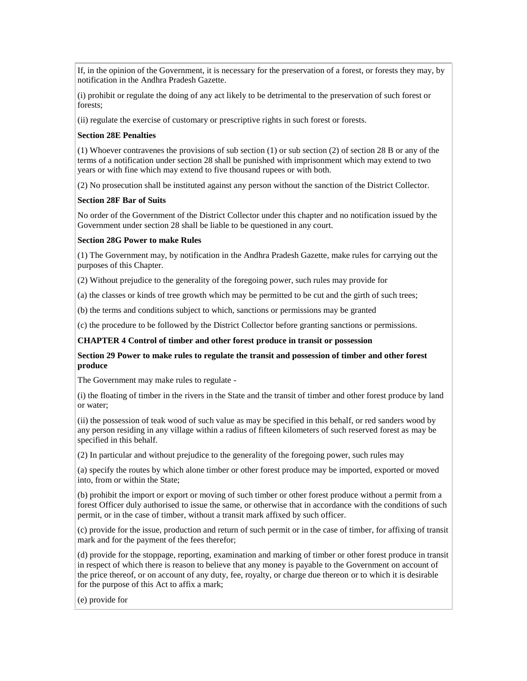If, in the opinion of the Government, it is necessary for the preservation of a forest, or forests they may, by notification in the Andhra Pradesh Gazette.

(i) prohibit or regulate the doing of any act likely to be detrimental to the preservation of such forest or forests;

(ii) regulate the exercise of customary or prescriptive rights in such forest or forests.

#### **Section 28E Penalties**

(1) Whoever contravenes the provisions of sub section (1) or sub section (2) of section 28 B or any of the terms of a notification under section 28 shall be punished with imprisonment which may extend to two years or with fine which may extend to five thousand rupees or with both.

(2) No prosecution shall be instituted against any person without the sanction of the District Collector.

#### **Section 28F Bar of Suits**

No order of the Government of the District Collector under this chapter and no notification issued by the Government under section 28 shall be liable to be questioned in any court.

#### **Section 28G Power to make Rules**

(1) The Government may, by notification in the Andhra Pradesh Gazette, make rules for carrying out the purposes of this Chapter.

(2) Without prejudice to the generality of the foregoing power, such rules may provide for

(a) the classes or kinds of tree growth which may be permitted to be cut and the girth of such trees;

(b) the terms and conditions subject to which, sanctions or permissions may be granted

(c) the procedure to be followed by the District Collector before granting sanctions or permissions.

#### **CHAPTER 4 Control of timber and other forest produce in transit or possession**

#### **Section 29 Power to make rules to regulate the transit and possession of timber and other forest produce**

The Government may make rules to regulate -

(i) the floating of timber in the rivers in the State and the transit of timber and other forest produce by land or water;

(ii) the possession of teak wood of such value as may be specified in this behalf, or red sanders wood by any person residing in any village within a radius of fifteen kilometers of such reserved forest as may be specified in this behalf.

(2) In particular and without prejudice to the generality of the foregoing power, such rules may

(a) specify the routes by which alone timber or other forest produce may be imported, exported or moved into, from or within the State;

(b) prohibit the import or export or moving of such timber or other forest produce without a permit from a forest Officer duly authorised to issue the same, or otherwise that in accordance with the conditions of such permit, or in the case of timber, without a transit mark affixed by such officer.

(c) provide for the issue, production and return of such permit or in the case of timber, for affixing of transit mark and for the payment of the fees therefor;

(d) provide for the stoppage, reporting, examination and marking of timber or other forest produce in transit in respect of which there is reason to believe that any money is payable to the Government on account of the price thereof, or on account of any duty, fee, royalty, or charge due thereon or to which it is desirable for the purpose of this Act to affix a mark;

(e) provide for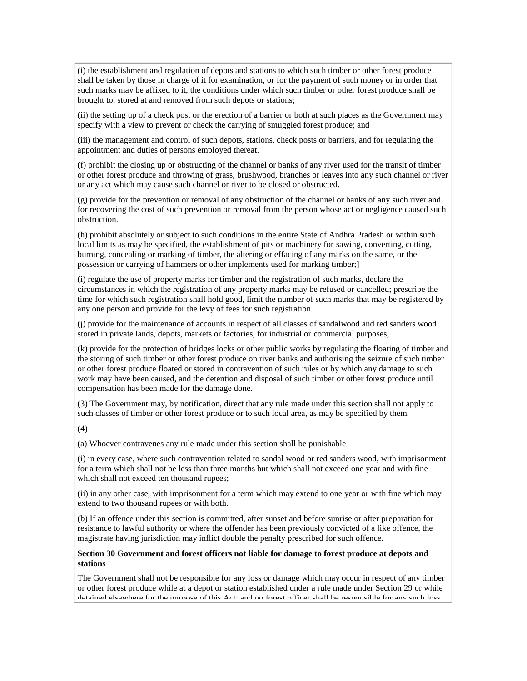(i) the establishment and regulation of depots and stations to which such timber or other forest produce shall be taken by those in charge of it for examination, or for the payment of such money or in order that such marks may be affixed to it, the conditions under which such timber or other forest produce shall be brought to, stored at and removed from such depots or stations;

(ii) the setting up of a check post or the erection of a barrier or both at such places as the Government may specify with a view to prevent or check the carrying of smuggled forest produce; and

(iii) the management and control of such depots, stations, check posts or barriers, and for regulating the appointment and duties of persons employed thereat.

(f) prohibit the closing up or obstructing of the channel or banks of any river used for the transit of timber or other forest produce and throwing of grass, brushwood, branches or leaves into any such channel or river or any act which may cause such channel or river to be closed or obstructed.

(g) provide for the prevention or removal of any obstruction of the channel or banks of any such river and for recovering the cost of such prevention or removal from the person whose act or negligence caused such obstruction.

(h) prohibit absolutely or subject to such conditions in the entire State of Andhra Pradesh or within such local limits as may be specified, the establishment of pits or machinery for sawing, converting, cutting, burning, concealing or marking of timber, the altering or effacing of any marks on the same, or the possession or carrying of hammers or other implements used for marking timber;]

(i) regulate the use of property marks for timber and the registration of such marks, declare the circumstances in which the registration of any property marks may be refused or cancelled; prescribe the time for which such registration shall hold good, limit the number of such marks that may be registered by any one person and provide for the levy of fees for such registration.

(j) provide for the maintenance of accounts in respect of all classes of sandalwood and red sanders wood stored in private lands, depots, markets or factories, for industrial or commercial purposes;

(k) provide for the protection of bridges locks or other public works by regulating the floating of timber and the storing of such timber or other forest produce on river banks and authorising the seizure of such timber or other forest produce floated or stored in contravention of such rules or by which any damage to such work may have been caused, and the detention and disposal of such timber or other forest produce until compensation has been made for the damage done.

(3) The Government may, by notification, direct that any rule made under this section shall not apply to such classes of timber or other forest produce or to such local area, as may be specified by them.

(4)

(a) Whoever contravenes any rule made under this section shall be punishable

(i) in every case, where such contravention related to sandal wood or red sanders wood, with imprisonment for a term which shall not be less than three months but which shall not exceed one year and with fine which shall not exceed ten thousand rupees;

(ii) in any other case, with imprisonment for a term which may extend to one year or with fine which may extend to two thousand rupees or with both.

(b) If an offence under this section is committed, after sunset and before sunrise or after preparation for resistance to lawful authority or where the offender has been previously convicted of a like offence, the magistrate having jurisdiction may inflict double the penalty prescribed for such offence.

### **Section 30 Government and forest officers not liable for damage to forest produce at depots and stations**

The Government shall not be responsible for any loss or damage which may occur in respect of any timber or other forest produce while at a depot or station established under a rule made under Section 29 or while detained elsewhere for the purpose of this Act; and no forest officer shall be responsible for any such loss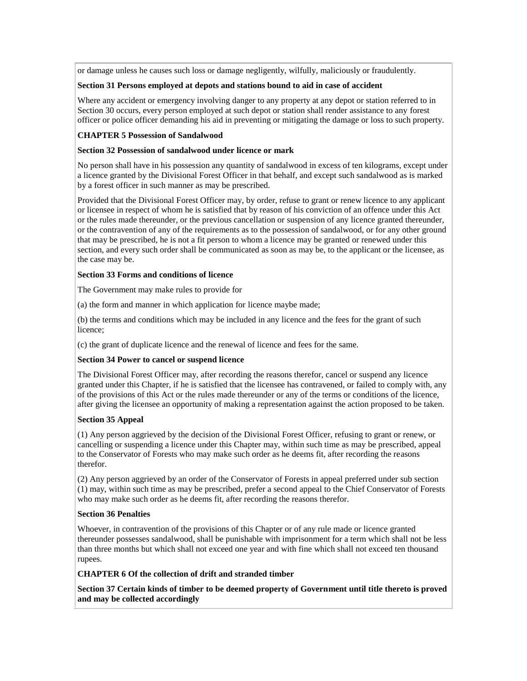or damage unless he causes such loss or damage negligently, wilfully, maliciously or fraudulently.

### **Section 31 Persons employed at depots and stations bound to aid in case of accident**

Where any accident or emergency involving danger to any property at any depot or station referred to in Section 30 occurs, every person employed at such depot or station shall render assistance to any forest officer or police officer demanding his aid in preventing or mitigating the damage or loss to such property.

### **CHAPTER 5 Possession of Sandalwood**

#### **Section 32 Possession of sandalwood under licence or mark**

No person shall have in his possession any quantity of sandalwood in excess of ten kilograms, except under a licence granted by the Divisional Forest Officer in that behalf, and except such sandalwood as is marked by a forest officer in such manner as may be prescribed.

Provided that the Divisional Forest Officer may, by order, refuse to grant or renew licence to any applicant or licensee in respect of whom he is satisfied that by reason of his conviction of an offence under this Act or the rules made thereunder, or the previous cancellation or suspension of any licence granted thereunder, or the contravention of any of the requirements as to the possession of sandalwood, or for any other ground that may be prescribed, he is not a fit person to whom a licence may be granted or renewed under this section, and every such order shall be communicated as soon as may be, to the applicant or the licensee, as the case may be.

### **Section 33 Forms and conditions of licence**

The Government may make rules to provide for

(a) the form and manner in which application for licence maybe made;

(b) the terms and conditions which may be included in any licence and the fees for the grant of such licence;

(c) the grant of duplicate licence and the renewal of licence and fees for the same.

### **Section 34 Power to cancel or suspend licence**

The Divisional Forest Officer may, after recording the reasons therefor, cancel or suspend any licence granted under this Chapter, if he is satisfied that the licensee has contravened, or failed to comply with, any of the provisions of this Act or the rules made thereunder or any of the terms or conditions of the licence, after giving the licensee an opportunity of making a representation against the action proposed to be taken.

### **Section 35 Appeal**

(1) Any person aggrieved by the decision of the Divisional Forest Officer, refusing to grant or renew, or cancelling or suspending a licence under this Chapter may, within such time as may be prescribed, appeal to the Conservator of Forests who may make such order as he deems fit, after recording the reasons therefor.

(2) Any person aggrieved by an order of the Conservator of Forests in appeal preferred under sub section (1) may, within such time as may be prescribed, prefer a second appeal to the Chief Conservator of Forests who may make such order as he deems fit, after recording the reasons therefor.

### **Section 36 Penalties**

Whoever, in contravention of the provisions of this Chapter or of any rule made or licence granted thereunder possesses sandalwood, shall be punishable with imprisonment for a term which shall not be less than three months but which shall not exceed one year and with fine which shall not exceed ten thousand rupees.

### **CHAPTER 6 Of the collection of drift and stranded timber**

**Section 37 Certain kinds of timber to be deemed property of Government until title thereto is proved and may be collected accordingly**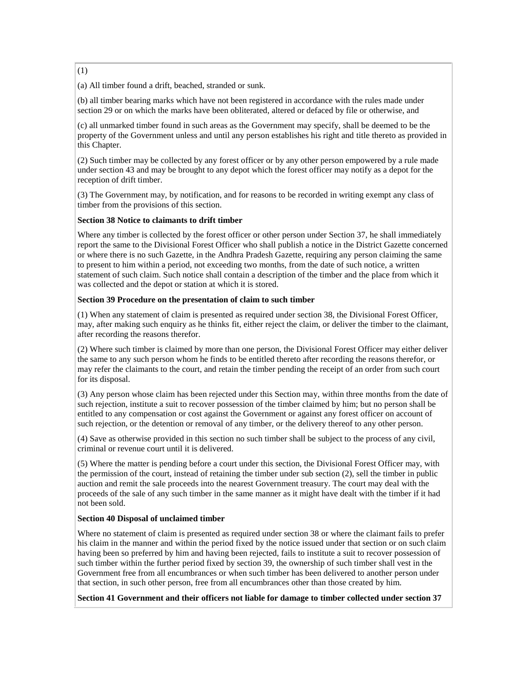(1)

(a) All timber found a drift, beached, stranded or sunk.

(b) all timber bearing marks which have not been registered in accordance with the rules made under section 29 or on which the marks have been obliterated, altered or defaced by file or otherwise, and

(c) all unmarked timber found in such areas as the Government may specify, shall be deemed to be the property of the Government unless and until any person establishes his right and title thereto as provided in this Chapter.

(2) Such timber may be collected by any forest officer or by any other person empowered by a rule made under section 43 and may be brought to any depot which the forest officer may notify as a depot for the reception of drift timber.

(3) The Government may, by notification, and for reasons to be recorded in writing exempt any class of timber from the provisions of this section.

#### **Section 38 Notice to claimants to drift timber**

Where any timber is collected by the forest officer or other person under Section 37, he shall immediately report the same to the Divisional Forest Officer who shall publish a notice in the District Gazette concerned or where there is no such Gazette, in the Andhra Pradesh Gazette, requiring any person claiming the same to present to him within a period, not exceeding two months, from the date of such notice, a written statement of such claim. Such notice shall contain a description of the timber and the place from which it was collected and the depot or station at which it is stored.

#### **Section 39 Procedure on the presentation of claim to such timber**

(1) When any statement of claim is presented as required under section 38, the Divisional Forest Officer, may, after making such enquiry as he thinks fit, either reject the claim, or deliver the timber to the claimant, after recording the reasons therefor.

(2) Where such timber is claimed by more than one person, the Divisional Forest Officer may either deliver the same to any such person whom he finds to be entitled thereto after recording the reasons therefor, or may refer the claimants to the court, and retain the timber pending the receipt of an order from such court for its disposal.

(3) Any person whose claim has been rejected under this Section may, within three months from the date of such rejection, institute a suit to recover possession of the timber claimed by him; but no person shall be entitled to any compensation or cost against the Government or against any forest officer on account of such rejection, or the detention or removal of any timber, or the delivery thereof to any other person.

(4) Save as otherwise provided in this section no such timber shall be subject to the process of any civil, criminal or revenue court until it is delivered.

(5) Where the matter is pending before a court under this section, the Divisional Forest Officer may, with the permission of the court, instead of retaining the timber under sub section (2), sell the timber in public auction and remit the sale proceeds into the nearest Government treasury. The court may deal with the proceeds of the sale of any such timber in the same manner as it might have dealt with the timber if it had not been sold.

#### **Section 40 Disposal of unclaimed timber**

Where no statement of claim is presented as required under section 38 or where the claimant fails to prefer his claim in the manner and within the period fixed by the notice issued under that section or on such claim having been so preferred by him and having been rejected, fails to institute a suit to recover possession of such timber within the further period fixed by section 39, the ownership of such timber shall vest in the Government free from all encumbrances or when such timber has been delivered to another person under that section, in such other person, free from all encumbrances other than those created by him.

**Section 41 Government and their officers not liable for damage to timber collected under section 37**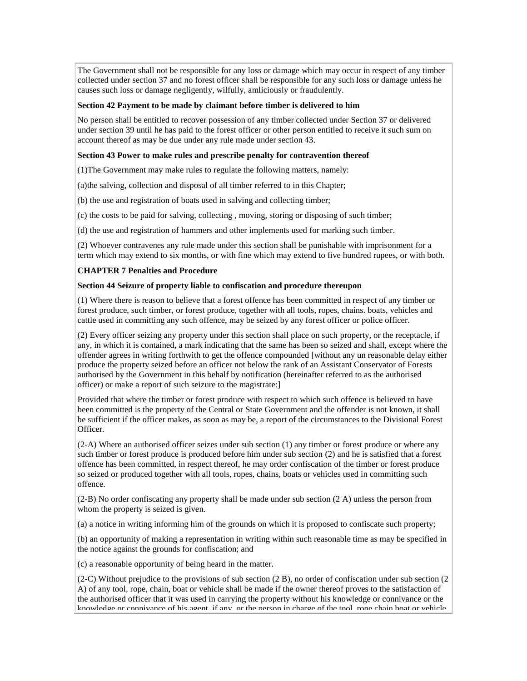The Government shall not be responsible for any loss or damage which may occur in respect of any timber collected under section 37 and no forest officer shall be responsible for any such loss or damage unless he causes such loss or damage negligently, wilfully, amliciously or fraudulently.

#### **Section 42 Payment to be made by claimant before timber is delivered to him**

No person shall be entitled to recover possession of any timber collected under Section 37 or delivered under section 39 until he has paid to the forest officer or other person entitled to receive it such sum on account thereof as may be due under any rule made under section 43.

#### **Section 43 Power to make rules and prescribe penalty for contravention thereof**

(1)The Government may make rules to regulate the following matters, namely:

(a)the salving, collection and disposal of all timber referred to in this Chapter;

(b) the use and registration of boats used in salving and collecting timber;

(c) the costs to be paid for salving, collecting , moving, storing or disposing of such timber;

(d) the use and registration of hammers and other implements used for marking such timber.

(2) Whoever contravenes any rule made under this section shall be punishable with imprisonment for a term which may extend to six months, or with fine which may extend to five hundred rupees, or with both.

### **CHAPTER 7 Penalties and Procedure**

#### **Section 44 Seizure of property liable to confiscation and procedure thereupon**

(1) Where there is reason to believe that a forest offence has been committed in respect of any timber or forest produce, such timber, or forest produce, together with all tools, ropes, chains. boats, vehicles and cattle used in committing any such offence, may be seized by any forest officer or police officer.

(2) Every officer seizing any property under this section shall place on such property, or the receptacle, if any, in which it is contained, a mark indicating that the same has been so seized and shall, except where the offender agrees in writing forthwith to get the offence compounded [without any un reasonable delay either produce the property seized before an officer not below the rank of an Assistant Conservator of Forests authorised by the Government in this behalf by notification (hereinafter referred to as the authorised officer) or make a report of such seizure to the magistrate:]

Provided that where the timber or forest produce with respect to which such offence is believed to have been committed is the property of the Central or State Government and the offender is not known, it shall be sufficient if the officer makes, as soon as may be, a report of the circumstances to the Divisional Forest Officer.

(2-A) Where an authorised officer seizes under sub section (1) any timber or forest produce or where any such timber or forest produce is produced before him under sub section (2) and he is satisfied that a forest offence has been committed, in respect thereof, he may order confiscation of the timber or forest produce so seized or produced together with all tools, ropes, chains, boats or vehicles used in committing such offence.

(2-B) No order confiscating any property shall be made under sub section (2 A) unless the person from whom the property is seized is given.

(a) a notice in writing informing him of the grounds on which it is proposed to confiscate such property;

(b) an opportunity of making a representation in writing within such reasonable time as may be specified in the notice against the grounds for confiscation; and

(c) a reasonable opportunity of being heard in the matter.

(2-C) Without prejudice to the provisions of sub section (2 B), no order of confiscation under sub section (2 A) of any tool, rope, chain, boat or vehicle shall be made if the owner thereof proves to the satisfaction of the authorised officer that it was used in carrying the property without his knowledge or connivance or the knowledge or connivance of his agent, if any, or the person in charge of the tool, rope chain boat or vehicle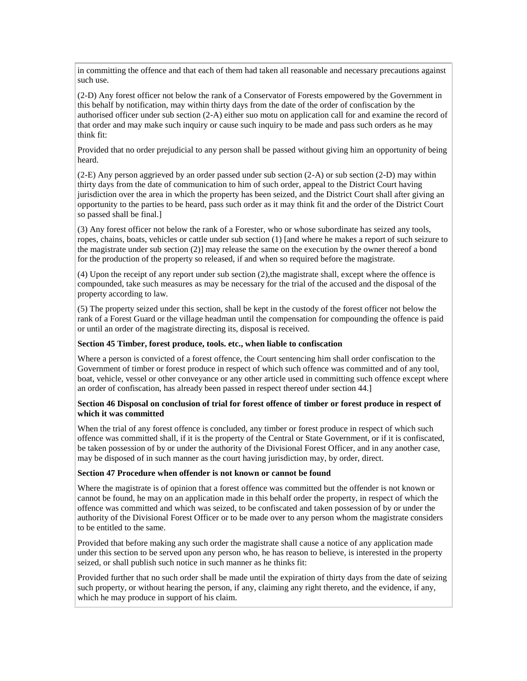in committing the offence and that each of them had taken all reasonable and necessary precautions against such use.

(2-D) Any forest officer not below the rank of a Conservator of Forests empowered by the Government in this behalf by notification, may within thirty days from the date of the order of confiscation by the authorised officer under sub section (2-A) either suo motu on application call for and examine the record of that order and may make such inquiry or cause such inquiry to be made and pass such orders as he may think fit:

Provided that no order prejudicial to any person shall be passed without giving him an opportunity of being heard.

(2-E) Any person aggrieved by an order passed under sub section (2-A) or sub section (2-D) may within thirty days from the date of communication to him of such order, appeal to the District Court having jurisdiction over the area in which the property has been seized, and the District Court shall after giving an opportunity to the parties to be heard, pass such order as it may think fit and the order of the District Court so passed shall be final.]

(3) Any forest officer not below the rank of a Forester, who or whose subordinate has seized any tools, ropes, chains, boats, vehicles or cattle under sub section (1) [and where he makes a report of such seizure to the magistrate under sub section (2)] may release the same on the execution by the owner thereof a bond for the production of the property so released, if and when so required before the magistrate.

(4) Upon the receipt of any report under sub section (2),the magistrate shall, except where the offence is compounded, take such measures as may be necessary for the trial of the accused and the disposal of the property according to law.

(5) The property seized under this section, shall be kept in the custody of the forest officer not below the rank of a Forest Guard or the village headman until the compensation for compounding the offence is paid or until an order of the magistrate directing its, disposal is received.

#### **Section 45 Timber, forest produce, tools. etc., when liable to confiscation**

Where a person is convicted of a forest offence, the Court sentencing him shall order confiscation to the Government of timber or forest produce in respect of which such offence was committed and of any tool, boat, vehicle, vessel or other conveyance or any other article used in committing such offence except where an order of confiscation, has already been passed in respect thereof under section 44.]

#### **Section 46 Disposal on conclusion of trial for forest offence of timber or forest produce in respect of which it was committed**

When the trial of any forest offence is concluded, any timber or forest produce in respect of which such offence was committed shall, if it is the property of the Central or State Government, or if it is confiscated, be taken possession of by or under the authority of the Divisional Forest Officer, and in any another case, may be disposed of in such manner as the court having jurisdiction may, by order, direct.

#### **Section 47 Procedure when offender is not known or cannot be found**

Where the magistrate is of opinion that a forest offence was committed but the offender is not known or cannot be found, he may on an application made in this behalf order the property, in respect of which the offence was committed and which was seized, to be confiscated and taken possession of by or under the authority of the Divisional Forest Officer or to be made over to any person whom the magistrate considers to be entitled to the same.

Provided that before making any such order the magistrate shall cause a notice of any application made under this section to be served upon any person who, he has reason to believe, is interested in the property seized, or shall publish such notice in such manner as he thinks fit:

Provided further that no such order shall be made until the expiration of thirty days from the date of seizing such property, or without hearing the person, if any, claiming any right thereto, and the evidence, if any, which he may produce in support of his claim.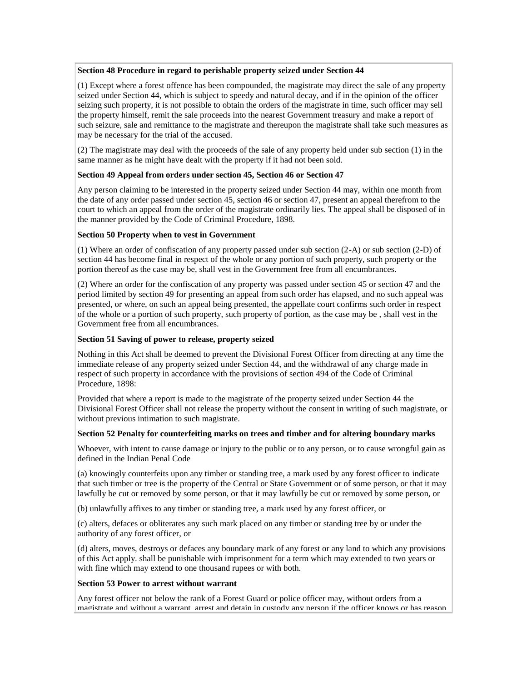#### **Section 48 Procedure in regard to perishable property seized under Section 44**

(1) Except where a forest offence has been compounded, the magistrate may direct the sale of any property seized under Section 44, which is subject to speedy and natural decay, and if in the opinion of the officer seizing such property, it is not possible to obtain the orders of the magistrate in time, such officer may sell the property himself, remit the sale proceeds into the nearest Government treasury and make a report of such seizure, sale and remittance to the magistrate and thereupon the magistrate shall take such measures as may be necessary for the trial of the accused.

(2) The magistrate may deal with the proceeds of the sale of any property held under sub section (1) in the same manner as he might have dealt with the property if it had not been sold.

#### **Section 49 Appeal from orders under section 45, Section 46 or Section 47**

Any person claiming to be interested in the property seized under Section 44 may, within one month from the date of any order passed under section 45, section 46 or section 47, present an appeal therefrom to the court to which an appeal from the order of the magistrate ordinarily lies. The appeal shall be disposed of in the manner provided by the Code of Criminal Procedure, 1898.

#### **Section 50 Property when to vest in Government**

(1) Where an order of confiscation of any property passed under sub section (2-A) or sub section (2-D) of section 44 has become final in respect of the whole or any portion of such property, such property or the portion thereof as the case may be, shall vest in the Government free from all encumbrances.

(2) Where an order for the confiscation of any property was passed under section 45 or section 47 and the period limited by section 49 for presenting an appeal from such order has elapsed, and no such appeal was presented, or where, on such an appeal being presented, the appellate court confirms such order in respect of the whole or a portion of such property, such property of portion, as the case may be , shall vest in the Government free from all encumbrances.

#### **Section 51 Saving of power to release, property seized**

Nothing in this Act shall be deemed to prevent the Divisional Forest Officer from directing at any time the immediate release of any property seized under Section 44, and the withdrawal of any charge made in respect of such property in accordance with the provisions of section 494 of the Code of Criminal Procedure, 1898:

Provided that where a report is made to the magistrate of the property seized under Section 44 the Divisional Forest Officer shall not release the property without the consent in writing of such magistrate, or without previous intimation to such magistrate.

#### **Section 52 Penalty for counterfeiting marks on trees and timber and for altering boundary marks**

Whoever, with intent to cause damage or injury to the public or to any person, or to cause wrongful gain as defined in the Indian Penal Code

(a) knowingly counterfeits upon any timber or standing tree, a mark used by any forest officer to indicate that such timber or tree is the property of the Central or State Government or of some person, or that it may lawfully be cut or removed by some person, or that it may lawfully be cut or removed by some person, or

(b) unlawfully affixes to any timber or standing tree, a mark used by any forest officer, or

(c) alters, defaces or obliterates any such mark placed on any timber or standing tree by or under the authority of any forest officer, or

(d) alters, moves, destroys or defaces any boundary mark of any forest or any land to which any provisions of this Act apply. shall be punishable with imprisonment for a term which may extended to two years or with fine which may extend to one thousand rupees or with both.

#### **Section 53 Power to arrest without warrant**

Any forest officer not below the rank of a Forest Guard or police officer may, without orders from a magistrate and without a warrant, arrest and detain in custody any person if the officer knows or has reason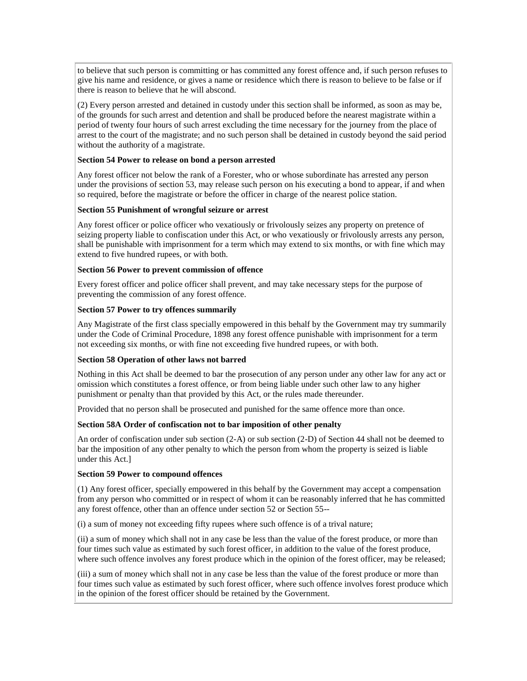to believe that such person is committing or has committed any forest offence and, if such person refuses to give his name and residence, or gives a name or residence which there is reason to believe to be false or if there is reason to believe that he will abscond.

(2) Every person arrested and detained in custody under this section shall be informed, as soon as may be, of the grounds for such arrest and detention and shall be produced before the nearest magistrate within a period of twenty four hours of such arrest excluding the time necessary for the journey from the place of arrest to the court of the magistrate; and no such person shall be detained in custody beyond the said period without the authority of a magistrate.

#### **Section 54 Power to release on bond a person arrested**

Any forest officer not below the rank of a Forester, who or whose subordinate has arrested any person under the provisions of section 53, may release such person on his executing a bond to appear, if and when so required, before the magistrate or before the officer in charge of the nearest police station.

#### **Section 55 Punishment of wrongful seizure or arrest**

Any forest officer or police officer who vexatiously or frivolously seizes any property on pretence of seizing property liable to confiscation under this Act, or who vexatiously or frivolously arrests any person, shall be punishable with imprisonment for a term which may extend to six months, or with fine which may extend to five hundred rupees, or with both.

#### **Section 56 Power to prevent commission of offence**

Every forest officer and police officer shall prevent, and may take necessary steps for the purpose of preventing the commission of any forest offence.

#### **Section 57 Power to try offences summarily**

Any Magistrate of the first class specially empowered in this behalf by the Government may try summarily under the Code of Criminal Procedure, 1898 any forest offence punishable with imprisonment for a term not exceeding six months, or with fine not exceeding five hundred rupees, or with both.

#### **Section 58 Operation of other laws not barred**

Nothing in this Act shall be deemed to bar the prosecution of any person under any other law for any act or omission which constitutes a forest offence, or from being liable under such other law to any higher punishment or penalty than that provided by this Act, or the rules made thereunder.

Provided that no person shall be prosecuted and punished for the same offence more than once.

#### **Section 58A Order of confiscation not to bar imposition of other penalty**

An order of confiscation under sub section (2-A) or sub section (2-D) of Section 44 shall not be deemed to bar the imposition of any other penalty to which the person from whom the property is seized is liable under this Act.]

#### **Section 59 Power to compound offences**

(1) Any forest officer, specially empowered in this behalf by the Government may accept a compensation from any person who committed or in respect of whom it can be reasonably inferred that he has committed any forest offence, other than an offence under section 52 or Section 55--

(i) a sum of money not exceeding fifty rupees where such offence is of a trival nature;

(ii) a sum of money which shall not in any case be less than the value of the forest produce, or more than four times such value as estimated by such forest officer, in addition to the value of the forest produce, where such offence involves any forest produce which in the opinion of the forest officer, may be released;

(iii) a sum of money which shall not in any case be less than the value of the forest produce or more than four times such value as estimated by such forest officer, where such offence involves forest produce which in the opinion of the forest officer should be retained by the Government.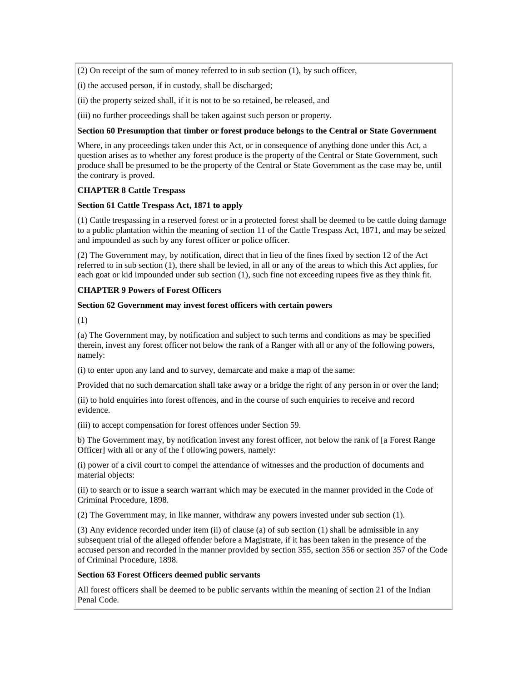(2) On receipt of the sum of money referred to in sub section (1), by such officer,

(i) the accused person, if in custody, shall be discharged;

(ii) the property seized shall, if it is not to be so retained, be released, and

(iii) no further proceedings shall be taken against such person or property.

#### **Section 60 Presumption that timber or forest produce belongs to the Central or State Government**

Where, in any proceedings taken under this Act, or in consequence of anything done under this Act, a question arises as to whether any forest produce is the property of the Central or State Government, such produce shall be presumed to be the property of the Central or State Government as the case may be, until the contrary is proved.

### **CHAPTER 8 Cattle Trespass**

#### **Section 61 Cattle Trespass Act, 1871 to apply**

(1) Cattle trespassing in a reserved forest or in a protected forest shall be deemed to be cattle doing damage to a public plantation within the meaning of section 11 of the Cattle Trespass Act, 1871, and may be seized and impounded as such by any forest officer or police officer.

(2) The Government may, by notification, direct that in lieu of the fines fixed by section 12 of the Act referred to in sub section (1), there shall be levied, in all or any of the areas to which this Act applies, for each goat or kid impounded under sub section (1), such fine not exceeding rupees five as they think fit.

### **CHAPTER 9 Powers of Forest Officers**

#### **Section 62 Government may invest forest officers with certain powers**

(1)

(a) The Government may, by notification and subject to such terms and conditions as may be specified therein, invest any forest officer not below the rank of a Ranger with all or any of the following powers, namely:

(i) to enter upon any land and to survey, demarcate and make a map of the same:

Provided that no such demarcation shall take away or a bridge the right of any person in or over the land;

(ii) to hold enquiries into forest offences, and in the course of such enquiries to receive and record evidence.

(iii) to accept compensation for forest offences under Section 59.

b) The Government may, by notification invest any forest officer, not below the rank of [a Forest Range Officer] with all or any of the f ollowing powers, namely:

(i) power of a civil court to compel the attendance of witnesses and the production of documents and material objects:

(ii) to search or to issue a search warrant which may be executed in the manner provided in the Code of Criminal Procedure, 1898.

(2) The Government may, in like manner, withdraw any powers invested under sub section (1).

(3) Any evidence recorded under item (ii) of clause (a) of sub section (1) shall be admissible in any subsequent trial of the alleged offender before a Magistrate, if it has been taken in the presence of the accused person and recorded in the manner provided by section 355, section 356 or section 357 of the Code of Criminal Procedure, 1898.

### **Section 63 Forest Officers deemed public servants**

All forest officers shall be deemed to be public servants within the meaning of section 21 of the Indian Penal Code.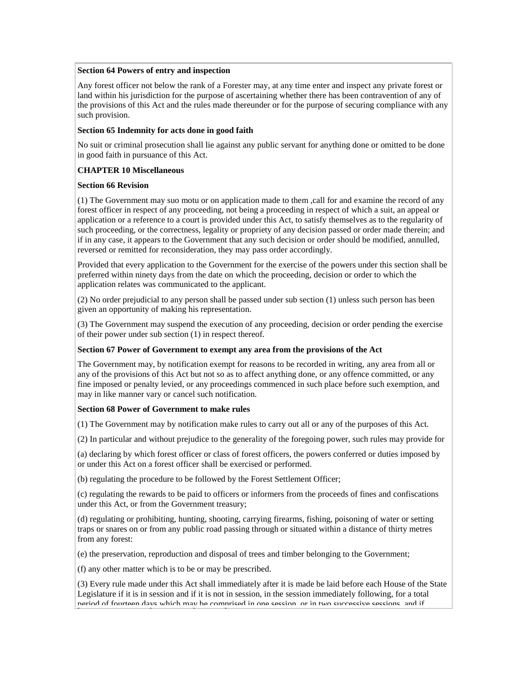#### **Section 64 Powers of entry and inspection**

Any forest officer not below the rank of a Forester may, at any time enter and inspect any private forest or land within his jurisdiction for the purpose of ascertaining whether there has been contravention of any of the provisions of this Act and the rules made thereunder or for the purpose of securing compliance with any such provision.

#### **Section 65 Indemnity for acts done in good faith**

No suit or criminal prosecution shall lie against any public servant for anything done or omitted to be done in good faith in pursuance of this Act.

### **CHAPTER 10 Miscellaneous**

#### **Section 66 Revision**

(1) The Government may suo motu or on application made to them ,call for and examine the record of any forest officer in respect of any proceeding, not being a proceeding in respect of which a suit, an appeal or application or a reference to a court is provided under this Act, to satisfy themselves as to the regularity of such proceeding, or the correctness, legality or propriety of any decision passed or order made therein; and if in any case, it appears to the Government that any such decision or order should be modified, annulled, reversed or remitted for reconsideration, they may pass order accordingly.

Provided that every application to the Government for the exercise of the powers under this section shall be preferred within ninety days from the date on which the proceeding, decision or order to which the application relates was communicated to the applicant.

(2) No order prejudicial to any person shall be passed under sub section (1) unless such person has been given an opportunity of making his representation.

(3) The Government may suspend the execution of any proceeding, decision or order pending the exercise of their power under sub section (1) in respect thereof.

#### **Section 67 Power of Government to exempt any area from the provisions of the Act**

The Government may, by notification exempt for reasons to be recorded in writing, any area from all or any of the provisions of this Act but not so as to affect anything done, or any offence committed, or any fine imposed or penalty levied, or any proceedings commenced in such place before such exemption, and may in like manner vary or cancel such notification.

#### **Section 68 Power of Government to make rules**

(1) The Government may by notification make rules to carry out all or any of the purposes of this Act.

(2) In particular and without prejudice to the generality of the foregoing power, such rules may provide for

(a) declaring by which forest officer or class of forest officers, the powers conferred or duties imposed by or under this Act on a forest officer shall be exercised or performed.

(b) regulating the procedure to be followed by the Forest Settlement Officer;

(c) regulating the rewards to be paid to officers or informers from the proceeds of fines and confiscations under this Act, or from the Government treasury;

(d) regulating or prohibiting, hunting, shooting, carrying firearms, fishing, poisoning of water or setting traps or snares on or from any public road passing through or situated within a distance of thirty metres from any forest:

(e) the preservation, reproduction and disposal of trees and timber belonging to the Government;

(f) any other matter which is to be or may be prescribed.

(3) Every rule made under this Act shall immediately after it is made be laid before each House of the State Legislature if it is in session and if it is not in session, in the session immediately following, for a total period of fourteen days which may be comprised in one session, or in two successive sessions, and if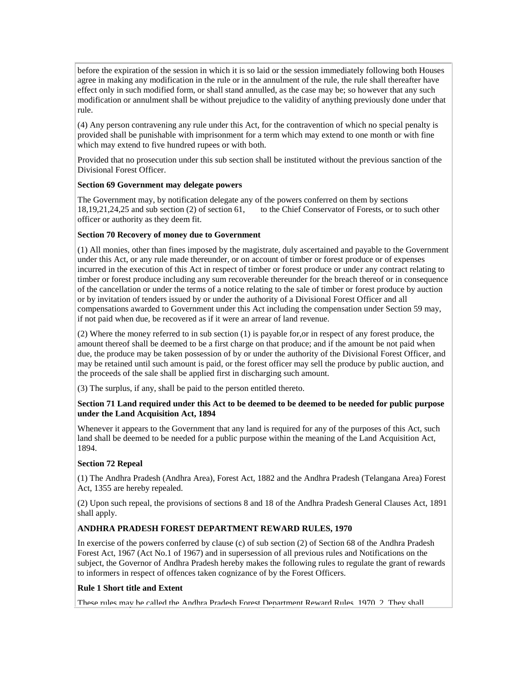before the expiration of the session in which it is so laid or the session immediately following both Houses agree in making any modification in the rule or in the annulment of the rule, the rule shall thereafter have effect only in such modified form, or shall stand annulled, as the case may be; so however that any such modification or annulment shall be without prejudice to the validity of anything previously done under that rule.

(4) Any person contravening any rule under this Act, for the contravention of which no special penalty is provided shall be punishable with imprisonment for a term which may extend to one month or with fine which may extend to five hundred rupees or with both.

Provided that no prosecution under this sub section shall be instituted without the previous sanction of the Divisional Forest Officer.

#### **Section 69 Government may delegate powers**

The Government may, by notification delegate any of the powers conferred on them by sections 18,19,21,24,25 and sub section (2) of section 61, to the Chief Conservator of Forests, or to such other officer or authority as they deem fit.

#### **Section 70 Recovery of money due to Government**

(1) All monies, other than fines imposed by the magistrate, duly ascertained and payable to the Government under this Act, or any rule made thereunder, or on account of timber or forest produce or of expenses incurred in the execution of this Act in respect of timber or forest produce or under any contract relating to timber or forest produce including any sum recoverable thereunder for the breach thereof or in consequence of the cancellation or under the terms of a notice relating to the sale of timber or forest produce by auction or by invitation of tenders issued by or under the authority of a Divisional Forest Officer and all compensations awarded to Government under this Act including the compensation under Section 59 may, if not paid when due, be recovered as if it were an arrear of land revenue.

(2) Where the money referred to in sub section (1) is payable for,or in respect of any forest produce, the amount thereof shall be deemed to be a first charge on that produce; and if the amount be not paid when due, the produce may be taken possession of by or under the authority of the Divisional Forest Officer, and may be retained until such amount is paid, or the forest officer may sell the produce by public auction, and the proceeds of the sale shall be applied first in discharging such amount.

(3) The surplus, if any, shall be paid to the person entitled thereto.

### **Section 71 Land required under this Act to be deemed to be deemed to be needed for public purpose under the Land Acquisition Act, 1894**

Whenever it appears to the Government that any land is required for any of the purposes of this Act, such land shall be deemed to be needed for a public purpose within the meaning of the Land Acquisition Act, 1894.

### **Section 72 Repeal**

(1) The Andhra Pradesh (Andhra Area), Forest Act, 1882 and the Andhra Pradesh (Telangana Area) Forest Act, 1355 are hereby repealed.

(2) Upon such repeal, the provisions of sections 8 and 18 of the Andhra Pradesh General Clauses Act, 1891 shall apply.

### **ANDHRA PRADESH FOREST DEPARTMENT REWARD RULES, 1970**

In exercise of the powers conferred by clause (c) of sub section (2) of Section 68 of the Andhra Pradesh Forest Act, 1967 (Act No.1 of 1967) and in supersession of all previous rules and Notifications on the subject, the Governor of Andhra Pradesh hereby makes the following rules to regulate the grant of rewards to informers in respect of offences taken cognizance of by the Forest Officers.

### **Rule 1 Short title and Extent**

These rules may be called the Andhra Pradesh Forest Department Reward Rules, 1970. 2. They shall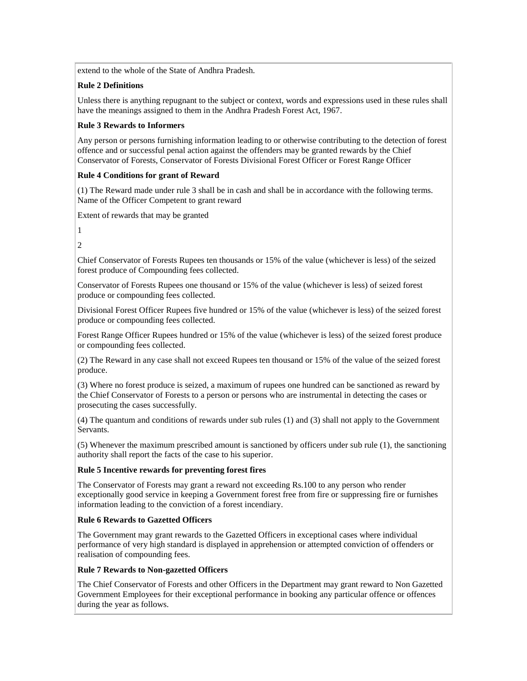extend to the whole of the State of Andhra Pradesh.

### **Rule 2 Definitions**

Unless there is anything repugnant to the subject or context, words and expressions used in these rules shall have the meanings assigned to them in the Andhra Pradesh Forest Act, 1967.

## **Rule 3 Rewards to Informers**

Any person or persons furnishing information leading to or otherwise contributing to the detection of forest offence and or successful penal action against the offenders may be granted rewards by the Chief Conservator of Forests, Conservator of Forests Divisional Forest Officer or Forest Range Officer

## **Rule 4 Conditions for grant of Reward**

(1) The Reward made under rule 3 shall be in cash and shall be in accordance with the following terms. Name of the Officer Competent to grant reward

Extent of rewards that may be granted

1

2

Chief Conservator of Forests Rupees ten thousands or 15% of the value (whichever is less) of the seized forest produce of Compounding fees collected.

Conservator of Forests Rupees one thousand or 15% of the value (whichever is less) of seized forest produce or compounding fees collected.

Divisional Forest Officer Rupees five hundred or 15% of the value (whichever is less) of the seized forest produce or compounding fees collected.

Forest Range Officer Rupees hundred or 15% of the value (whichever is less) of the seized forest produce or compounding fees collected.

(2) The Reward in any case shall not exceed Rupees ten thousand or 15% of the value of the seized forest produce.

(3) Where no forest produce is seized, a maximum of rupees one hundred can be sanctioned as reward by the Chief Conservator of Forests to a person or persons who are instrumental in detecting the cases or prosecuting the cases successfully.

(4) The quantum and conditions of rewards under sub rules (1) and (3) shall not apply to the Government Servants.

(5) Whenever the maximum prescribed amount is sanctioned by officers under sub rule (1), the sanctioning authority shall report the facts of the case to his superior.

### **Rule 5 Incentive rewards for preventing forest fires**

The Conservator of Forests may grant a reward not exceeding Rs.100 to any person who render exceptionally good service in keeping a Government forest free from fire or suppressing fire or furnishes information leading to the conviction of a forest incendiary.

### **Rule 6 Rewards to Gazetted Officers**

The Government may grant rewards to the Gazetted Officers in exceptional cases where individual performance of very high standard is displayed in apprehension or attempted conviction of offenders or realisation of compounding fees.

### **Rule 7 Rewards to Non-gazetted Officers**

The Chief Conservator of Forests and other Officers in the Department may grant reward to Non Gazetted Government Employees for their exceptional performance in booking any particular offence or offences during the year as follows.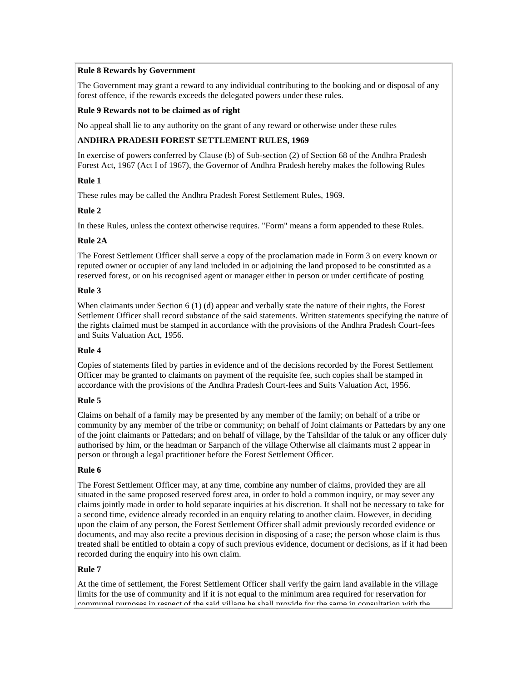### **Rule 8 Rewards by Government**

The Government may grant a reward to any individual contributing to the booking and or disposal of any forest offence, if the rewards exceeds the delegated powers under these rules.

### **Rule 9 Rewards not to be claimed as of right**

No appeal shall lie to any authority on the grant of any reward or otherwise under these rules

### **ANDHRA PRADESH FOREST SETTLEMENT RULES, 1969**

In exercise of powers conferred by Clause (b) of Sub-section (2) of Section 68 of the Andhra Pradesh Forest Act, 1967 (Act I of 1967), the Governor of Andhra Pradesh hereby makes the following Rules

## **Rule 1**

These rules may be called the Andhra Pradesh Forest Settlement Rules, 1969.

## **Rule 2**

In these Rules, unless the context otherwise requires. "Form" means a form appended to these Rules.

## **Rule 2A**

The Forest Settlement Officer shall serve a copy of the proclamation made in Form 3 on every known or reputed owner or occupier of any land included in or adjoining the land proposed to be constituted as a reserved forest, or on his recognised agent or manager either in person or under certificate of posting

## **Rule 3**

When claimants under Section 6 (1) (d) appear and verbally state the nature of their rights, the Forest Settlement Officer shall record substance of the said statements. Written statements specifying the nature of the rights claimed must be stamped in accordance with the provisions of the Andhra Pradesh Court-fees and Suits Valuation Act, 1956.

# **Rule 4**

Copies of statements filed by parties in evidence and of the decisions recorded by the Forest Settlement Officer may be granted to claimants on payment of the requisite fee, such copies shall be stamped in accordance with the provisions of the Andhra Pradesh Court-fees and Suits Valuation Act, 1956.

### **Rule 5**

Claims on behalf of a family may be presented by any member of the family; on behalf of a tribe or community by any member of the tribe or community; on behalf of Joint claimants or Pattedars by any one of the joint claimants or Pattedars; and on behalf of village, by the Tahsildar of the taluk or any officer duly authorised by him, or the headman or Sarpanch of the village Otherwise all claimants must 2 appear in person or through a legal practitioner before the Forest Settlement Officer.

### **Rule 6**

The Forest Settlement Officer may, at any time, combine any number of claims, provided they are all situated in the same proposed reserved forest area, in order to hold a common inquiry, or may sever any claims jointly made in order to hold separate inquiries at his discretion. It shall not be necessary to take for a second time, evidence already recorded in an enquiry relating to another claim. However, in deciding upon the claim of any person, the Forest Settlement Officer shall admit previously recorded evidence or documents, and may also recite a previous decision in disposing of a case; the person whose claim is thus treated shall be entitled to obtain a copy of such previous evidence, document or decisions, as if it had been recorded during the enquiry into his own claim.

### **Rule 7**

At the time of settlement, the Forest Settlement Officer shall verify the gairn land available in the village limits for the use of community and if it is not equal to the minimum area required for reservation for communal purposes in respect of the said village he shall provide for the same in consultation with the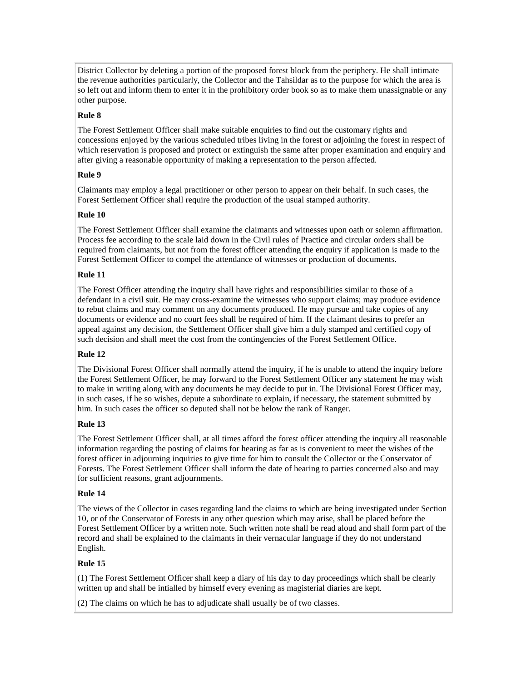District Collector by deleting a portion of the proposed forest block from the periphery. He shall intimate the revenue authorities particularly, the Collector and the Tahsildar as to the purpose for which the area is so left out and inform them to enter it in the prohibitory order book so as to make them unassignable or any other purpose.

### **Rule 8**

The Forest Settlement Officer shall make suitable enquiries to find out the customary rights and concessions enjoyed by the various scheduled tribes living in the forest or adjoining the forest in respect of which reservation is proposed and protect or extinguish the same after proper examination and enquiry and after giving a reasonable opportunity of making a representation to the person affected.

### **Rule 9**

Claimants may employ a legal practitioner or other person to appear on their behalf. In such cases, the Forest Settlement Officer shall require the production of the usual stamped authority.

### **Rule 10**

The Forest Settlement Officer shall examine the claimants and witnesses upon oath or solemn affirmation. Process fee according to the scale laid down in the Civil rules of Practice and circular orders shall be required from claimants, but not from the forest officer attending the enquiry if application is made to the Forest Settlement Officer to compel the attendance of witnesses or production of documents.

### **Rule 11**

The Forest Officer attending the inquiry shall have rights and responsibilities similar to those of a defendant in a civil suit. He may cross-examine the witnesses who support claims; may produce evidence to rebut claims and may comment on any documents produced. He may pursue and take copies of any documents or evidence and no court fees shall be required of him. If the claimant desires to prefer an appeal against any decision, the Settlement Officer shall give him a duly stamped and certified copy of such decision and shall meet the cost from the contingencies of the Forest Settlement Office.

### **Rule 12**

The Divisional Forest Officer shall normally attend the inquiry, if he is unable to attend the inquiry before the Forest Settlement Officer, he may forward to the Forest Settlement Officer any statement he may wish to make in writing along with any documents he may decide to put in. The Divisional Forest Officer may, in such cases, if he so wishes, depute a subordinate to explain, if necessary, the statement submitted by him. In such cases the officer so deputed shall not be below the rank of Ranger.

### **Rule 13**

The Forest Settlement Officer shall, at all times afford the forest officer attending the inquiry all reasonable information regarding the posting of claims for hearing as far as is convenient to meet the wishes of the forest officer in adjourning inquiries to give time for him to consult the Collector or the Conservator of Forests. The Forest Settlement Officer shall inform the date of hearing to parties concerned also and may for sufficient reasons, grant adjournments.

### **Rule 14**

The views of the Collector in cases regarding land the claims to which are being investigated under Section 10, or of the Conservator of Forests in any other question which may arise, shall be placed before the Forest Settlement Officer by a written note. Such written note shall be read aloud and shall form part of the record and shall be explained to the claimants in their vernacular language if they do not understand English.

# **Rule 15**

(1) The Forest Settlement Officer shall keep a diary of his day to day proceedings which shall be clearly written up and shall be intialled by himself every evening as magisterial diaries are kept.

(2) The claims on which he has to adjudicate shall usually be of two classes.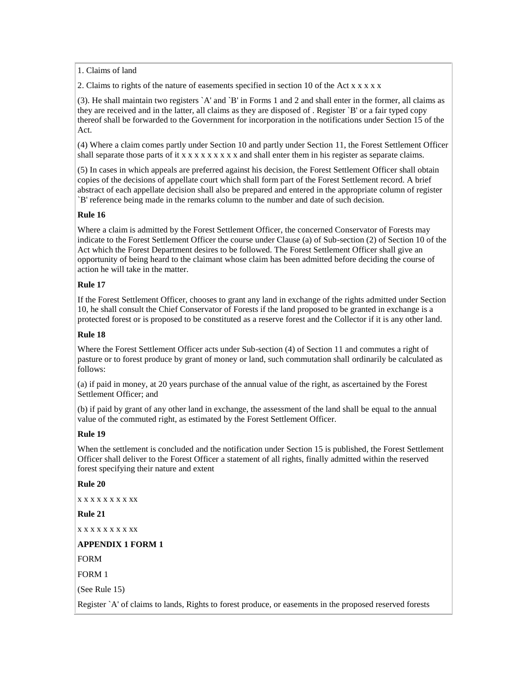1. Claims of land

2. Claims to rights of the nature of easements specified in section 10 of the Act x x x x x

(3). He shall maintain two registers `A' and `B' in Forms 1 and 2 and shall enter in the former, all claims as they are received and in the latter, all claims as they are disposed of . Register `B' or a fair typed copy thereof shall be forwarded to the Government for incorporation in the notifications under Section 15 of the Act.

(4) Where a claim comes partly under Section 10 and partly under Section 11, the Forest Settlement Officer shall separate those parts of it  $x \times x \times x \times x \times x \times x$  and shall enter them in his register as separate claims.

(5) In cases in which appeals are preferred against his decision, the Forest Settlement Officer shall obtain copies of the decisions of appellate court which shall form part of the Forest Settlement record. A brief abstract of each appellate decision shall also be prepared and entered in the appropriate column of register `B' reference being made in the remarks column to the number and date of such decision.

### **Rule 16**

Where a claim is admitted by the Forest Settlement Officer, the concerned Conservator of Forests may indicate to the Forest Settlement Officer the course under Clause (a) of Sub-section (2) of Section 10 of the Act which the Forest Department desires to be followed. The Forest Settlement Officer shall give an opportunity of being heard to the claimant whose claim has been admitted before deciding the course of action he will take in the matter.

### **Rule 17**

If the Forest Settlement Officer, chooses to grant any land in exchange of the rights admitted under Section 10, he shall consult the Chief Conservator of Forests if the land proposed to be granted in exchange is a protected forest or is proposed to be constituted as a reserve forest and the Collector if it is any other land.

### **Rule 18**

Where the Forest Settlement Officer acts under Sub-section (4) of Section 11 and commutes a right of pasture or to forest produce by grant of money or land, such commutation shall ordinarily be calculated as follows:

(a) if paid in money, at 20 years purchase of the annual value of the right, as ascertained by the Forest Settlement Officer; and

(b) if paid by grant of any other land in exchange, the assessment of the land shall be equal to the annual value of the commuted right, as estimated by the Forest Settlement Officer.

### **Rule 19**

When the settlement is concluded and the notification under Section 15 is published, the Forest Settlement Officer shall deliver to the Forest Officer a statement of all rights, finally admitted within the reserved forest specifying their nature and extent

#### **Rule 20**

x x x x x x x x xx

**Rule 21** 

x x x x x x x x xx

### **APPENDIX 1 FORM 1**

FORM

FORM 1

(See Rule 15)

Register `A' of claims to lands, Rights to forest produce, or easements in the proposed reserved forests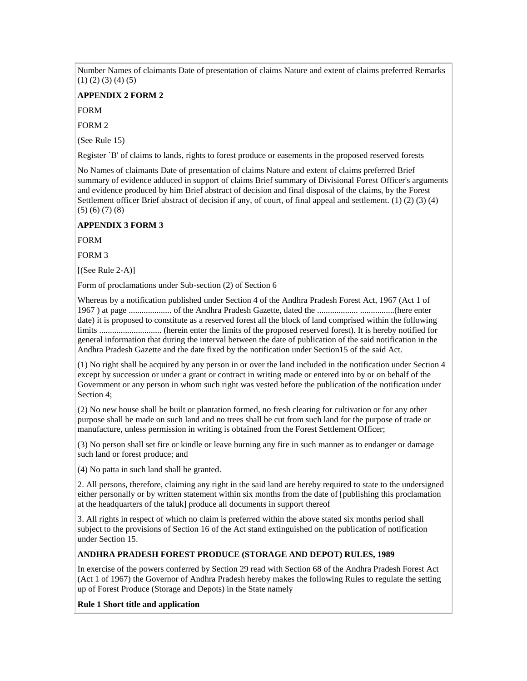Number Names of claimants Date of presentation of claims Nature and extent of claims preferred Remarks  $(1)$   $(2)$   $(3)$   $(4)$   $(5)$ 

#### **APPENDIX 2 FORM 2**

FORM

FORM 2

(See Rule 15)

Register `B' of claims to lands, rights to forest produce or easements in the proposed reserved forests

No Names of claimants Date of presentation of claims Nature and extent of claims preferred Brief summary of evidence adduced in support of claims Brief summary of Divisional Forest Officer's arguments and evidence produced by him Brief abstract of decision and final disposal of the claims, by the Forest Settlement officer Brief abstract of decision if any, of court, of final appeal and settlement. (1) (2) (3) (4) (5) (6) (7) (8)

#### **APPENDIX 3 FORM 3**

FORM

FORM 3

 $[(See Rule 2-A)]$ 

Form of proclamations under Sub-section (2) of Section 6

Whereas by a notification published under Section 4 of the Andhra Pradesh Forest Act, 1967 (Act 1 of 1967 ) at page .................... of the Andhra Pradesh Gazette, dated the ................... ................(here enter date) it is proposed to constitute as a reserved forest all the block of land comprised within the following limits ............................. (herein enter the limits of the proposed reserved forest). It is hereby notified for general information that during the interval between the date of publication of the said notification in the Andhra Pradesh Gazette and the date fixed by the notification under Section15 of the said Act.

(1) No right shall be acquired by any person in or over the land included in the notification under Section 4 except by succession or under a grant or contract in writing made or entered into by or on behalf of the Government or any person in whom such right was vested before the publication of the notification under Section 4;

(2) No new house shall be built or plantation formed, no fresh clearing for cultivation or for any other purpose shall be made on such land and no trees shall be cut from such land for the purpose of trade or manufacture, unless permission in writing is obtained from the Forest Settlement Officer;

(3) No person shall set fire or kindle or leave burning any fire in such manner as to endanger or damage such land or forest produce; and

(4) No patta in such land shall be granted.

2. All persons, therefore, claiming any right in the said land are hereby required to state to the undersigned either personally or by written statement within six months from the date of [publishing this proclamation at the headquarters of the taluk] produce all documents in support thereof

3. All rights in respect of which no claim is preferred within the above stated six months period shall subject to the provisions of Section 16 of the Act stand extinguished on the publication of notification under Section 15.

#### **ANDHRA PRADESH FOREST PRODUCE (STORAGE AND DEPOT) RULES, 1989**

In exercise of the powers conferred by Section 29 read with Section 68 of the Andhra Pradesh Forest Act (Act 1 of 1967) the Governor of Andhra Pradesh hereby makes the following Rules to regulate the setting up of Forest Produce (Storage and Depots) in the State namely

#### **Rule 1 Short title and application**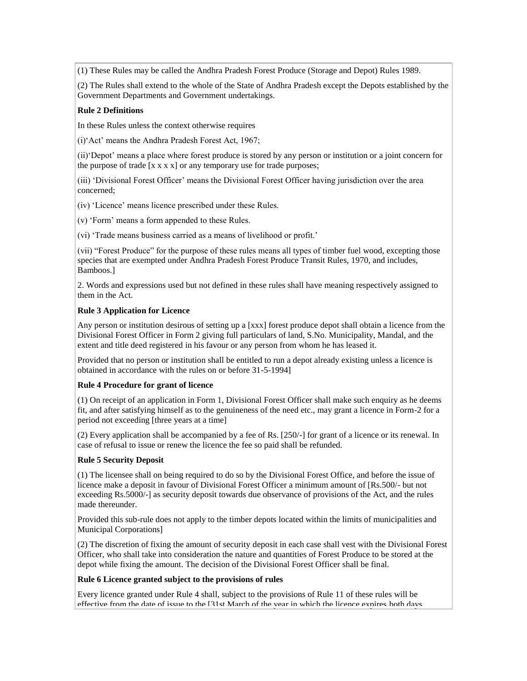(1) These Rules may be called the Andhra Pradesh Forest Produce (Storage and Depot) Rules 1989.

(2) The Rules shall extend to the whole of the State of Andhra Pradesh except the Depots established by the Government Departments and Government undertakings.

### **Rule 2 Definitions**

In these Rules unless the context otherwise requires

(i)"Act" means the Andhra Pradesh Forest Act, 1967;

(ii)"Depot" means a place where forest produce is stored by any person or institution or a joint concern for the purpose of trade  $[x x x x]$  or any temporary use for trade purposes;

(iii) "Divisional Forest Officer" means the Divisional Forest Officer having jurisdiction over the area concerned;

(iv) "Licence" means licence prescribed under these Rules.

(v) "Form" means a form appended to these Rules.

(vi) "Trade means business carried as a means of livelihood or profit."

(vii) "Forest Produce" for the purpose of these rules means all types of timber fuel wood, excepting those species that are exempted under Andhra Pradesh Forest Produce Transit Rules, 1970, and includes, Bamboos.]

2. Words and expressions used but not defined in these rules shall have meaning respectively assigned to them in the Act.

### **Rule 3 Application for Licence**

Any person or institution desirous of setting up a [xxx] forest produce depot shall obtain a licence from the Divisional Forest Officer in Form 2 giving full particulars of land, S.No. Municipality, Mandal, and the extent and title deed registered in his favour or any person from whom he has leased it.

Provided that no person or institution shall be entitled to run a depot already existing unless a licence is obtained in accordance with the rules on or before 31-5-1994]

### **Rule 4 Procedure for grant of licence**

(1) On receipt of an application in Form 1, Divisional Forest Officer shall make such enquiry as he deems fit, and after satisfying himself as to the genuineness of the need etc., may grant a licence in Form-2 for a period not exceeding [three years at a time]

(2) Every application shall be accompanied by a fee of Rs. [250/-] for grant of a licence or its renewal. In case of refusal to issue or renew the licence the fee so paid shall be refunded.

### **Rule 5 Security Deposit**

(1) The licensee shall on being required to do so by the Divisional Forest Office, and before the issue of licence make a deposit in favour of Divisional Forest Officer a minimum amount of [Rs.500/- but not exceeding Rs.5000/-] as security deposit towards due observance of provisions of the Act, and the rules made thereunder.

Provided this sub-rule does not apply to the timber depots located within the limits of municipalities and Municipal Corporations]

(2) The discretion of fixing the amount of security deposit in each case shall vest with the Divisional Forest Officer, who shall take into consideration the nature and quantities of Forest Produce to be stored at the depot while fixing the amount. The decision of the Divisional Forest Officer shall be final.

### **Rule 6 Licence granted subject to the provisions of rules**

Every licence granted under Rule 4 shall, subject to the provisions of Rule 11 of these rules will be effective from the date of issue to the [31st March of the year in which the licence expires both days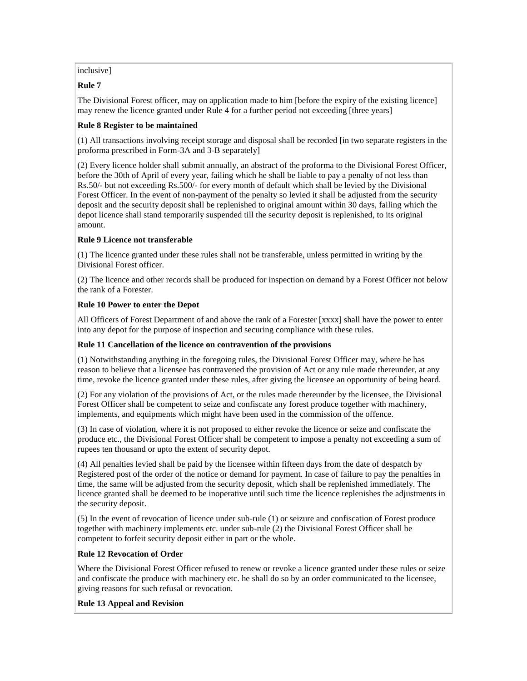### inclusive]

## **Rule 7**

The Divisional Forest officer, may on application made to him [before the expiry of the existing licence] may renew the licence granted under Rule 4 for a further period not exceeding [three years]

## **Rule 8 Register to be maintained**

(1) All transactions involving receipt storage and disposal shall be recorded [in two separate registers in the proforma prescribed in Form-3A and 3-B separately]

(2) Every licence holder shall submit annually, an abstract of the proforma to the Divisional Forest Officer, before the 30th of April of every year, failing which he shall be liable to pay a penalty of not less than Rs.50/- but not exceeding Rs.500/- for every month of default which shall be levied by the Divisional Forest Officer. In the event of non-payment of the penalty so levied it shall be adjusted from the security deposit and the security deposit shall be replenished to original amount within 30 days, failing which the depot licence shall stand temporarily suspended till the security deposit is replenished, to its original amount.

## **Rule 9 Licence not transferable**

(1) The licence granted under these rules shall not be transferable, unless permitted in writing by the Divisional Forest officer.

(2) The licence and other records shall be produced for inspection on demand by a Forest Officer not below the rank of a Forester.

## **Rule 10 Power to enter the Depot**

All Officers of Forest Department of and above the rank of a Forester [xxxx] shall have the power to enter into any depot for the purpose of inspection and securing compliance with these rules.

### **Rule 11 Cancellation of the licence on contravention of the provisions**

(1) Notwithstanding anything in the foregoing rules, the Divisional Forest Officer may, where he has reason to believe that a licensee has contravened the provision of Act or any rule made thereunder, at any time, revoke the licence granted under these rules, after giving the licensee an opportunity of being heard.

(2) For any violation of the provisions of Act, or the rules made thereunder by the licensee, the Divisional Forest Officer shall be competent to seize and confiscate any forest produce together with machinery, implements, and equipments which might have been used in the commission of the offence.

(3) In case of violation, where it is not proposed to either revoke the licence or seize and confiscate the produce etc., the Divisional Forest Officer shall be competent to impose a penalty not exceeding a sum of rupees ten thousand or upto the extent of security depot.

(4) All penalties levied shall be paid by the licensee within fifteen days from the date of despatch by Registered post of the order of the notice or demand for payment. In case of failure to pay the penalties in time, the same will be adjusted from the security deposit, which shall be replenished immediately. The licence granted shall be deemed to be inoperative until such time the licence replenishes the adjustments in the security deposit.

(5) In the event of revocation of licence under sub-rule (1) or seizure and confiscation of Forest produce together with machinery implements etc. under sub-rule (2) the Divisional Forest Officer shall be competent to forfeit security deposit either in part or the whole.

# **Rule 12 Revocation of Order**

Where the Divisional Forest Officer refused to renew or revoke a licence granted under these rules or seize and confiscate the produce with machinery etc. he shall do so by an order communicated to the licensee, giving reasons for such refusal or revocation.

# **Rule 13 Appeal and Revision**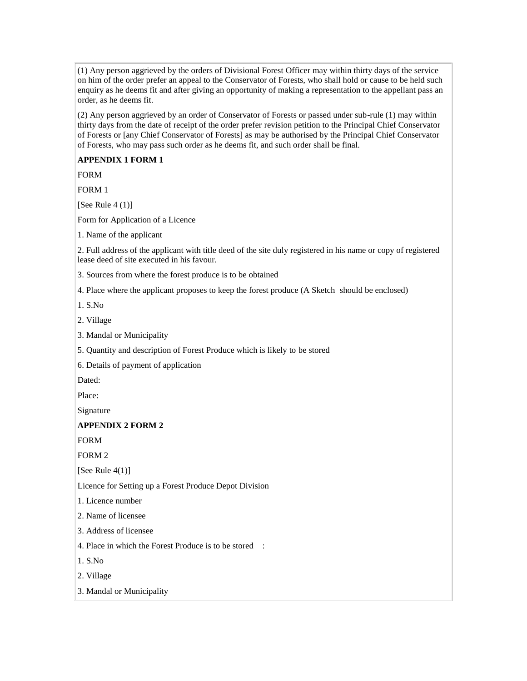(1) Any person aggrieved by the orders of Divisional Forest Officer may within thirty days of the service on him of the order prefer an appeal to the Conservator of Forests, who shall hold or cause to be held such enquiry as he deems fit and after giving an opportunity of making a representation to the appellant pass an order, as he deems fit.

(2) Any person aggrieved by an order of Conservator of Forests or passed under sub-rule (1) may within thirty days from the date of receipt of the order prefer revision petition to the Principal Chief Conservator of Forests or [any Chief Conservator of Forests] as may be authorised by the Principal Chief Conservator of Forests, who may pass such order as he deems fit, and such order shall be final.

### **APPENDIX 1 FORM 1**

FORM

FORM 1

[See Rule  $4(1)$ ]

Form for Application of a Licence

1. Name of the applicant

2. Full address of the applicant with title deed of the site duly registered in his name or copy of registered lease deed of site executed in his favour.

3. Sources from where the forest produce is to be obtained

4. Place where the applicant proposes to keep the forest produce (A Sketch should be enclosed)

1. S.No

2. Village

3. Mandal or Municipality

5. Quantity and description of Forest Produce which is likely to be stored

6. Details of payment of application

Dated:

Place:

Signature

# **APPENDIX 2 FORM 2**

FORM

FORM 2

[See Rule  $4(1)$ ]

Licence for Setting up a Forest Produce Depot Division

1. Licence number

2. Name of licensee

3. Address of licensee

4. Place in which the Forest Produce is to be stored :

1. S.No

2. Village

3. Mandal or Municipality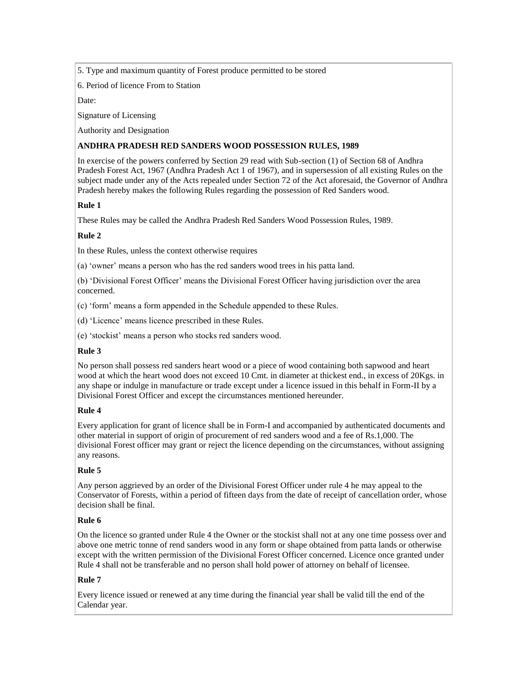### 5. Type and maximum quantity of Forest produce permitted to be stored

6. Period of licence From to Station

Date:

Signature of Licensing

Authority and Designation

## **ANDHRA PRADESH RED SANDERS WOOD POSSESSION RULES, 1989**

In exercise of the powers conferred by Section 29 read with Sub-section (1) of Section 68 of Andhra Pradesh Forest Act, 1967 (Andhra Pradesh Act 1 of 1967), and in supersession of all existing Rules on the subject made under any of the Acts repealed under Section 72 of the Act aforesaid, the Governor of Andhra Pradesh hereby makes the following Rules regarding the possession of Red Sanders wood.

# **Rule 1**

These Rules may be called the Andhra Pradesh Red Sanders Wood Possession Rules, 1989.

# **Rule 2**

In these Rules, unless the context otherwise requires

(a) "owner" means a person who has the red sanders wood trees in his patta land.

(b) "Divisional Forest Officer" means the Divisional Forest Officer having jurisdiction over the area concerned.

(c) "form" means a form appended in the Schedule appended to these Rules.

(d) "Licence" means licence prescribed in these Rules.

(e) "stockist" means a person who stocks red sanders wood.

# **Rule 3**

No person shall possess red sanders heart wood or a piece of wood containing both sapwood and heart wood at which the heart wood does not exceed 10 Cmt. in diameter at thickest end., in excess of 20Kgs. in any shape or indulge in manufacture or trade except under a licence issued in this behalf in Form-II by a Divisional Forest Officer and except the circumstances mentioned hereunder.

### **Rule 4**

Every application for grant of licence shall be in Form-I and accompanied by authenticated documents and other material in support of origin of procurement of red sanders wood and a fee of Rs.1,000. The divisional Forest officer may grant or reject the licence depending on the circumstances, without assigning any reasons.

# **Rule 5**

Any person aggrieved by an order of the Divisional Forest Officer under rule 4 he may appeal to the Conservator of Forests, within a period of fifteen days from the date of receipt of cancellation order, whose decision shall be final.

# **Rule 6**

On the licence so granted under Rule 4 the Owner or the stockist shall not at any one time possess over and above one metric tonne of rend sanders wood in any form or shape obtained from patta lands or otherwise except with the written permission of the Divisional Forest Officer concerned. Licence once granted under Rule 4 shall not be transferable and no person shall hold power of attorney on behalf of licensee.

# **Rule 7**

Every licence issued or renewed at any time during the financial year shall be valid till the end of the Calendar year.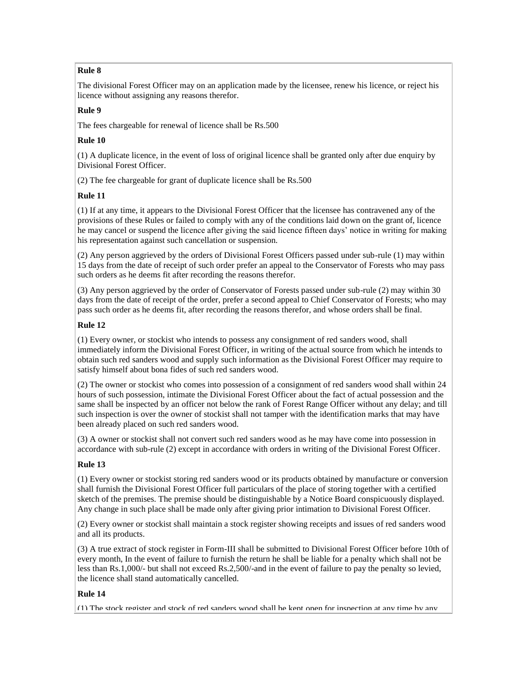# **Rule 8**

The divisional Forest Officer may on an application made by the licensee, renew his licence, or reject his licence without assigning any reasons therefor.

# **Rule 9**

The fees chargeable for renewal of licence shall be Rs.500

## **Rule 10**

(1) A duplicate licence, in the event of loss of original licence shall be granted only after due enquiry by Divisional Forest Officer.

(2) The fee chargeable for grant of duplicate licence shall be Rs.500

# **Rule 11**

(1) If at any time, it appears to the Divisional Forest Officer that the licensee has contravened any of the provisions of these Rules or failed to comply with any of the conditions laid down on the grant of, licence he may cancel or suspend the licence after giving the said licence fifteen days" notice in writing for making his representation against such cancellation or suspension.

(2) Any person aggrieved by the orders of Divisional Forest Officers passed under sub-rule (1) may within 15 days from the date of receipt of such order prefer an appeal to the Conservator of Forests who may pass such orders as he deems fit after recording the reasons therefor.

(3) Any person aggrieved by the order of Conservator of Forests passed under sub-rule (2) may within 30 days from the date of receipt of the order, prefer a second appeal to Chief Conservator of Forests; who may pass such order as he deems fit, after recording the reasons therefor, and whose orders shall be final.

# **Rule 12**

(1) Every owner, or stockist who intends to possess any consignment of red sanders wood, shall immediately inform the Divisional Forest Officer, in writing of the actual source from which he intends to obtain such red sanders wood and supply such information as the Divisional Forest Officer may require to satisfy himself about bona fides of such red sanders wood.

(2) The owner or stockist who comes into possession of a consignment of red sanders wood shall within 24 hours of such possession, intimate the Divisional Forest Officer about the fact of actual possession and the same shall be inspected by an officer not below the rank of Forest Range Officer without any delay; and till such inspection is over the owner of stockist shall not tamper with the identification marks that may have been already placed on such red sanders wood.

(3) A owner or stockist shall not convert such red sanders wood as he may have come into possession in accordance with sub-rule (2) except in accordance with orders in writing of the Divisional Forest Officer.

# **Rule 13**

(1) Every owner or stockist storing red sanders wood or its products obtained by manufacture or conversion shall furnish the Divisional Forest Officer full particulars of the place of storing together with a certified sketch of the premises. The premise should be distinguishable by a Notice Board conspicuously displayed. Any change in such place shall be made only after giving prior intimation to Divisional Forest Officer.

(2) Every owner or stockist shall maintain a stock register showing receipts and issues of red sanders wood and all its products.

(3) A true extract of stock register in Form-III shall be submitted to Divisional Forest Officer before 10th of every month, In the event of failure to furnish the return he shall be liable for a penalty which shall not be less than Rs.1,000/- but shall not exceed Rs.2,500/-and in the event of failure to pay the penalty so levied, the licence shall stand automatically cancelled.

# **Rule 14**

(1) The stock register and stock of red sanders wood shall be kept open for inspection at any time by any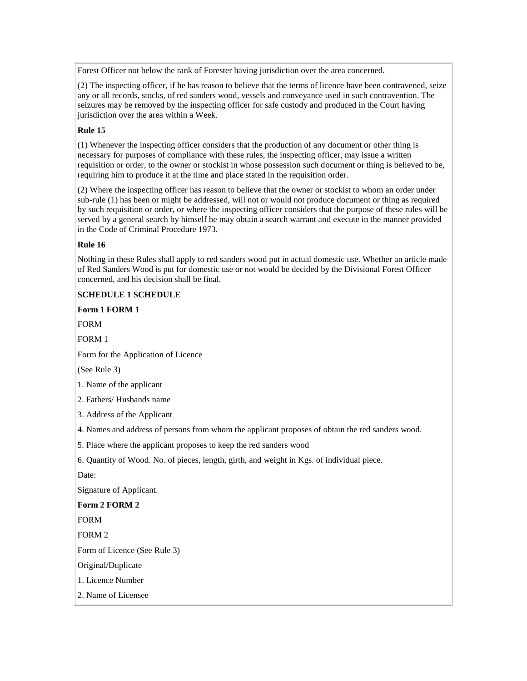Forest Officer not below the rank of Forester having jurisdiction over the area concerned.

(2) The inspecting officer, if he has reason to believe that the terms of licence have been contravened, seize any or all records, stocks, of red sanders wood, vessels and conveyance used in such contravention. The seizures may be removed by the inspecting officer for safe custody and produced in the Court having jurisdiction over the area within a Week.

### **Rule 15**

(1) Whenever the inspecting officer considers that the production of any document or other thing is necessary for purposes of compliance with these rules, the inspecting officer, may issue a written requisition or order, to the owner or stockist in whose possession such document or thing is believed to be, requiring him to produce it at the time and place stated in the requisition order.

(2) Where the inspecting officer has reason to believe that the owner or stockist to whom an order under sub-rule (1) has been or might be addressed, will not or would not produce document or thing as required by such requisition or order, or where the inspecting officer considers that the purpose of these rules will be served by a general search by himself he may obtain a search warrant and execute in the manner provided in the Code of Criminal Procedure 1973.

## **Rule 16**

Nothing in these Rules shall apply to red sanders wood put in actual domestic use. Whether an article made of Red Sanders Wood is put for domestic use or not would be decided by the Divisional Forest Officer concerned, and his decision shall be final.

# **SCHEDULE 1 SCHEDULE**

**Form 1 FORM 1** 

FORM

FORM 1

Form for the Application of Licence

(See Rule 3)

1. Name of the applicant

2. Fathers/ Husbands name

3. Address of the Applicant

4. Names and address of persons from whom the applicant proposes of obtain the red sanders wood.

5. Place where the applicant proposes to keep the red sanders wood

6. Quantity of Wood. No. of pieces, length, girth, and weight in Kgs. of individual piece.

Date:

Signature of Applicant.

**Form 2 FORM 2**

FORM

FORM 2

Form of Licence (See Rule 3)

Original/Duplicate

1. Licence Number

2. Name of Licensee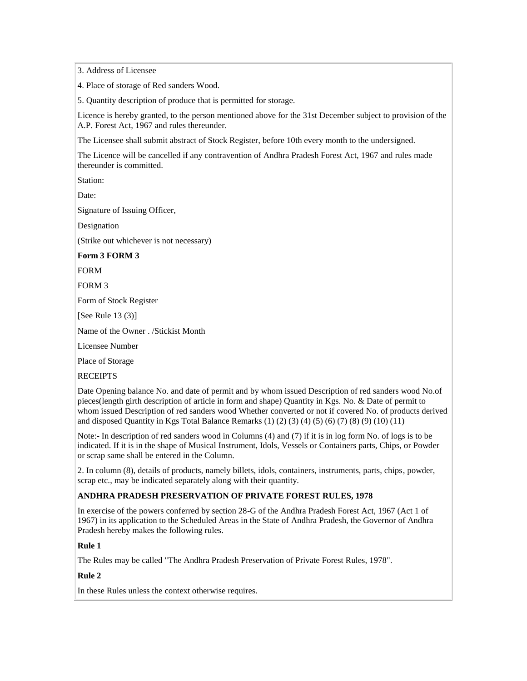3. Address of Licensee

4. Place of storage of Red sanders Wood.

5. Quantity description of produce that is permitted for storage.

Licence is hereby granted, to the person mentioned above for the 31st December subject to provision of the A.P. Forest Act, 1967 and rules thereunder.

The Licensee shall submit abstract of Stock Register, before 10th every month to the undersigned.

The Licence will be cancelled if any contravention of Andhra Pradesh Forest Act, 1967 and rules made thereunder is committed.

Station:

Date:

Signature of Issuing Officer,

Designation

(Strike out whichever is not necessary)

**Form 3 FORM 3**

FORM

FORM 3

Form of Stock Register

[See Rule 13 (3)]

Name of the Owner . /Stickist Month

Licensee Number

Place of Storage

RECEIPTS

Date Opening balance No. and date of permit and by whom issued Description of red sanders wood No.of pieces(length girth description of article in form and shape) Quantity in Kgs. No. & Date of permit to whom issued Description of red sanders wood Whether converted or not if covered No. of products derived and disposed Quantity in Kgs Total Balance Remarks (1) (2) (3) (4) (5) (6) (7) (8) (9) (10) (11)

Note:- In description of red sanders wood in Columns (4) and (7) if it is in log form No. of logs is to be indicated. If it is in the shape of Musical Instrument, Idols, Vessels or Containers parts, Chips, or Powder or scrap same shall be entered in the Column.

2. In column (8), details of products, namely billets, idols, containers, instruments, parts, chips, powder, scrap etc., may be indicated separately along with their quantity.

### **ANDHRA PRADESH PRESERVATION OF PRIVATE FOREST RULES, 1978**

In exercise of the powers conferred by section 28-G of the Andhra Pradesh Forest Act, 1967 (Act 1 of 1967) in its application to the Scheduled Areas in the State of Andhra Pradesh, the Governor of Andhra Pradesh hereby makes the following rules.

### **Rule 1**

The Rules may be called "The Andhra Pradesh Preservation of Private Forest Rules, 1978".

### **Rule 2**

In these Rules unless the context otherwise requires.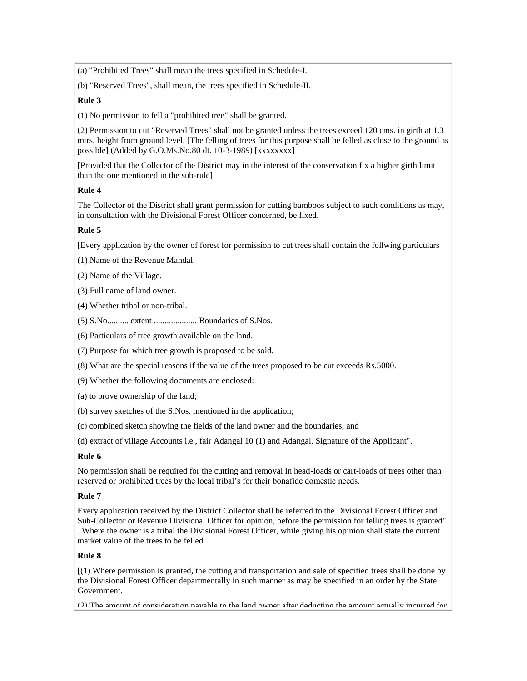(a) "Prohibited Trees" shall mean the trees specified in Schedule-I.

(b) "Reserved Trees", shall mean, the trees specified in Schedule-II.

## **Rule 3**

(1) No permission to fell a "prohibited tree" shall be granted.

(2) Permission to cut "Reserved Trees" shall not be granted unless the trees exceed 120 cms. in girth at 1.3 mtrs. height from ground level. [The felling of trees for this purpose shall be felled as close to the ground as possible] (Added by  $G.O.Ms.No.80$  dt. 10-3-1989) [xxxxxxxx]

[Provided that the Collector of the District may in the interest of the conservation fix a higher girth limit than the one mentioned in the sub-rule]

### **Rule 4**

The Collector of the District shall grant permission for cutting bamboos subject to such conditions as may, in consultation with the Divisional Forest Officer concerned, be fixed.

## **Rule 5**

[Every application by the owner of forest for permission to cut trees shall contain the follwing particulars

(1) Name of the Revenue Mandal.

(2) Name of the Village.

(3) Full name of land owner.

(4) Whether tribal or non-tribal.

(5) S.No.......... extent .................... Boundaries of S.Nos.

(6) Particulars of tree growth available on the land.

(7) Purpose for which tree growth is proposed to be sold.

(8) What are the special reasons if the value of the trees proposed to be cut exceeds Rs.5000.

(9) Whether the following documents are enclosed:

(a) to prove ownership of the land;

(b) survey sketches of the S.Nos. mentioned in the application;

(c) combined sketch showing the fields of the land owner and the boundaries; and

(d) extract of village Accounts i.e., fair Adangal 10 (1) and Adangal. Signature of the Applicant".

### **Rule 6**

No permission shall be required for the cutting and removal in head-loads or cart-loads of trees other than reserved or prohibited trees by the local tribal"s for their bonafide domestic needs.

### **Rule 7**

Every application received by the District Collector shall be referred to the Divisional Forest Officer and Sub-Collector or Revenue Divisional Officer for opinion, before the permission for felling trees is granted" . Where the owner is a tribal the Divisional Forest Officer, while giving his opinion shall state the current market value of the trees to be felled.

### **Rule 8**

[(1) Where permission is granted, the cutting and transportation and sale of specified trees shall be done by the Divisional Forest Officer departmentally in such manner as may be specified in an order by the State Government.

(2) The amount of consideration payable to the land owner after deducting the amount actually incurred for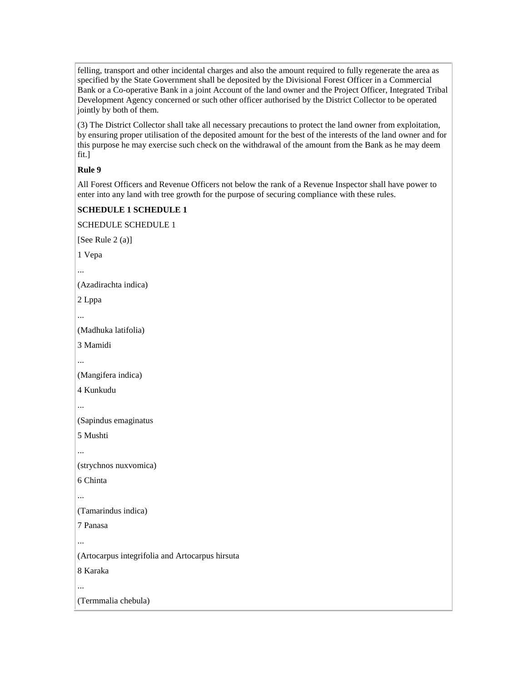felling, transport and other incidental charges and also the amount required to fully regenerate the area as specified by the State Government shall be deposited by the Divisional Forest Officer in a Commercial Bank or a Co-operative Bank in a joint Account of the land owner and the Project Officer, Integrated Tribal Development Agency concerned or such other officer authorised by the District Collector to be operated jointly by both of them.

(3) The District Collector shall take all necessary precautions to protect the land owner from exploitation, by ensuring proper utilisation of the deposited amount for the best of the interests of the land owner and for this purpose he may exercise such check on the withdrawal of the amount from the Bank as he may deem fit.]

# **Rule 9**

All Forest Officers and Revenue Officers not below the rank of a Revenue Inspector shall have power to enter into any land with tree growth for the purpose of securing compliance with these rules.

## **SCHEDULE 1 SCHEDULE 1**

SCHEDULE SCHEDULE 1 [See Rule 2 (a)] 1 Vepa (Azadirachta indica) 2 Lppa ... (Madhuka latifolia) 3 Mamidi ... (Mangifera indica) 4 Kunkudu ... (Sapindus emaginatus 5 Mushti ... (strychnos nuxvomica) 6 Chinta ... (Tamarindus indica) 7 Panasa ... (Artocarpus integrifolia and Artocarpus hirsuta 8 Karaka (Termmalia chebula)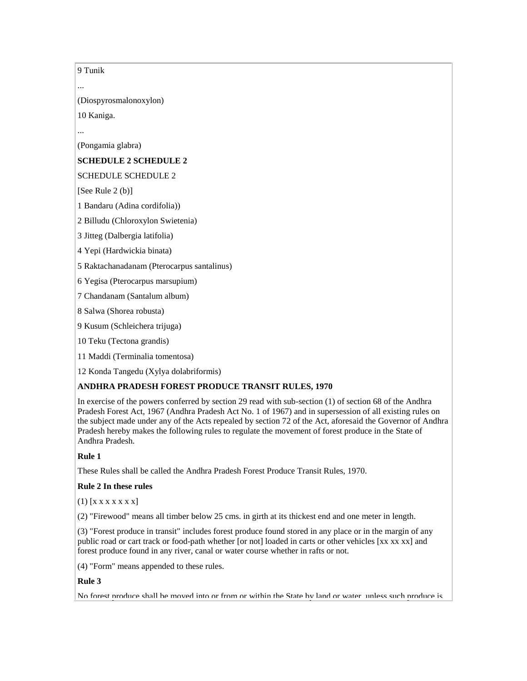9 Tunik

...

(Diospyrosmalonoxylon)

10 Kaniga.

...

(Pongamia glabra)

# **SCHEDULE 2 SCHEDULE 2**

SCHEDULE SCHEDULE 2

 $[See Rule 2 (b)]$ 

1 Bandaru (Adina cordifolia))

2 Billudu (Chloroxylon Swietenia)

3 Jitteg (Dalbergia latifolia)

4 Yepi (Hardwickia binata)

5 Raktachanadanam (Pterocarpus santalinus)

6 Yegisa (Pterocarpus marsupium)

7 Chandanam (Santalum album)

8 Salwa (Shorea robusta)

9 Kusum (Schleichera trijuga)

10 Teku (Tectona grandis)

11 Maddi (Terminalia tomentosa)

12 Konda Tangedu (Xylya dolabriformis)

# **ANDHRA PRADESH FOREST PRODUCE TRANSIT RULES, 1970**

In exercise of the powers conferred by section 29 read with sub-section (1) of section 68 of the Andhra Pradesh Forest Act, 1967 (Andhra Pradesh Act No. 1 of 1967) and in supersession of all existing rules on the subject made under any of the Acts repealed by section 72 of the Act, aforesaid the Governor of Andhra Pradesh hereby makes the following rules to regulate the movement of forest produce in the State of Andhra Pradesh.

# **Rule 1**

These Rules shall be called the Andhra Pradesh Forest Produce Transit Rules, 1970.

# **Rule 2 In these rules**

(1) [x x x x x x x]

(2) "Firewood" means all timber below 25 cms. in girth at its thickest end and one meter in length.

(3) "Forest produce in transit" includes forest produce found stored in any place or in the margin of any public road or cart track or food-path whether [or not] loaded in carts or other vehicles [xx xx xx] and forest produce found in any river, canal or water course whether in rafts or not.

(4) "Form" means appended to these rules.

### **Rule 3**

No forest produce shall be moved into or from or within the State by land or water, unless such produce is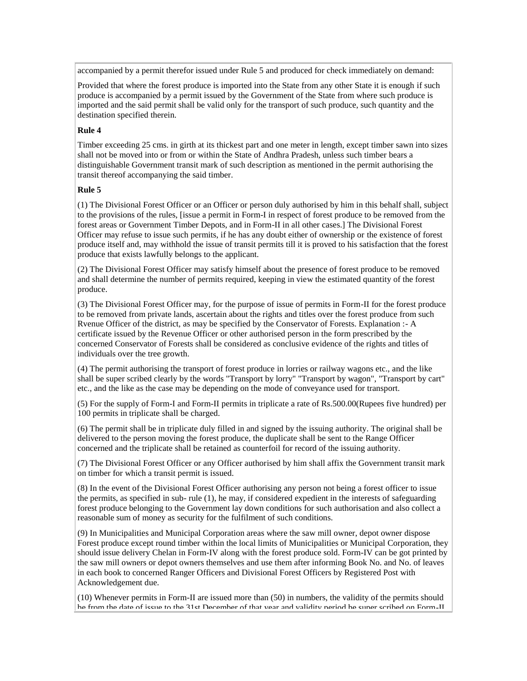accompanied by a permit therefor issued under Rule 5 and produced for check immediately on demand:

Provided that where the forest produce is imported into the State from any other State it is enough if such produce is accompanied by a permit issued by the Government of the State from where such produce is imported and the said permit shall be valid only for the transport of such produce, such quantity and the destination specified therein.

#### **Rule 4**

Timber exceeding 25 cms. in girth at its thickest part and one meter in length, except timber sawn into sizes shall not be moved into or from or within the State of Andhra Pradesh, unless such timber bears a distinguishable Government transit mark of such description as mentioned in the permit authorising the transit thereof accompanying the said timber.

#### **Rule 5**

(1) The Divisional Forest Officer or an Officer or person duly authorised by him in this behalf shall, subject to the provisions of the rules, [issue a permit in Form-I in respect of forest produce to be removed from the forest areas or Government Timber Depots, and in Form-II in all other cases.] The Divisional Forest Officer may refuse to issue such permits, if he has any doubt either of ownership or the existence of forest produce itself and, may withhold the issue of transit permits till it is proved to his satisfaction that the forest produce that exists lawfully belongs to the applicant.

(2) The Divisional Forest Officer may satisfy himself about the presence of forest produce to be removed and shall determine the number of permits required, keeping in view the estimated quantity of the forest produce.

(3) The Divisional Forest Officer may, for the purpose of issue of permits in Form-II for the forest produce to be removed from private lands, ascertain about the rights and titles over the forest produce from such Rvenue Officer of the district, as may be specified by the Conservator of Forests. Explanation :- A certificate issued by the Revenue Officer or other authorised person in the form prescribed by the concerned Conservator of Forests shall be considered as conclusive evidence of the rights and titles of individuals over the tree growth.

(4) The permit authorising the transport of forest produce in lorries or railway wagons etc., and the like shall be super scribed clearly by the words "Transport by lorry" "Transport by wagon", "Transport by cart" etc., and the like as the case may be depending on the mode of conveyance used for transport.

(5) For the supply of Form-I and Form-II permits in triplicate a rate of Rs.500.00(Rupees five hundred) per 100 permits in triplicate shall be charged.

(6) The permit shall be in triplicate duly filled in and signed by the issuing authority. The original shall be delivered to the person moving the forest produce, the duplicate shall be sent to the Range Officer concerned and the triplicate shall be retained as counterfoil for record of the issuing authority.

(7) The Divisional Forest Officer or any Officer authorised by him shall affix the Government transit mark on timber for which a transit permit is issued.

(8) In the event of the Divisional Forest Officer authorising any person not being a forest officer to issue the permits, as specified in sub- rule (1), he may, if considered expedient in the interests of safeguarding forest produce belonging to the Government lay down conditions for such authorisation and also collect a reasonable sum of money as security for the fulfilment of such conditions.

(9) In Municipalities and Municipal Corporation areas where the saw mill owner, depot owner dispose Forest produce except round timber within the local limits of Municipalities or Municipal Corporation, they should issue delivery Chelan in Form-IV along with the forest produce sold. Form-IV can be got printed by the saw mill owners or depot owners themselves and use them after informing Book No. and No. of leaves in each book to concerned Ranger Officers and Divisional Forest Officers by Registered Post with Acknowledgement due.

(10) Whenever permits in Form-II are issued more than (50) in numbers, the validity of the permits should be from the date of issue to the 31st December of that year and validity period be super scribed on Form-II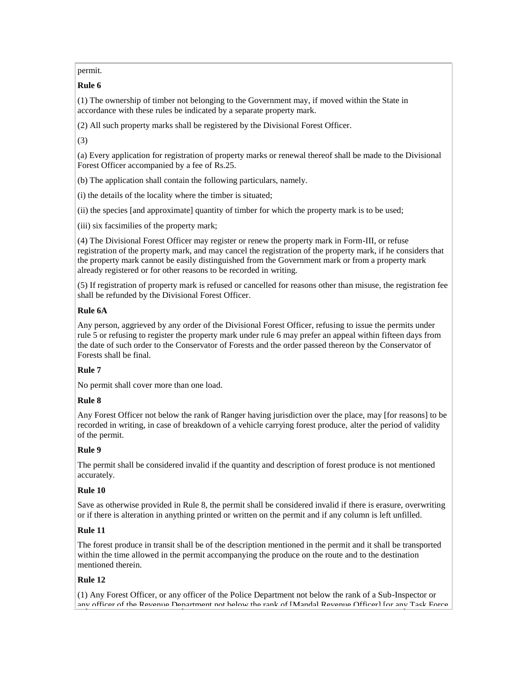permit.

# **Rule 6**

(1) The ownership of timber not belonging to the Government may, if moved within the State in accordance with these rules be indicated by a separate property mark.

(2) All such property marks shall be registered by the Divisional Forest Officer.

(3)

(a) Every application for registration of property marks or renewal thereof shall be made to the Divisional Forest Officer accompanied by a fee of Rs.25.

(b) The application shall contain the following particulars, namely.

(i) the details of the locality where the timber is situated;

(ii) the species [and approximate] quantity of timber for which the property mark is to be used;

(iii) six facsimilies of the property mark;

(4) The Divisional Forest Officer may register or renew the property mark in Form-III, or refuse registration of the property mark, and may cancel the registration of the property mark, if he considers that the property mark cannot be easily distinguished from the Government mark or from a property mark already registered or for other reasons to be recorded in writing.

(5) If registration of property mark is refused or cancelled for reasons other than misuse, the registration fee shall be refunded by the Divisional Forest Officer.

# **Rule 6A**

Any person, aggrieved by any order of the Divisional Forest Officer, refusing to issue the permits under rule 5 or refusing to register the property mark under rule 6 may prefer an appeal within fifteen days from the date of such order to the Conservator of Forests and the order passed thereon by the Conservator of Forests shall be final.

## **Rule 7**

No permit shall cover more than one load.

## **Rule 8**

Any Forest Officer not below the rank of Ranger having jurisdiction over the place, may [for reasons] to be recorded in writing, in case of breakdown of a vehicle carrying forest produce, alter the period of validity of the permit.

# **Rule 9**

The permit shall be considered invalid if the quantity and description of forest produce is not mentioned accurately.

## **Rule 10**

Save as otherwise provided in Rule 8, the permit shall be considered invalid if there is erasure, overwriting or if there is alteration in anything printed or written on the permit and if any column is left unfilled.

## **Rule 11**

The forest produce in transit shall be of the description mentioned in the permit and it shall be transported within the time allowed in the permit accompanying the produce on the route and to the destination mentioned therein.

# **Rule 12**

(1) Any Forest Officer, or any officer of the Police Department not below the rank of a Sub-Inspector or any officer of the Revenue Department not below the rank of [Mandal Revenue Officer] [or any Task Force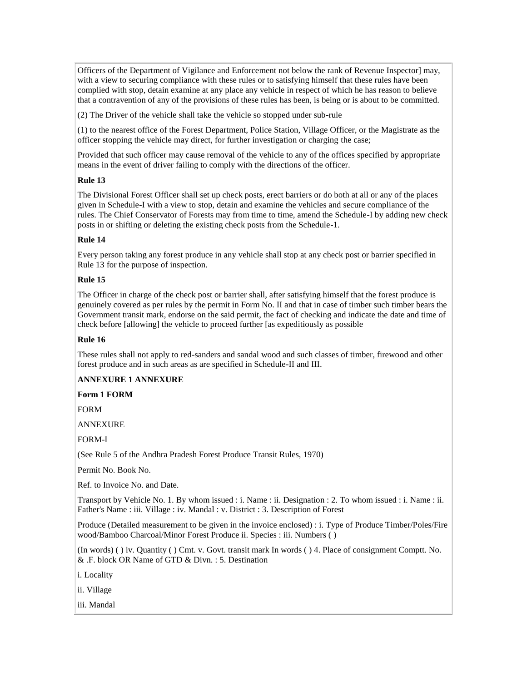Officers of the Department of Vigilance and Enforcement not below the rank of Revenue Inspector] may, with a view to securing compliance with these rules or to satisfying himself that these rules have been complied with stop, detain examine at any place any vehicle in respect of which he has reason to believe that a contravention of any of the provisions of these rules has been, is being or is about to be committed.

(2) The Driver of the vehicle shall take the vehicle so stopped under sub-rule

(1) to the nearest office of the Forest Department, Police Station, Village Officer, or the Magistrate as the officer stopping the vehicle may direct, for further investigation or charging the case;

Provided that such officer may cause removal of the vehicle to any of the offices specified by appropriate means in the event of driver failing to comply with the directions of the officer.

# **Rule 13**

The Divisional Forest Officer shall set up check posts, erect barriers or do both at all or any of the places given in Schedule-I with a view to stop, detain and examine the vehicles and secure compliance of the rules. The Chief Conservator of Forests may from time to time, amend the Schedule-I by adding new check posts in or shifting or deleting the existing check posts from the Schedule-1.

# **Rule 14**

Every person taking any forest produce in any vehicle shall stop at any check post or barrier specified in Rule 13 for the purpose of inspection.

# **Rule 15**

The Officer in charge of the check post or barrier shall, after satisfying himself that the forest produce is genuinely covered as per rules by the permit in Form No. II and that in case of timber such timber bears the Government transit mark, endorse on the said permit, the fact of checking and indicate the date and time of check before [allowing] the vehicle to proceed further [as expeditiously as possible

# **Rule 16**

These rules shall not apply to red-sanders and sandal wood and such classes of timber, firewood and other forest produce and in such areas as are specified in Schedule-II and III.

## **ANNEXURE 1 ANNEXURE**

## **Form 1 FORM**

FORM

ANNEXURE

FORM-I

(See Rule 5 of the Andhra Pradesh Forest Produce Transit Rules, 1970)

Permit No. Book No.

Ref. to Invoice No. and Date.

Transport by Vehicle No. 1. By whom issued : i. Name : ii. Designation : 2. To whom issued : i. Name : ii. Father's Name : iii. Village : iv. Mandal : v. District : 3. Description of Forest

Produce (Detailed measurement to be given in the invoice enclosed) : i. Type of Produce Timber/Poles/Fire wood/Bamboo Charcoal/Minor Forest Produce ii. Species : iii. Numbers ( )

(In words) ( ) iv. Quantity ( ) Cmt. v. Govt. transit mark In words ( ) 4. Place of consignment Comptt. No. & .F. block OR Name of GTD & Divn. : 5. Destination

i. Locality

ii. Village

iii. Mandal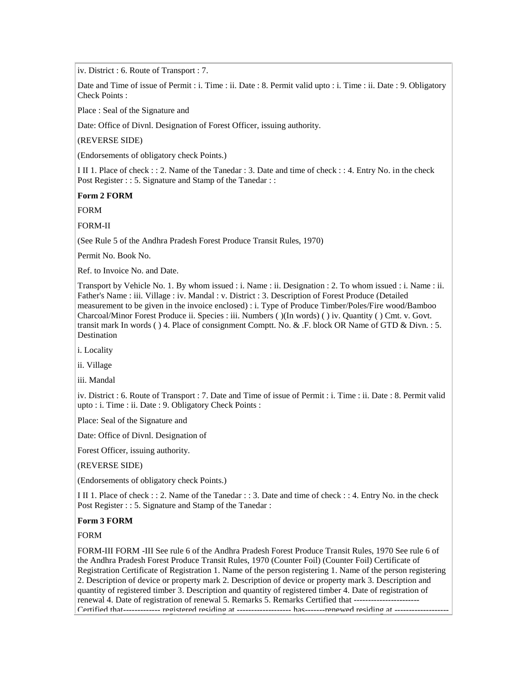iv. District : 6. Route of Transport : 7.

Date and Time of issue of Permit : i. Time : ii. Date : 8. Permit valid upto : i. Time : ii. Date : 9. Obligatory Check Points :

Place : Seal of the Signature and

Date: Office of Divnl. Designation of Forest Officer, issuing authority.

(REVERSE SIDE)

(Endorsements of obligatory check Points.)

I II 1. Place of check : : 2. Name of the Tanedar : 3. Date and time of check : : 4. Entry No. in the check Post Register : : 5. Signature and Stamp of the Tanedar : :

**Form 2 FORM**

FORM

FORM-II

(See Rule 5 of the Andhra Pradesh Forest Produce Transit Rules, 1970)

Permit No. Book No.

Ref. to Invoice No. and Date.

Transport by Vehicle No. 1. By whom issued : i. Name : ii. Designation : 2. To whom issued : i. Name : ii. Father's Name : iii. Village : iv. Mandal : v. District : 3. Description of Forest Produce (Detailed measurement to be given in the invoice enclosed) : i. Type of Produce Timber/Poles/Fire wood/Bamboo Charcoal/Minor Forest Produce ii. Species : iii. Numbers ( )(In words) ( ) iv. Quantity ( ) Cmt. v. Govt. transit mark In words ( ) 4. Place of consignment Comptt. No. & .F. block OR Name of GTD & Divn. : 5. Destination

i. Locality

ii. Village

iii. Mandal

iv. District : 6. Route of Transport : 7. Date and Time of issue of Permit : i. Time : ii. Date : 8. Permit valid upto : i. Time : ii. Date : 9. Obligatory Check Points :

Place: Seal of the Signature and

Date: Office of Divnl. Designation of

Forest Officer, issuing authority.

(REVERSE SIDE)

(Endorsements of obligatory check Points.)

I II 1. Place of check : : 2. Name of the Tanedar : : 3. Date and time of check : : 4. Entry No. in the check Post Register : : 5. Signature and Stamp of the Tanedar :

#### **Form 3 FORM**

FORM

FORM-III FORM -III See rule 6 of the Andhra Pradesh Forest Produce Transit Rules, 1970 See rule 6 of the Andhra Pradesh Forest Produce Transit Rules, 1970 (Counter Foil) (Counter Foil) Certificate of Registration Certificate of Registration 1. Name of the person registering 1. Name of the person registering 2. Description of device or property mark 2. Description of device or property mark 3. Description and quantity of registered timber 3. Description and quantity of registered timber 4. Date of registration of renewal 4. Date of registration of renewal 5. Remarks 5. Remarks Certified that -----------------------------Certified that------------- registered residing at ------------------- has-------renewed residing at -------------------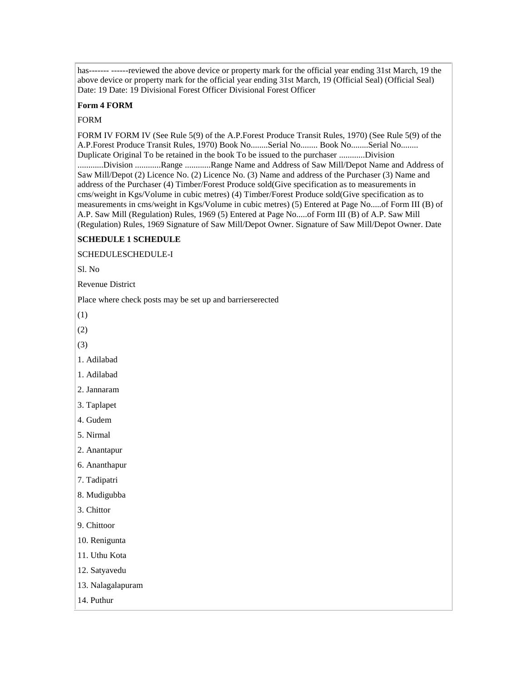has------- -------reviewed the above device or property mark for the official year ending 31st March, 19 the above device or property mark for the official year ending 31st March, 19 (Official Seal) (Official Seal) Date: 19 Date: 19 Divisional Forest Officer Divisional Forest Officer

#### **Form 4 FORM**

#### FORM

FORM IV FORM IV (See Rule 5(9) of the A.P.Forest Produce Transit Rules, 1970) (See Rule 5(9) of the A.P.Forest Produce Transit Rules, 1970) Book No........Serial No........ Book No........Serial No........ Duplicate Original To be retained in the book To be issued to the purchaser ............Division ............Division ............Range ............Range Name and Address of Saw Mill/Depot Name and Address of Saw Mill/Depot (2) Licence No. (2) Licence No. (3) Name and address of the Purchaser (3) Name and address of the Purchaser (4) Timber/Forest Produce sold(Give specification as to measurements in cms/weight in Kgs/Volume in cubic metres) (4) Timber/Forest Produce sold(Give specification as to measurements in cms/weight in Kgs/Volume in cubic metres) (5) Entered at Page No.....of Form III (B) of A.P. Saw Mill (Regulation) Rules, 1969 (5) Entered at Page No.....of Form III (B) of A.P. Saw Mill (Regulation) Rules, 1969 Signature of Saw Mill/Depot Owner. Signature of Saw Mill/Depot Owner. Date

# **SCHEDULE 1 SCHEDULE**

SCHEDULESCHEDULE-I

Sl. No

Revenue District

Place where check posts may be set up and barrierserected

(1)

(2)

(3)

1. Adilabad

1. Adilabad

2. Jannaram

3. Taplapet

4. Gudem

5. Nirmal

2. Anantapur

6. Ananthapur

7. Tadipatri

8. Mudigubba

3. Chittor

9. Chittoor

10. Renigunta

11. Uthu Kota

12. Satyavedu

13. Nalagalapuram

14. Puthur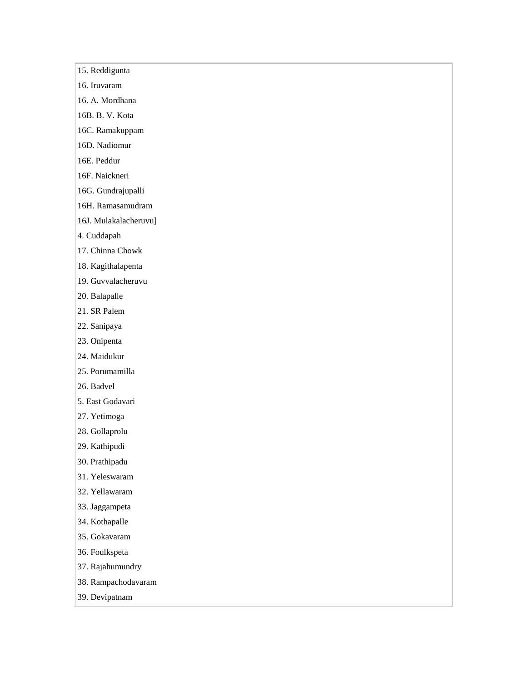- 15. Reddigunta
- 16. Iruvaram
- 16. A. Mordhana
- 16B. B. V. Kota
- 16C. Ramakuppam
- 16D. Nadiomur
- 16E. Peddur
- 16F. Naickneri
- 16G. Gundrajupalli
- 16H. Ramasamudram
- 16J. Mulakalacheruvu]
- 4. Cuddapah
- 17. Chinna Chowk
- 18. Kagithalapenta
- 19. Guvvalacheruvu
- 20. Balapalle
- 21. SR Palem
- 22. Sanipaya
- 23. Onipenta
- 24. Maidukur
- 25. Porumamilla
- 26. Badvel
- 5. East Godavari
- 27. Yetimoga
- 28. Gollaprolu
- 29. Kathipudi
- 30. Prathipadu
- 31. Yeleswaram
- 32. Yellawaram
- 33. Jaggampeta
- 34. Kothapalle
- 35. Gokavaram
- 36. Foulkspeta
- 37. Rajahumundry
- 38. Rampachodavaram
- 39. Devipatnam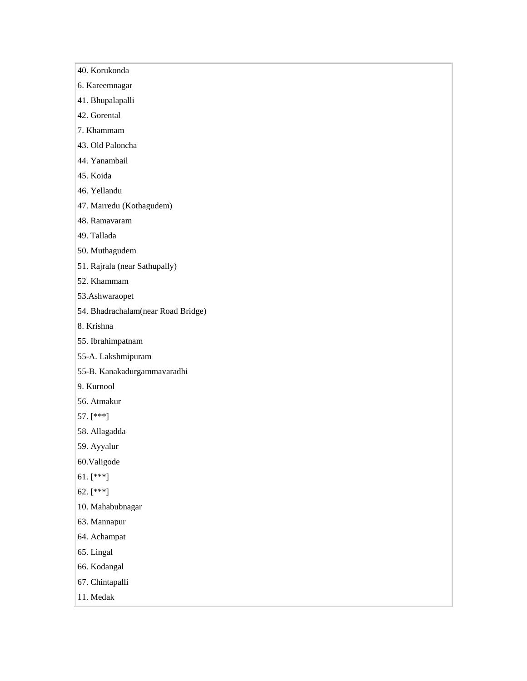- 40. Korukonda
- 6. Kareemnagar
- 41. Bhupalapalli
- 42. Gorental
- 7. Khammam
- 43. Old Paloncha
- 44. Yanambail
- 45. Koida
- 46. Yellandu
- 47. Marredu (Kothagudem)
- 48. Ramavaram
- 49. Tallada
- 50. Muthagudem
- 51. Rajrala (near Sathupally)
- 52. Khammam
- 53.Ashwaraopet
- 54. Bhadrachalam(near Road Bridge)
- 8. Krishna
- 55. Ibrahimpatnam
- 55-A. Lakshmipuram
- 55-B. Kanakadurgammavaradhi
- 9. Kurnool
- 56. Atmakur
- 57. [\*\*\*]
- 58. Allagadda
- 59. Ayyalur
- 60.Valigode
- 61. [\*\*\*]
- 62. [\*\*\*]
- 10. Mahabubnagar
- 63. Mannapur
- 64. Achampat
- 65. Lingal
- 66. Kodangal
- 67. Chintapalli
- 11. Medak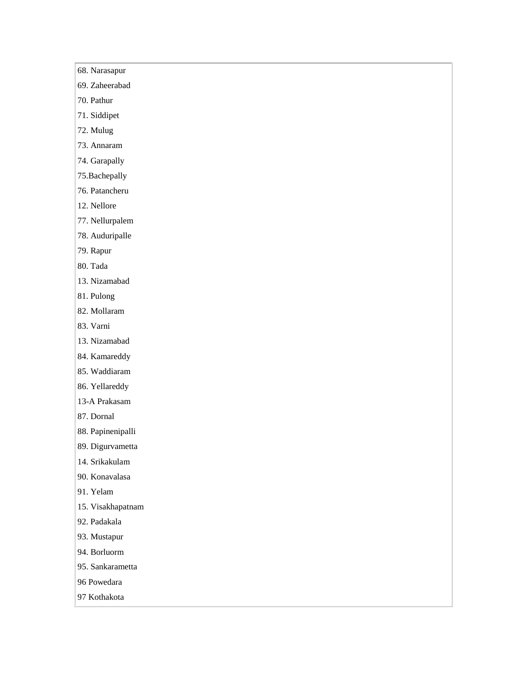- 68. Narasapur
- 69. Zaheerabad
- 70. Pathur
- 71. Siddipet
- 72. Mulug
- 73. Annaram
- 74. Garapally
- 75.Bachepally
- 76. Patancheru
- 12. Nellore
- 77. Nellurpalem
- 78. Auduripalle
- 79. Rapur
- 80. Tada
- 13. Nizamabad
- 81. Pulong
- 82. Mollaram
- 83. Varni
- 13. Nizamabad
- 84. Kamareddy
- 85. Waddiaram
- 86. Yellareddy
- 13-A Prakasam
- 87. Dornal
- 88. Papinenipalli
- 89. Digurvametta
- 14. Srikakulam
- 90. Konavalasa
- 91. Yelam
- 15. Visakhapatnam
- 92. Padakala
- 93. Mustapur
- 94. Borluorm
- 95. Sankarametta
- 96 Powedara
- 97 Kothakota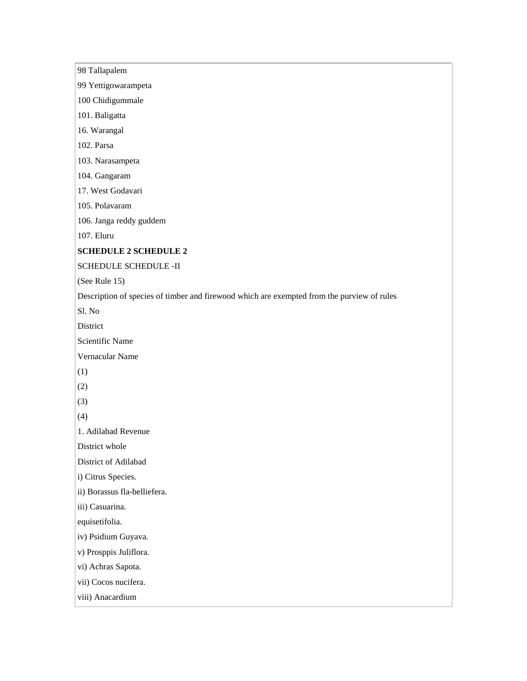98 Tallapalem 99 Yettigowarampeta 100 Chidigummale 101. Baligatta 16. Warangal 102. Parsa 103. Narasampeta 104. Gangaram 17. West Godavari 105. Polavaram 106. Janga reddy guddem 107. Eluru **SCHEDULE 2 SCHEDULE 2** SCHEDULE SCHEDULE -II (See Rule 15) Description of species of timber and firewood which are exempted from the purview of rules Sl. No District Scientific Name Vernacular Name (1) (2) (3) (4) 1. Adilabad Revenue District whole District of Adilabad i) Citrus Species. ii) Borassus fla-belliefera. iii) Casuarina. equisetifolia. iv) Psidium Guyava. v) Prosppis Juliflora. vi) Achras Sapota. vii) Cocos nucifera. viii) Anacardium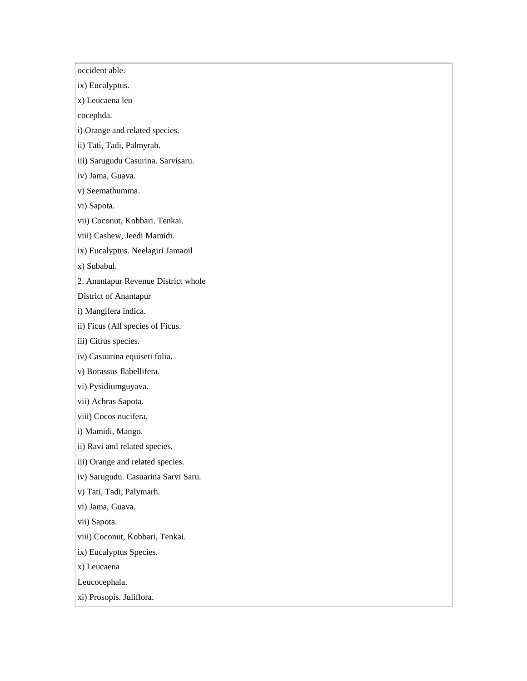occident able. ix) Eucalyptus. x) Leucaena leu cocephda. i) Orange and related species. ii) Tati, Tadi, Palmyrah. iii) Sarugudu Casurina. Sarvisaru. iv) Jama, Guava. v) Seemathumma. vi) Sapota. vii) Coconut, Kobbari. Tenkai. viii) Cashew, Jeedi Mamidi. ix) Eucalyptus. Neelagiri Jamaoil x) Subabul. 2. Anantapur Revenue District whole District of Anantapur i) Mangifera indica. ii) Ficus (All species of Ficus. iii) Citrus species. iv) Casuarina equiseti folia. v) Borassus flabellifera. vi) Pysidiumguyava. vii) Achras Sapota. viii) Cocos nucifera. i) Mamidi, Mango. ii) Ravi and related species. iii) Orange and related species. iv) Sarugudu. Casuarina Sarvi Saru. v) Tati, Tadi, Palymarh. vi) Jama, Guava. vii) Sapota. viii) Coconut, Kobbari, Tenkai. ix) Eucalyptus Species. x) Leucaena Leucocephala. xi) Prosopis. Juliflora.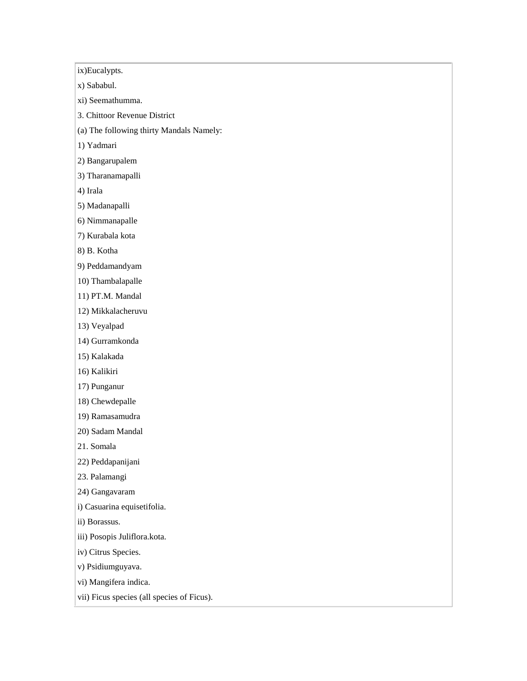ix)Eucalypts.

x) Sababul.

xi) Seemathumma.

3. Chittoor Revenue District

(a) The following thirty Mandals Namely:

1) Yadmari

2) Bangarupalem

3) Tharanamapalli

4) Irala

5) Madanapalli

6) Nimmanapalle

7) Kurabala kota

8) B. Kotha

9) Peddamandyam

10) Thambalapalle

11) PT.M. Mandal

12) Mikkalacheruvu

13) Veyalpad

14) Gurramkonda

15) Kalakada

16) Kalikiri

17) Punganur

18) Chewdepalle

19) Ramasamudra

20) Sadam Mandal

21. Somala

22) Peddapanijani

23. Palamangi

24) Gangavaram

i) Casuarina equisetifolia.

ii) Borassus.

iii) Posopis Juliflora.kota.

iv) Citrus Species.

v) Psidiumguyava.

vi) Mangifera indica.

vii) Ficus species (all species of Ficus).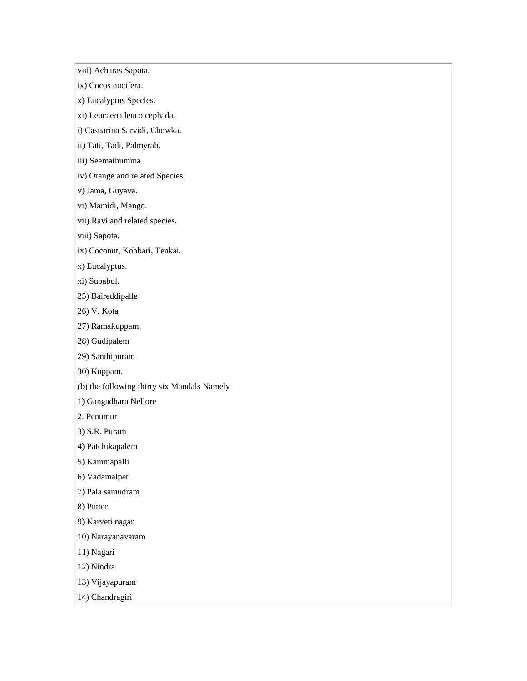viii) Acharas Sapota.

- ix) Cocos nucifera.
- x) Eucalyptus Species.
- xi) Leucaena leuco cephada.
- i) Casuarina Sarvidi, Chowka.
- ii) Tati, Tadi, Palmyrah.
- iii) Seemathumma.
- iv) Orange and related Species.
- v) Jama, Guyava.
- vi) Mamidi, Mango.
- vii) Ravi and related species.
- viii) Sapota.
- ix) Coconut, Kobbari, Tenkai.
- x) Eucalyptus.
- xi) Subabul.
- 25) Baireddipalle
- 26) V. Kota
- 27) Ramakuppam
- 28) Gudipalem
- 29) Santhipuram
- 30) Kuppam.
- (b) the following thirty six Mandals Namely
- 1) Gangadhara Nellore
- 2. Penumur
- 3) S.R. Puram
- 4) Patchikapalem
- 5) Kammapalli
- 6) Vadamalpet
- 7) Pala samudram
- 8) Puttur
- 9) Karveti nagar
- 10) Narayanavaram
- 11) Nagari
- 12) Nindra
- 13) Vijayapuram
- 14) Chandragiri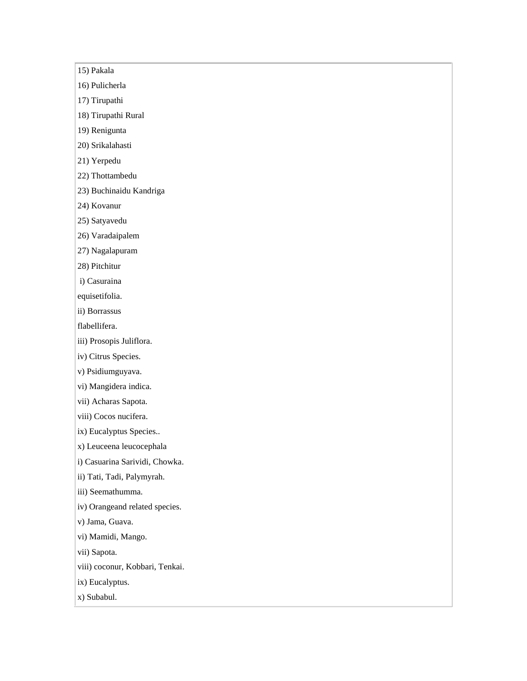15) Pakala

16) Pulicherla

17) Tirupathi

18) Tirupathi Rural

19) Renigunta

20) Srikalahasti

21) Yerpedu

22) Thottambedu

23) Buchinaidu Kandriga

24) Kovanur

25) Satyavedu

26) Varadaipalem

27) Nagalapuram

28) Pitchitur

i) Casuraina

equisetifolia.

ii) Borrassus

flabellifera.

iii) Prosopis Juliflora.

iv) Citrus Species.

v) Psidiumguyava.

vi) Mangidera indica.

vii) Acharas Sapota.

viii) Cocos nucifera.

ix) Eucalyptus Species..

x) Leuceena leucocephala

i) Casuarina Sarividi, Chowka.

ii) Tati, Tadi, Palymyrah.

iii) Seemathumma.

iv) Orangeand related species.

v) Jama, Guava.

vi) Mamidi, Mango.

vii) Sapota.

viii) coconur, Kobbari, Tenkai.

ix) Eucalyptus.

x) Subabul.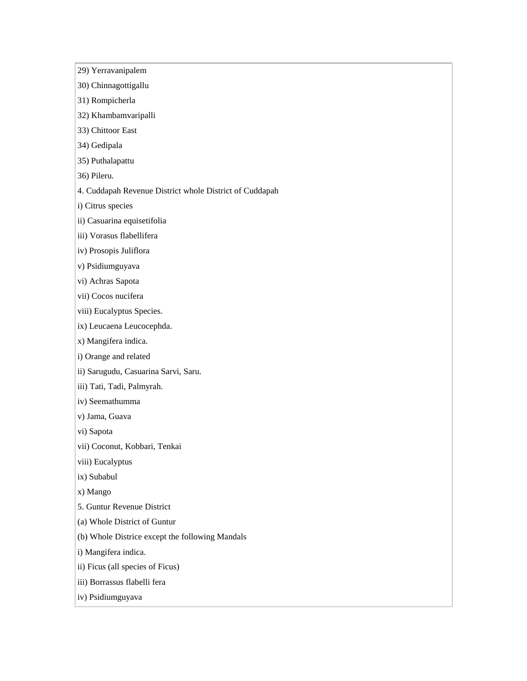- 29) Yerravanipalem
- 30) Chinnagottigallu
- 31) Rompicherla
- 32) Khambamvaripalli
- 33) Chittoor East
- 34) Gedipala
- 35) Puthalapattu
- 36) Pileru.
- 4. Cuddapah Revenue District whole District of Cuddapah
- i) Citrus species
- ii) Casuarina equisetifolia
- iii) Vorasus flabellifera
- iv) Prosopis Juliflora
- v) Psidiumguyava
- vi) Achras Sapota
- vii) Cocos nucifera
- viii) Eucalyptus Species.
- ix) Leucaena Leucocephda.
- x) Mangifera indica.
- i) Orange and related
- ii) Sarugudu, Casuarina Sarvi, Saru.
- iii) Tati, Tadi, Palmyrah.
- iv) Seemathumma
- v) Jama, Guava
- vi) Sapota
- vii) Coconut, Kobbari, Tenkai
- viii) Eucalyptus
- ix) Subabul
- x) Mango
- 5. Guntur Revenue District
- (a) Whole District of Guntur
- (b) Whole Districe except the following Mandals
- i) Mangifera indica.
- ii) Ficus (all species of Ficus)
- iii) Borrassus flabelli fera
- iv) Psidiumguyava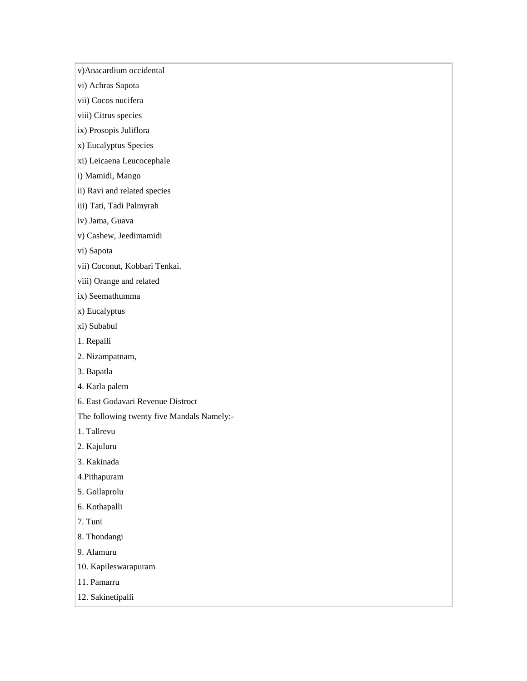v)Anacardium occidental

vi) Achras Sapota

vii) Cocos nucifera

viii) Citrus species

ix) Prosopis Juliflora

x) Eucalyptus Species

xi) Leicaena Leucocephale

i) Mamidi, Mango

ii) Ravi and related species

iii) Tati, Tadi Palmyrah

iv) Jama, Guava

v) Cashew, Jeedimamidi

vi) Sapota

vii) Coconut, Kobbari Tenkai.

viii) Orange and related

ix) Seemathumma

x) Eucalyptus

xi) Subabul

1. Repalli

2. Nizampatnam,

3. Bapatla

4. Karla palem

6. East Godavari Revenue Distroct

The following twenty five Mandals Namely:-

1. Tallrevu

2. Kajuluru

3. Kakinada

4.Pithapuram

5. Gollaprolu

6. Kothapalli

7. Tuni

8. Thondangi

9. Alamuru

10. Kapileswarapuram

11. Pamarru

12. Sakinetipalli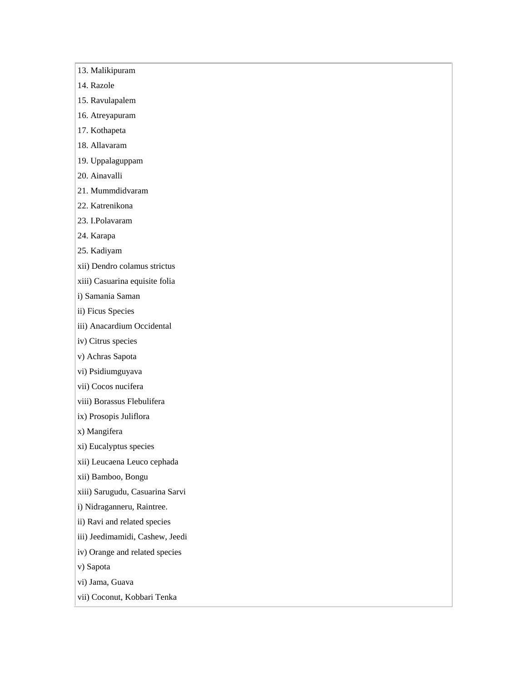- 13. Malikipuram
- 14. Razole
- 15. Ravulapalem
- 16. Atreyapuram
- 17. Kothapeta
- 18. Allavaram
- 19. Uppalaguppam
- 20. Ainavalli
- 21. Mummdidvaram
- 22. Katrenikona
- 23. I.Polavaram
- 24. Karapa
- 25. Kadiyam
- xii) Dendro colamus strictus
- xiii) Casuarina equisite folia
- i) Samania Saman
- ii) Ficus Species
- iii) Anacardium Occidental
- iv) Citrus species
- v) Achras Sapota
- vi) Psidiumguyava
- vii) Cocos nucifera
- viii) Borassus Flebulifera
- ix) Prosopis Juliflora
- x) Mangifera
- xi) Eucalyptus species
- xii) Leucaena Leuco cephada
- xii) Bamboo, Bongu
- xiii) Sarugudu, Casuarina Sarvi
- i) Nidraganneru, Raintree.
- ii) Ravi and related species
- iii) Jeedimamidi, Cashew, Jeedi
- iv) Orange and related species
- v) Sapota
- vi) Jama, Guava
- vii) Coconut, Kobbari Tenka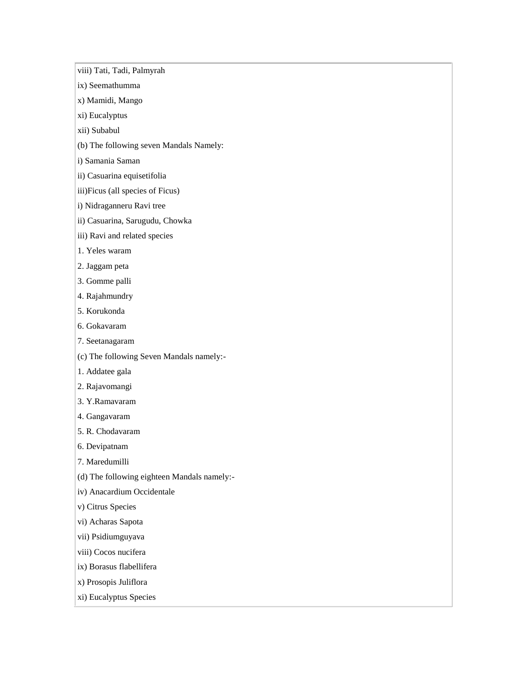viii) Tati, Tadi, Palmyrah

- ix) Seemathumma
- x) Mamidi, Mango
- xi) Eucalyptus
- xii) Subabul
- (b) The following seven Mandals Namely:
- i) Samania Saman
- ii) Casuarina equisetifolia
- iii)Ficus (all species of Ficus)
- i) Nidraganneru Ravi tree
- ii) Casuarina, Sarugudu, Chowka
- iii) Ravi and related species
- 1. Yeles waram
- 2. Jaggam peta
- 3. Gomme palli
- 4. Rajahmundry
- 5. Korukonda
- 6. Gokavaram
- 7. Seetanagaram
- (c) The following Seven Mandals namely:-
- 1. Addatee gala
- 2. Rajavomangi
- 3. Y.Ramavaram
- 4. Gangavaram
- 5. R. Chodavaram
- 6. Devipatnam
- 7. Maredumilli
- (d) The following eighteen Mandals namely:-
- iv) Anacardium Occidentale
- v) Citrus Species
- vi) Acharas Sapota
- vii) Psidiumguyava
- viii) Cocos nucifera
- ix) Borasus flabellifera
- x) Prosopis Juliflora
- xi) Eucalyptus Species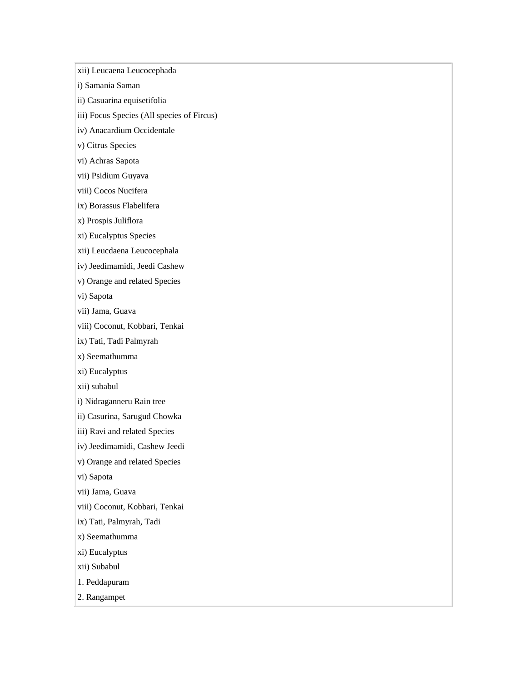xii) Leucaena Leucocephada

i) Samania Saman

ii) Casuarina equisetifolia

iii) Focus Species (All species of Fircus)

iv) Anacardium Occidentale

v) Citrus Species

vi) Achras Sapota

vii) Psidium Guyava

viii) Cocos Nucifera

ix) Borassus Flabelifera

x) Prospis Juliflora

xi) Eucalyptus Species

xii) Leucdaena Leucocephala

iv) Jeedimamidi, Jeedi Cashew

v) Orange and related Species

vi) Sapota

vii) Jama, Guava

viii) Coconut, Kobbari, Tenkai

ix) Tati, Tadi Palmyrah

x) Seemathumma

xi) Eucalyptus

xii) subabul

i) Nidraganneru Rain tree

ii) Casurina, Sarugud Chowka

iii) Ravi and related Species

iv) Jeedimamidi, Cashew Jeedi

v) Orange and related Species

vi) Sapota

vii) Jama, Guava

viii) Coconut, Kobbari, Tenkai

ix) Tati, Palmyrah, Tadi

x) Seemathumma

xi) Eucalyptus

xii) Subabul

1. Peddapuram

2. Rangampet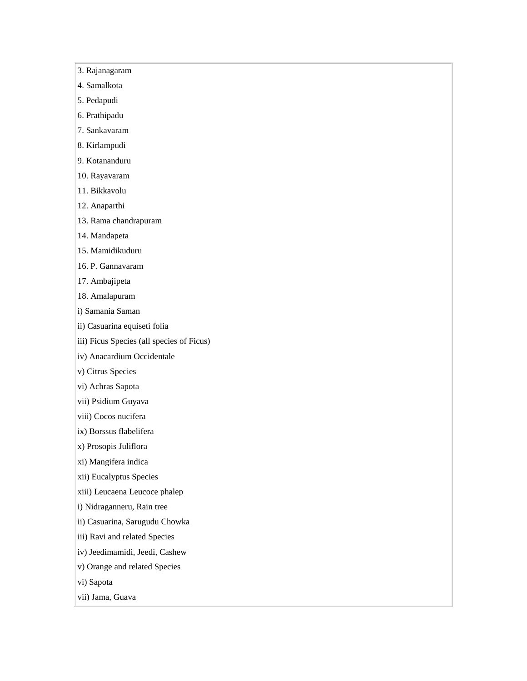- 3. Rajanagaram
- 4. Samalkota
- 5. Pedapudi
- 6. Prathipadu
- 7. Sankavaram
- 8. Kirlampudi
- 9. Kotananduru
- 10. Rayavaram
- 11. Bikkavolu
- 12. Anaparthi
- 13. Rama chandrapuram
- 14. Mandapeta
- 15. Mamidikuduru
- 16. P. Gannavaram
- 17. Ambajipeta
- 18. Amalapuram
- i) Samania Saman
- ii) Casuarina equiseti folia
- iii) Ficus Species (all species of Ficus)
- iv) Anacardium Occidentale
- v) Citrus Species
- vi) Achras Sapota
- vii) Psidium Guyava
- viii) Cocos nucifera
- ix) Borssus flabelifera
- x) Prosopis Juliflora
- xi) Mangifera indica
- xii) Eucalyptus Species
- xiii) Leucaena Leucoce phalep
- i) Nidraganneru, Rain tree
- ii) Casuarina, Sarugudu Chowka
- iii) Ravi and related Species
- iv) Jeedimamidi, Jeedi, Cashew
- v) Orange and related Species
- vi) Sapota
- vii) Jama, Guava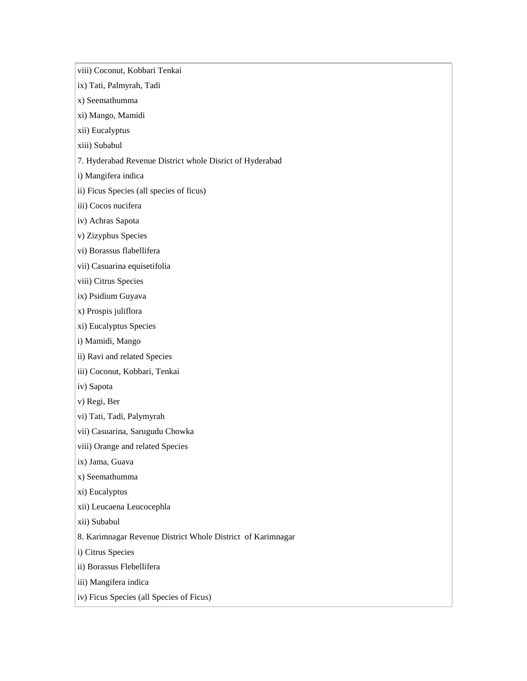viii) Coconut, Kobbari Tenkai ix) Tati, Palmyrah, Tadi x) Seemathumma xi) Mango, Mamidi xii) Eucalyptus xiii) Subabul 7. Hyderabad Revenue District whole Disrict of Hyderabad i) Mangifera indica ii) Ficus Species (all species of ficus) iii) Cocos nucifera iv) Achras Sapota v) Zizyphus Species vi) Borassus flabellifera vii) Casuarina equisetifolia viii) Citrus Species ix) Psidium Guyava x) Prospis juliflora xi) Eucalyptus Species i) Mamidi, Mango ii) Ravi and related Species iii) Coconut, Kobbari, Tenkai iv) Sapota v) Regi, Ber vi) Tati, Tadi, Palymyrah vii) Casuarina, Sarugudu Chowka viii) Orange and related Species ix) Jama, Guava x) Seemathumma xi) Eucalyptus xii) Leucaena Leucocephla xii) Subabul 8. Karimnagar Revenue District Whole District of Karimnagar i) Citrus Species ii) Borassus Flebellifera iii) Mangifera indica iv) Ficus Species (all Species of Ficus)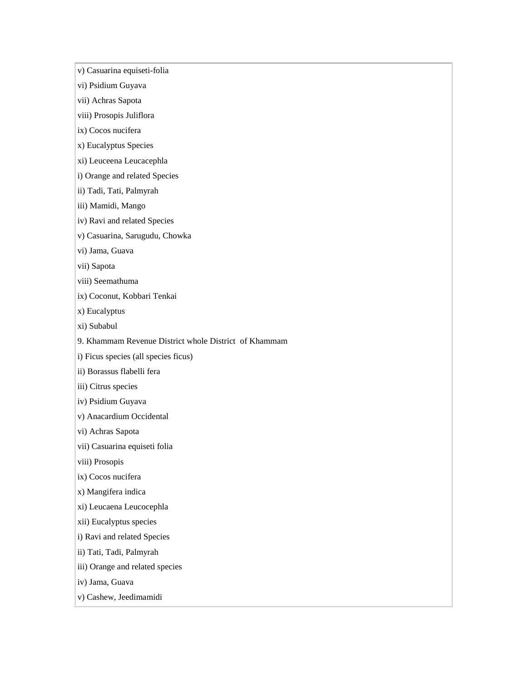v) Casuarina equiseti-folia

vi) Psidium Guyava

vii) Achras Sapota

viii) Prosopis Juliflora

ix) Cocos nucifera

x) Eucalyptus Species

xi) Leuceena Leucacephla

i) Orange and related Species

ii) Tadi, Tati, Palmyrah

iii) Mamidi, Mango

iv) Ravi and related Species

v) Casuarina, Sarugudu, Chowka

vi) Jama, Guava

vii) Sapota

viii) Seemathuma

ix) Coconut, Kobbari Tenkai

x) Eucalyptus

xi) Subabul

9. Khammam Revenue District whole District of Khammam

i) Ficus species (all species ficus)

ii) Borassus flabelli fera

iii) Citrus species

iv) Psidium Guyava

v) Anacardium Occidental

vi) Achras Sapota

vii) Casuarina equiseti folia

viii) Prosopis

ix) Cocos nucifera

x) Mangifera indica

xi) Leucaena Leucocephla

xii) Eucalyptus species

i) Ravi and related Species

ii) Tati, Tadi, Palmyrah

iii) Orange and related species

iv) Jama, Guava

v) Cashew, Jeedimamidi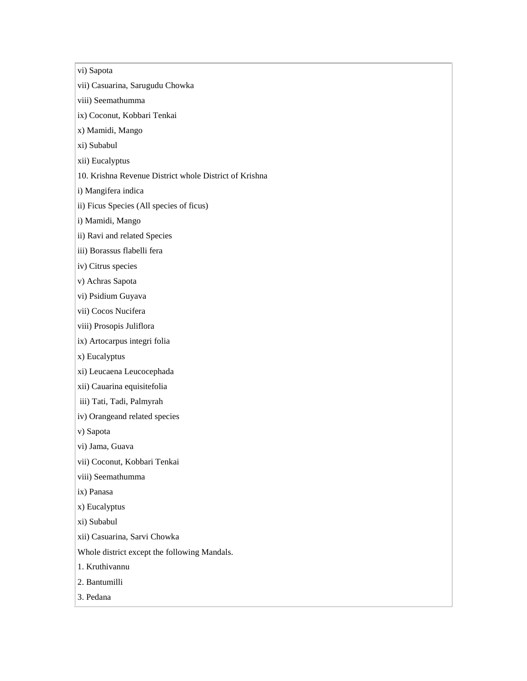vi) Sapota

vii) Casuarina, Sarugudu Chowka

viii) Seemathumma

ix) Coconut, Kobbari Tenkai

x) Mamidi, Mango

xi) Subabul

xii) Eucalyptus

10. Krishna Revenue District whole District of Krishna

i) Mangifera indica

ii) Ficus Species (All species of ficus)

i) Mamidi, Mango

ii) Ravi and related Species

iii) Borassus flabelli fera

iv) Citrus species

v) Achras Sapota

vi) Psidium Guyava

vii) Cocos Nucifera

viii) Prosopis Juliflora

ix) Artocarpus integri folia

x) Eucalyptus

xi) Leucaena Leucocephada

xii) Cauarina equisitefolia

iii) Tati, Tadi, Palmyrah

iv) Orangeand related species

v) Sapota

vi) Jama, Guava

vii) Coconut, Kobbari Tenkai

viii) Seemathumma

ix) Panasa

x) Eucalyptus

xi) Subabul

xii) Casuarina, Sarvi Chowka

Whole district except the following Mandals.

1. Kruthivannu

2. Bantumilli

3. Pedana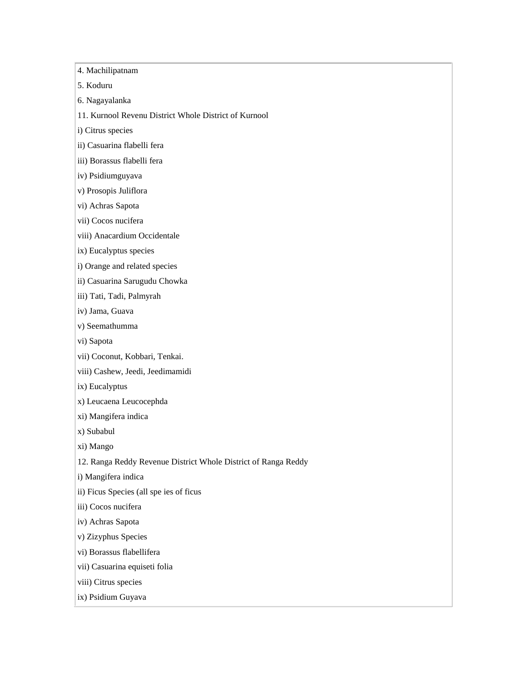4. Machilipatnam 5. Koduru 6. Nagayalanka 11. Kurnool Revenu District Whole District of Kurnool i) Citrus species ii) Casuarina flabelli fera iii) Borassus flabelli fera iv) Psidiumguyava v) Prosopis Juliflora vi) Achras Sapota vii) Cocos nucifera viii) Anacardium Occidentale ix) Eucalyptus species i) Orange and related species ii) Casuarina Sarugudu Chowka iii) Tati, Tadi, Palmyrah iv) Jama, Guava v) Seemathumma vi) Sapota vii) Coconut, Kobbari, Tenkai. viii) Cashew, Jeedi, Jeedimamidi ix) Eucalyptus x) Leucaena Leucocephda xi) Mangifera indica x) Subabul xi) Mango 12. Ranga Reddy Revenue District Whole District of Ranga Reddy i) Mangifera indica ii) Ficus Species (all spe ies of ficus iii) Cocos nucifera iv) Achras Sapota v) Zizyphus Species vi) Borassus flabellifera vii) Casuarina equiseti folia

viii) Citrus species

ix) Psidium Guyava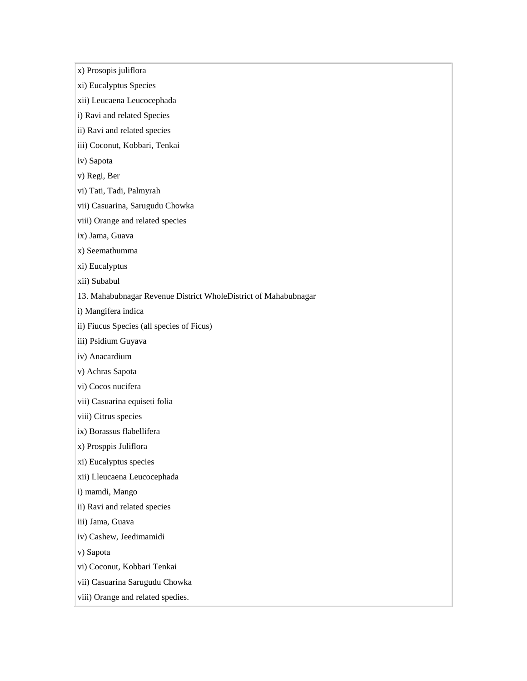x) Prosopis juliflora

- xi) Eucalyptus Species
- xii) Leucaena Leucocephada
- i) Ravi and related Species
- ii) Ravi and related species
- iii) Coconut, Kobbari, Tenkai
- iv) Sapota
- v) Regi, Ber
- vi) Tati, Tadi, Palmyrah
- vii) Casuarina, Sarugudu Chowka
- viii) Orange and related species
- ix) Jama, Guava
- x) Seemathumma
- xi) Eucalyptus
- xii) Subabul
- 13. Mahabubnagar Revenue District WholeDistrict of Mahabubnagar
- i) Mangifera indica
- ii) Fiucus Species (all species of Ficus)
- iii) Psidium Guyava
- iv) Anacardium
- v) Achras Sapota
- vi) Cocos nucifera
- vii) Casuarina equiseti folia
- viii) Citrus species
- ix) Borassus flabellifera
- x) Prosppis Juliflora
- xi) Eucalyptus species
- xii) Lleucaena Leucocephada
- i) mamdi, Mango
- ii) Ravi and related species
- iii) Jama, Guava
- iv) Cashew, Jeedimamidi
- v) Sapota
- vi) Coconut, Kobbari Tenkai
- vii) Casuarina Sarugudu Chowka
- viii) Orange and related spedies.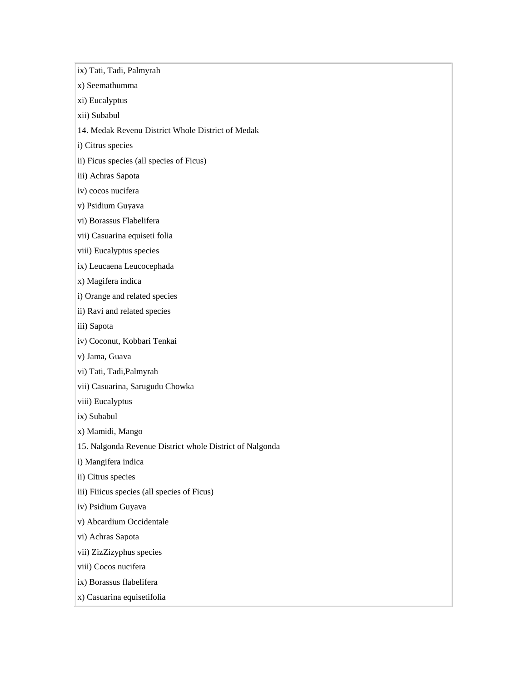ix) Tati, Tadi, Palmyrah x) Seemathumma xi) Eucalyptus xii) Subabul 14. Medak Revenu District Whole District of Medak i) Citrus species ii) Ficus species (all species of Ficus) iii) Achras Sapota iv) cocos nucifera v) Psidium Guyava vi) Borassus Flabelifera vii) Casuarina equiseti folia viii) Eucalyptus species ix) Leucaena Leucocephada x) Magifera indica i) Orange and related species ii) Ravi and related species iii) Sapota iv) Coconut, Kobbari Tenkai v) Jama, Guava vi) Tati, Tadi,Palmyrah vii) Casuarina, Sarugudu Chowka viii) Eucalyptus ix) Subabul x) Mamidi, Mango 15. Nalgonda Revenue District whole District of Nalgonda i) Mangifera indica ii) Citrus species iii) Fiiicus species (all species of Ficus) iv) Psidium Guyava v) Abcardium Occidentale vi) Achras Sapota vii) ZizZizyphus species viii) Cocos nucifera ix) Borassus flabelifera x) Casuarina equisetifolia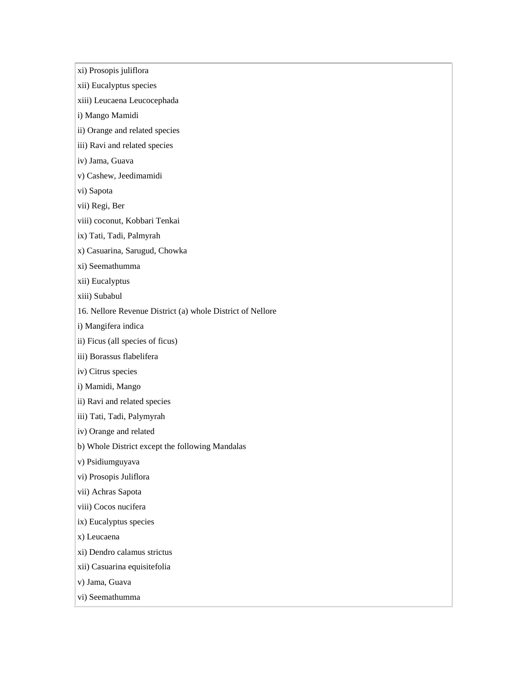xi) Prosopis juliflora

- xii) Eucalyptus species
- xiii) Leucaena Leucocephada
- i) Mango Mamidi
- ii) Orange and related species
- iii) Ravi and related species
- iv) Jama, Guava
- v) Cashew, Jeedimamidi
- vi) Sapota
- vii) Regi, Ber
- viii) coconut, Kobbari Tenkai
- ix) Tati, Tadi, Palmyrah
- x) Casuarina, Sarugud, Chowka
- xi) Seemathumma
- xii) Eucalyptus
- xiii) Subabul
- 16. Nellore Revenue District (a) whole District of Nellore
- i) Mangifera indica
- ii) Ficus (all species of ficus)
- iii) Borassus flabelifera
- iv) Citrus species
- i) Mamidi, Mango
- ii) Ravi and related species
- iii) Tati, Tadi, Palymyrah
- iv) Orange and related
- b) Whole District except the following Mandalas
- v) Psidiumguyava
- vi) Prosopis Juliflora
- vii) Achras Sapota
- viii) Cocos nucifera
- ix) Eucalyptus species
- x) Leucaena
- xi) Dendro calamus strictus
- xii) Casuarina equisitefolia
- v) Jama, Guava
- vi) Seemathumma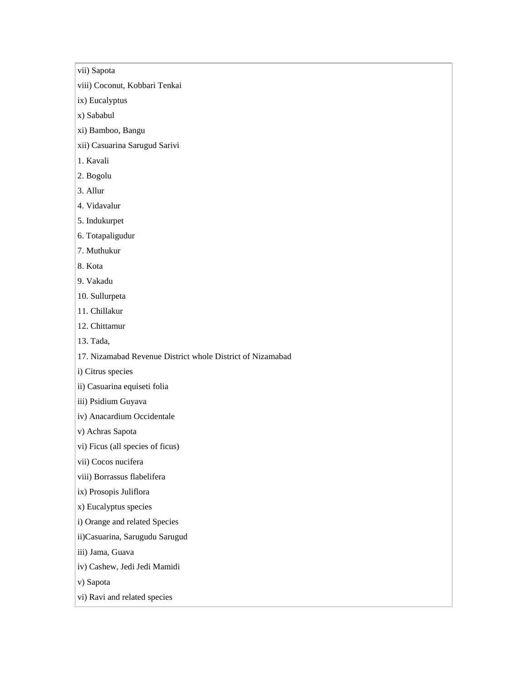vii) Sapota

viii) Coconut, Kobbari Tenkai

ix) Eucalyptus

x) Sababul

xi) Bamboo, Bangu

xii) Casuarina Sarugud Sarivi

1. Kavali

2. Bogolu

3. Allur

4. Vidavalur

5. Indukurpet

6. Totapaligudur

7. Muthukur

8. Kota

9. Vakadu

10. Sullurpeta

11. Chillakur

12. Chittamur

13. Tada,

17. Nizamabad Revenue District whole District of Nizamabad

i) Citrus species

ii) Casuarina equiseti folia

iii) Psidium Guyava

iv) Anacardium Occidentale

v) Achras Sapota

vi) Ficus (all species of ficus)

vii) Cocos nucifera

viii) Borrassus flabelifera

ix) Prosopis Juliflora

x) Eucalyptus species

i) Orange and related Species

ii)Casuarina, Sarugudu Sarugud

iii) Jama, Guava

iv) Cashew, Jedi Jedi Mamidi

v) Sapota

vi) Ravi and related species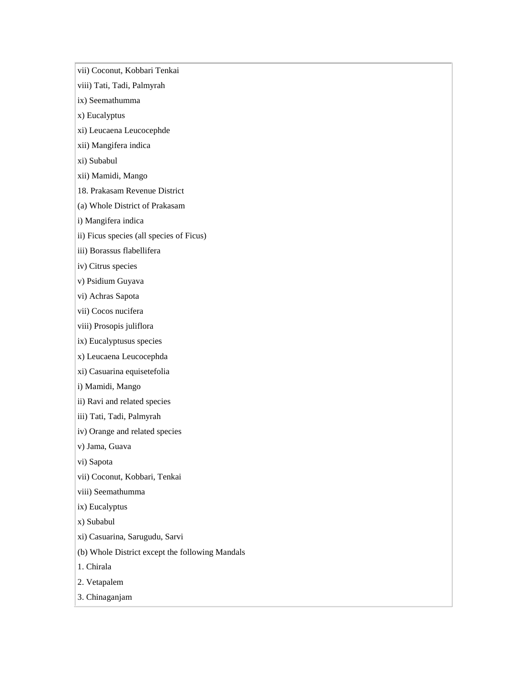vii) Coconut, Kobbari Tenkai

- viii) Tati, Tadi, Palmyrah
- ix) Seemathumma
- x) Eucalyptus
- xi) Leucaena Leucocephde
- xii) Mangifera indica
- xi) Subabul
- xii) Mamidi, Mango
- 18. Prakasam Revenue District
- (a) Whole District of Prakasam
- i) Mangifera indica
- ii) Ficus species (all species of Ficus)
- iii) Borassus flabellifera
- iv) Citrus species
- v) Psidium Guyava
- vi) Achras Sapota
- vii) Cocos nucifera
- viii) Prosopis juliflora
- ix) Eucalyptusus species
- x) Leucaena Leucocephda
- xi) Casuarina equisetefolia
- i) Mamidi, Mango
- ii) Ravi and related species
- iii) Tati, Tadi, Palmyrah
- iv) Orange and related species
- v) Jama, Guava
- vi) Sapota
- vii) Coconut, Kobbari, Tenkai
- viii) Seemathumma
- ix) Eucalyptus
- x) Subabul
- xi) Casuarina, Sarugudu, Sarvi
- (b) Whole District except the following Mandals
- 1. Chirala
- 2. Vetapalem
- 3. Chinaganjam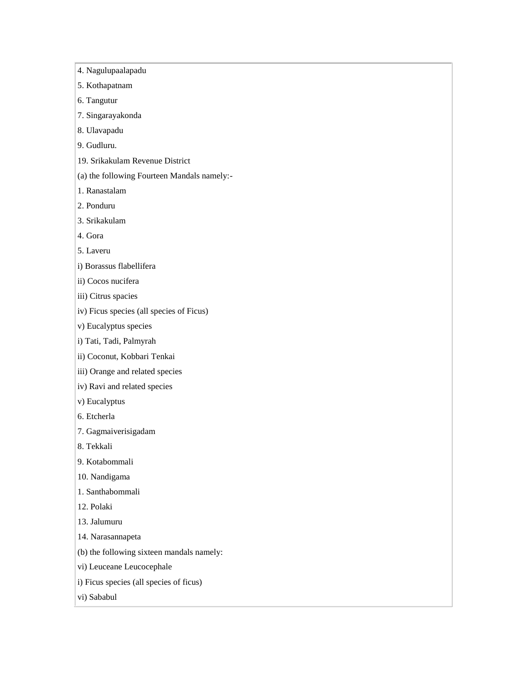4. Nagulupaalapadu

- 5. Kothapatnam
- 6. Tangutur
- 7. Singarayakonda
- 8. Ulavapadu
- 9. Gudluru.
- 19. Srikakulam Revenue District
- (a) the following Fourteen Mandals namely:-
- 1. Ranastalam
- 2. Ponduru
- 3. Srikakulam
- 4. Gora
- 5. Laveru
- i) Borassus flabellifera
- ii) Cocos nucifera
- iii) Citrus spacies
- iv) Ficus species (all species of Ficus)
- v) Eucalyptus species
- i) Tati, Tadi, Palmyrah
- ii) Coconut, Kobbari Tenkai
- iii) Orange and related species
- iv) Ravi and related species
- v) Eucalyptus
- 6. Etcherla
- 7. Gagmaiverisigadam
- 8. Tekkali
- 9. Kotabommali
- 10. Nandigama
- 1. Santhabommali
- 12. Polaki
- 13. Jalumuru
- 14. Narasannapeta
- (b) the following sixteen mandals namely:
- vi) Leuceane Leucocephale
- i) Ficus species (all species of ficus)
- vi) Sababul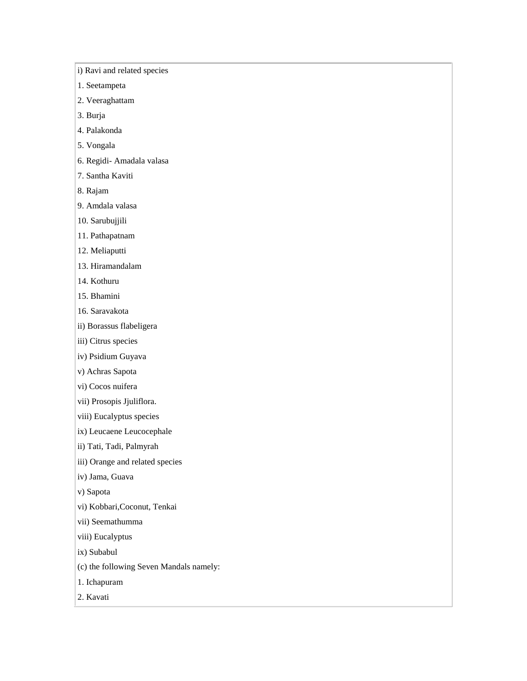i) Ravi and related species

1. Seetampeta

2. Veeraghattam

3. Burja

4. Palakonda

5. Vongala

6. Regidi- Amadala valasa

7. Santha Kaviti

8. Rajam

9. Amdala valasa

10. Sarubujjili

11. Pathapatnam

12. Meliaputti

13. Hiramandalam

14. Kothuru

15. Bhamini

16. Saravakota

ii) Borassus flabeligera

iii) Citrus species

iv) Psidium Guyava

v) Achras Sapota

vi) Cocos nuifera

vii) Prosopis Jjuliflora.

viii) Eucalyptus species

ix) Leucaene Leucocephale

ii) Tati, Tadi, Palmyrah

iii) Orange and related species

iv) Jama, Guava

v) Sapota

vi) Kobbari,Coconut, Tenkai

vii) Seemathumma

viii) Eucalyptus

ix) Subabul

(c) the following Seven Mandals namely:

1. Ichapuram

2. Kavati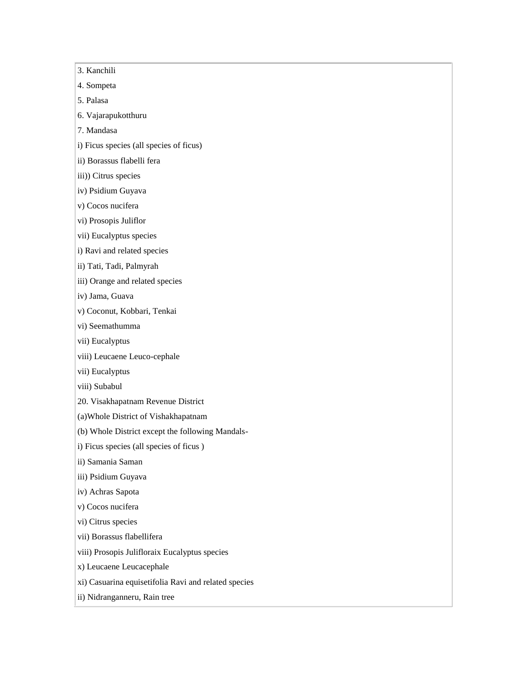3. Kanchili 4. Sompeta 5. Palasa 6. Vajarapukotthuru 7. Mandasa i) Ficus species (all species of ficus) ii) Borassus flabelli fera iii)) Citrus species iv) Psidium Guyava v) Cocos nucifera vi) Prosopis Juliflor vii) Eucalyptus species i) Ravi and related species ii) Tati, Tadi, Palmyrah iii) Orange and related species iv) Jama, Guava v) Coconut, Kobbari, Tenkai vi) Seemathumma vii) Eucalyptus viii) Leucaene Leuco-cephale vii) Eucalyptus viii) Subabul 20. Visakhapatnam Revenue District (a)Whole District of Vishakhapatnam (b) Whole District except the following Mandalsi) Ficus species (all species of ficus ) ii) Samania Saman iii) Psidium Guyava iv) Achras Sapota v) Cocos nucifera vi) Citrus species vii) Borassus flabellifera viii) Prosopis Julifloraix Eucalyptus species x) Leucaene Leucacephale xi) Casuarina equisetifolia Ravi and related species ii) Nidranganneru, Rain tree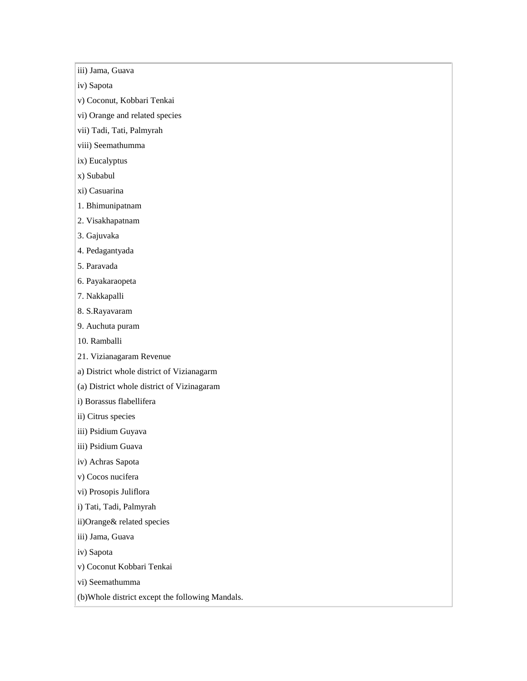iii) Jama, Guava

iv) Sapota

v) Coconut, Kobbari Tenkai

vi) Orange and related species

vii) Tadi, Tati, Palmyrah

viii) Seemathumma

ix) Eucalyptus

x) Subabul

xi) Casuarina

1. Bhimunipatnam

2. Visakhapatnam

3. Gajuvaka

4. Pedagantyada

5. Paravada

6. Payakaraopeta

7. Nakkapalli

8. S.Rayavaram

9. Auchuta puram

10. Ramballi

21. Vizianagaram Revenue

a) District whole district of Vizianagarm

(a) District whole district of Vizinagaram

i) Borassus flabellifera

ii) Citrus species

iii) Psidium Guyava

iii) Psidium Guava

iv) Achras Sapota

v) Cocos nucifera

vi) Prosopis Juliflora

i) Tati, Tadi, Palmyrah

ii)Orange& related species

iii) Jama, Guava

iv) Sapota

v) Coconut Kobbari Tenkai

vi) Seemathumma

(b)Whole district except the following Mandals.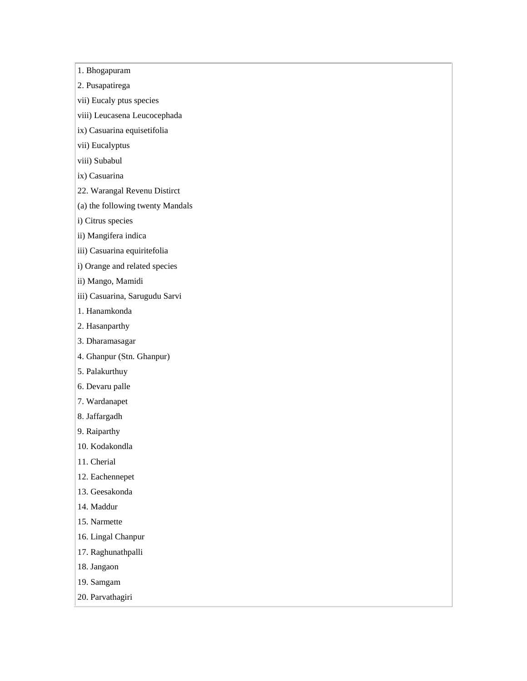1. Bhogapuram

2. Pusapatirega

vii) Eucaly ptus species

viii) Leucasena Leucocephada

ix) Casuarina equisetifolia

vii) Eucalyptus

viii) Subabul

ix) Casuarina

22. Warangal Revenu Distirct

(a) the following twenty Mandals

i) Citrus species

ii) Mangifera indica

iii) Casuarina equiritefolia

i) Orange and related species

ii) Mango, Mamidi

iii) Casuarina, Sarugudu Sarvi

1. Hanamkonda

2. Hasanparthy

3. Dharamasagar

4. Ghanpur (Stn. Ghanpur)

5. Palakurthuy

6. Devaru palle

7. Wardanapet

8. Jaffargadh

9. Raiparthy

10. Kodakondla

11. Cherial

12. Eachennepet

13. Geesakonda

14. Maddur

15. Narmette

16. Lingal Chanpur

17. Raghunathpalli

18. Jangaon

19. Samgam

20. Parvathagiri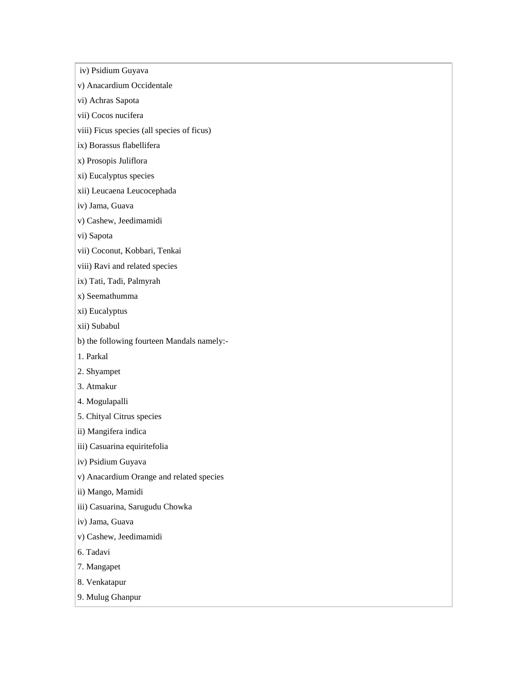iv) Psidium Guyava

v) Anacardium Occidentale

vi) Achras Sapota

vii) Cocos nucifera

viii) Ficus species (all species of ficus)

ix) Borassus flabellifera

x) Prosopis Juliflora

xi) Eucalyptus species

xii) Leucaena Leucocephada

iv) Jama, Guava

v) Cashew, Jeedimamidi

vi) Sapota

vii) Coconut, Kobbari, Tenkai

viii) Ravi and related species

ix) Tati, Tadi, Palmyrah

x) Seemathumma

xi) Eucalyptus

xii) Subabul

b) the following fourteen Mandals namely:-

1. Parkal

2. Shyampet

3. Atmakur

4. Mogulapalli

5. Chityal Citrus species

ii) Mangifera indica

iii) Casuarina equiritefolia

iv) Psidium Guyava

v) Anacardium Orange and related species

ii) Mango, Mamidi

iii) Casuarina, Sarugudu Chowka

iv) Jama, Guava

v) Cashew, Jeedimamidi

6. Tadavi

7. Mangapet

8. Venkatapur

9. Mulug Ghanpur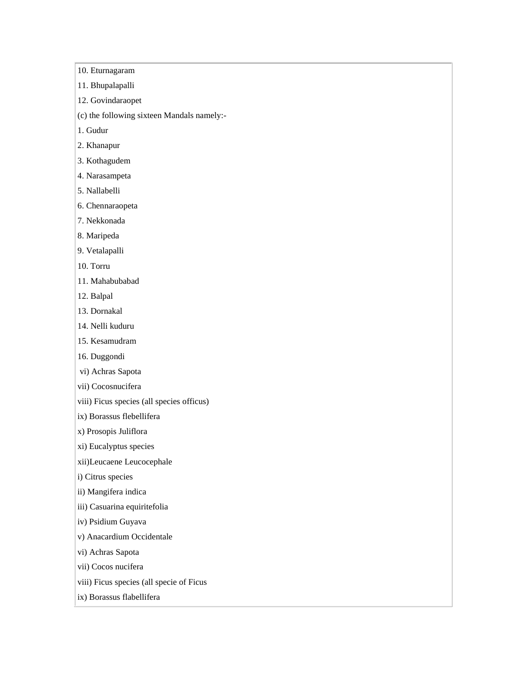10. Eturnagaram

11. Bhupalapalli

12. Govindaraopet

(c) the following sixteen Mandals namely:-

1. Gudur

2. Khanapur

3. Kothagudem

4. Narasampeta

5. Nallabelli

6. Chennaraopeta

7. Nekkonada

8. Maripeda

9. Vetalapalli

10. Torru

11. Mahabubabad

12. Balpal

13. Dornakal

14. Nelli kuduru

15. Kesamudram

16. Duggondi

vi) Achras Sapota

vii) Cocosnucifera

viii) Ficus species (all species officus)

ix) Borassus flebellifera

x) Prosopis Juliflora

xi) Eucalyptus species

xii)Leucaene Leucocephale

i) Citrus species

ii) Mangifera indica

iii) Casuarina equiritefolia

iv) Psidium Guyava

v) Anacardium Occidentale

vi) Achras Sapota

vii) Cocos nucifera

viii) Ficus species (all specie of Ficus

ix) Borassus flabellifera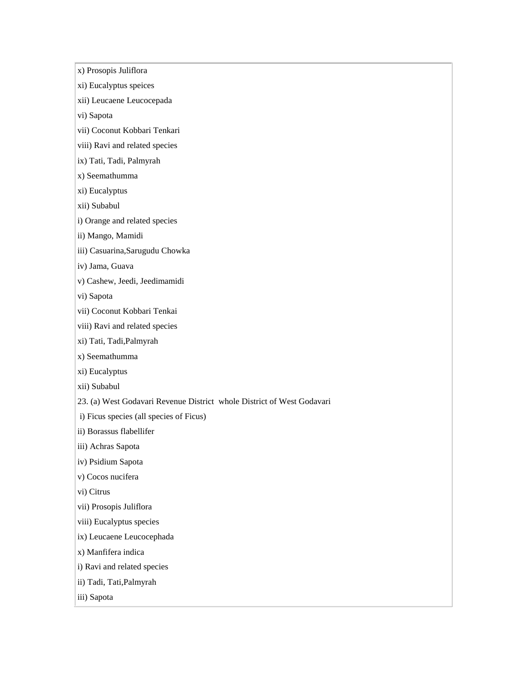x) Prosopis Juliflora

- xi) Eucalyptus speices
- xii) Leucaene Leucocepada

vi) Sapota

- vii) Coconut Kobbari Tenkari
- viii) Ravi and related species
- ix) Tati, Tadi, Palmyrah
- x) Seemathumma
- xi) Eucalyptus
- xii) Subabul
- i) Orange and related species
- ii) Mango, Mamidi
- iii) Casuarina,Sarugudu Chowka
- iv) Jama, Guava
- v) Cashew, Jeedi, Jeedimamidi
- vi) Sapota
- vii) Coconut Kobbari Tenkai
- viii) Ravi and related species
- xi) Tati, Tadi,Palmyrah
- x) Seemathumma
- xi) Eucalyptus
- xii) Subabul
- 23. (a) West Godavari Revenue District whole District of West Godavari
- i) Ficus species (all species of Ficus)
- ii) Borassus flabellifer
- iii) Achras Sapota
- iv) Psidium Sapota
- v) Cocos nucifera
- vi) Citrus
- vii) Prosopis Juliflora
- viii) Eucalyptus species
- ix) Leucaene Leucocephada
- x) Manfifera indica
- i) Ravi and related species
- ii) Tadi, Tati,Palmyrah
- iii) Sapota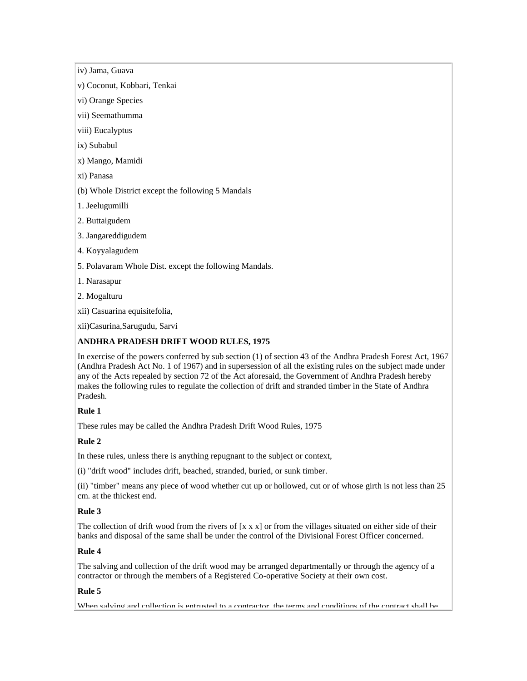iv) Jama, Guava

v) Coconut, Kobbari, Tenkai

vi) Orange Species

vii) Seemathumma

viii) Eucalyptus

ix) Subabul

x) Mango, Mamidi

xi) Panasa

(b) Whole District except the following 5 Mandals

1. Jeelugumilli

2. Buttaigudem

3. Jangareddigudem

4. Koyyalagudem

5. Polavaram Whole Dist. except the following Mandals.

1. Narasapur

2. Mogalturu

xii) Casuarina equisitefolia,

xii)Casurina,Sarugudu, Sarvi

## **ANDHRA PRADESH DRIFT WOOD RULES, 1975**

In exercise of the powers conferred by sub section (1) of section 43 of the Andhra Pradesh Forest Act, 1967 (Andhra Pradesh Act No. 1 of 1967) and in supersession of all the existing rules on the subject made under any of the Acts repealed by section 72 of the Act aforesaid, the Government of Andhra Pradesh hereby makes the following rules to regulate the collection of drift and stranded timber in the State of Andhra Pradesh.

# **Rule 1**

These rules may be called the Andhra Pradesh Drift Wood Rules, 1975

# **Rule 2**

In these rules, unless there is anything repugnant to the subject or context,

(i) "drift wood" includes drift, beached, stranded, buried, or sunk timber.

(ii) "timber" means any piece of wood whether cut up or hollowed, cut or of whose girth is not less than 25 cm. at the thickest end.

## **Rule 3**

The collection of drift wood from the rivers of  $[x \times x]$  or from the villages situated on either side of their banks and disposal of the same shall be under the control of the Divisional Forest Officer concerned.

## **Rule 4**

The salving and collection of the drift wood may be arranged departmentally or through the agency of a contractor or through the members of a Registered Co-operative Society at their own cost.

## **Rule 5**

When salving and collection is entrusted to a contractor, the terms and conditions of the contract shall be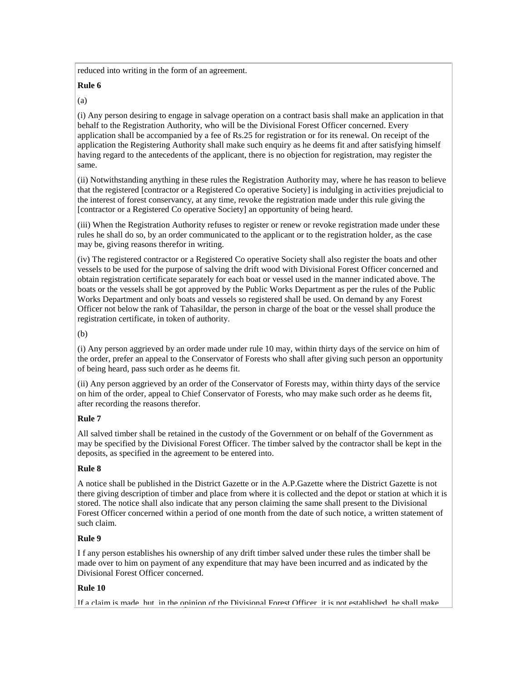reduced into writing in the form of an agreement.

# **Rule 6**

(a)

(i) Any person desiring to engage in salvage operation on a contract basis shall make an application in that behalf to the Registration Authority, who will be the Divisional Forest Officer concerned. Every application shall be accompanied by a fee of Rs.25 for registration or for its renewal. On receipt of the application the Registering Authority shall make such enquiry as he deems fit and after satisfying himself having regard to the antecedents of the applicant, there is no objection for registration, may register the same.

(ii) Notwithstanding anything in these rules the Registration Authority may, where he has reason to believe that the registered [contractor or a Registered Co operative Society] is indulging in activities prejudicial to the interest of forest conservancy, at any time, revoke the registration made under this rule giving the [contractor or a Registered Co operative Society] an opportunity of being heard.

(iii) When the Registration Authority refuses to register or renew or revoke registration made under these rules he shall do so, by an order communicated to the applicant or to the registration holder, as the case may be, giving reasons therefor in writing.

(iv) The registered contractor or a Registered Co operative Society shall also register the boats and other vessels to be used for the purpose of salving the drift wood with Divisional Forest Officer concerned and obtain registration certificate separately for each boat or vessel used in the manner indicated above. The boats or the vessels shall be got approved by the Public Works Department as per the rules of the Public Works Department and only boats and vessels so registered shall be used. On demand by any Forest Officer not below the rank of Tahasildar, the person in charge of the boat or the vessel shall produce the registration certificate, in token of authority.

(b)

(i) Any person aggrieved by an order made under rule 10 may, within thirty days of the service on him of the order, prefer an appeal to the Conservator of Forests who shall after giving such person an opportunity of being heard, pass such order as he deems fit.

(ii) Any person aggrieved by an order of the Conservator of Forests may, within thirty days of the service on him of the order, appeal to Chief Conservator of Forests, who may make such order as he deems fit, after recording the reasons therefor.

# **Rule 7**

All salved timber shall be retained in the custody of the Government or on behalf of the Government as may be specified by the Divisional Forest Officer. The timber salved by the contractor shall be kept in the deposits, as specified in the agreement to be entered into.

# **Rule 8**

A notice shall be published in the District Gazette or in the A.P.Gazette where the District Gazette is not there giving description of timber and place from where it is collected and the depot or station at which it is stored. The notice shall also indicate that any person claiming the same shall present to the Divisional Forest Officer concerned within a period of one month from the date of such notice, a written statement of such claim.

# **Rule 9**

I f any person establishes his ownership of any drift timber salved under these rules the timber shall be made over to him on payment of any expenditure that may have been incurred and as indicated by the Divisional Forest Officer concerned.

# **Rule 10**

If a claim is made, but, in the opinion of the Divisional Forest Officer, it is not established, he shall make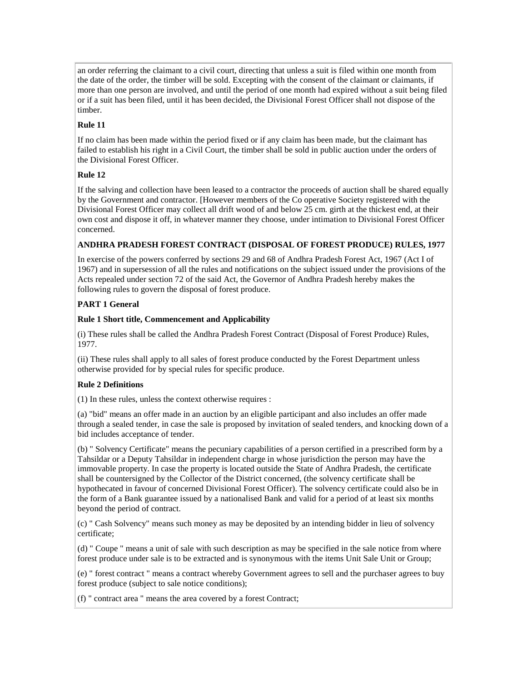an order referring the claimant to a civil court, directing that unless a suit is filed within one month from the date of the order, the timber will be sold. Excepting with the consent of the claimant or claimants, if more than one person are involved, and until the period of one month had expired without a suit being filed or if a suit has been filed, until it has been decided, the Divisional Forest Officer shall not dispose of the timber.

# **Rule 11**

If no claim has been made within the period fixed or if any claim has been made, but the claimant has failed to establish his right in a Civil Court, the timber shall be sold in public auction under the orders of the Divisional Forest Officer.

# **Rule 12**

If the salving and collection have been leased to a contractor the proceeds of auction shall be shared equally by the Government and contractor. [However members of the Co operative Society registered with the Divisional Forest Officer may collect all drift wood of and below 25 cm. girth at the thickest end, at their own cost and dispose it off, in whatever manner they choose, under intimation to Divisional Forest Officer concerned.

# **ANDHRA PRADESH FOREST CONTRACT (DISPOSAL OF FOREST PRODUCE) RULES, 1977**

In exercise of the powers conferred by sections 29 and 68 of Andhra Pradesh Forest Act, 1967 (Act I of 1967) and in supersession of all the rules and notifications on the subject issued under the provisions of the Acts repealed under section 72 of the said Act, the Governor of Andhra Pradesh hereby makes the following rules to govern the disposal of forest produce.

# **PART 1 General**

# **Rule 1 Short title, Commencement and Applicability**

(i) These rules shall be called the Andhra Pradesh Forest Contract (Disposal of Forest Produce) Rules, 1977.

(ii) These rules shall apply to all sales of forest produce conducted by the Forest Department unless otherwise provided for by special rules for specific produce.

# **Rule 2 Definitions**

(1) In these rules, unless the context otherwise requires :

(a) "bid" means an offer made in an auction by an eligible participant and also includes an offer made through a sealed tender, in case the sale is proposed by invitation of sealed tenders, and knocking down of a bid includes acceptance of tender.

(b) " Solvency Certificate" means the pecuniary capabilities of a person certified in a prescribed form by a Tahsildar or a Deputy Tahsildar in independent charge in whose jurisdiction the person may have the immovable property. In case the property is located outside the State of Andhra Pradesh, the certificate shall be countersigned by the Collector of the District concerned, (the solvency certificate shall be hypothecated in favour of concerned Divisional Forest Officer). The solvency certificate could also be in the form of a Bank guarantee issued by a nationalised Bank and valid for a period of at least six months beyond the period of contract.

(c) " Cash Solvency" means such money as may be deposited by an intending bidder in lieu of solvency certificate;

(d) " Coupe " means a unit of sale with such description as may be specified in the sale notice from where forest produce under sale is to be extracted and is synonymous with the items Unit Sale Unit or Group;

(e) " forest contract " means a contract whereby Government agrees to sell and the purchaser agrees to buy forest produce (subject to sale notice conditions);

(f) " contract area " means the area covered by a forest Contract;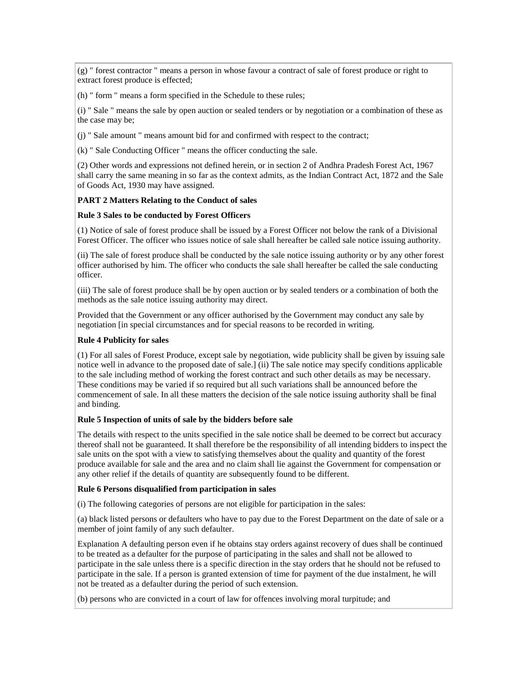(g) " forest contractor " means a person in whose favour a contract of sale of forest produce or right to extract forest produce is effected;

(h) " form " means a form specified in the Schedule to these rules;

(i) " Sale " means the sale by open auction or sealed tenders or by negotiation or a combination of these as the case may be;

(j) " Sale amount " means amount bid for and confirmed with respect to the contract;

(k) " Sale Conducting Officer " means the officer conducting the sale.

(2) Other words and expressions not defined herein, or in section 2 of Andhra Pradesh Forest Act, 1967 shall carry the same meaning in so far as the context admits, as the Indian Contract Act, 1872 and the Sale of Goods Act, 1930 may have assigned.

### **PART 2 Matters Relating to the Conduct of sales**

#### **Rule 3 Sales to be conducted by Forest Officers**

(1) Notice of sale of forest produce shall be issued by a Forest Officer not below the rank of a Divisional Forest Officer. The officer who issues notice of sale shall hereafter be called sale notice issuing authority.

(ii) The sale of forest produce shall be conducted by the sale notice issuing authority or by any other forest officer authorised by him. The officer who conducts the sale shall hereafter be called the sale conducting officer.

(iii) The sale of forest produce shall be by open auction or by sealed tenders or a combination of both the methods as the sale notice issuing authority may direct.

Provided that the Government or any officer authorised by the Government may conduct any sale by negotiation [in special circumstances and for special reasons to be recorded in writing.

### **Rule 4 Publicity for sales**

(1) For all sales of Forest Produce, except sale by negotiation, wide publicity shall be given by issuing sale notice well in advance to the proposed date of sale.] (ii) The sale notice may specify conditions applicable to the sale including method of working the forest contract and such other details as may be necessary. These conditions may be varied if so required but all such variations shall be announced before the commencement of sale. In all these matters the decision of the sale notice issuing authority shall be final and binding.

#### **Rule 5 Inspection of units of sale by the bidders before sale**

The details with respect to the units specified in the sale notice shall be deemed to be correct but accuracy thereof shall not be guaranteed. It shall therefore be the responsibility of all intending bidders to inspect the sale units on the spot with a view to satisfying themselves about the quality and quantity of the forest produce available for sale and the area and no claim shall lie against the Government for compensation or any other relief if the details of quantity are subsequently found to be different.

#### **Rule 6 Persons disqualified from participation in sales**

(i) The following categories of persons are not eligible for participation in the sales:

(a) black listed persons or defaulters who have to pay due to the Forest Department on the date of sale or a member of joint family of any such defaulter.

Explanation A defaulting person even if he obtains stay orders against recovery of dues shall be continued to be treated as a defaulter for the purpose of participating in the sales and shall not be allowed to participate in the sale unless there is a specific direction in the stay orders that he should not be refused to participate in the sale. If a person is granted extension of time for payment of the due instalment, he will not be treated as a defaulter during the period of such extension.

(b) persons who are convicted in a court of law for offences involving moral turpitude; and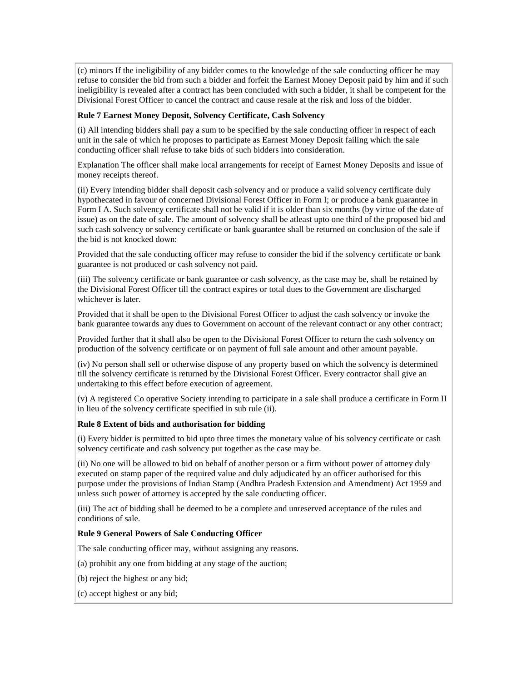(c) minors If the ineligibility of any bidder comes to the knowledge of the sale conducting officer he may refuse to consider the bid from such a bidder and forfeit the Earnest Money Deposit paid by him and if such ineligibility is revealed after a contract has been concluded with such a bidder, it shall be competent for the Divisional Forest Officer to cancel the contract and cause resale at the risk and loss of the bidder.

### **Rule 7 Earnest Money Deposit, Solvency Certificate, Cash Solvency**

(i) All intending bidders shall pay a sum to be specified by the sale conducting officer in respect of each unit in the sale of which he proposes to participate as Earnest Money Deposit failing which the sale conducting officer shall refuse to take bids of such bidders into consideration.

Explanation The officer shall make local arrangements for receipt of Earnest Money Deposits and issue of money receipts thereof.

(ii) Every intending bidder shall deposit cash solvency and or produce a valid solvency certificate duly hypothecated in favour of concerned Divisional Forest Officer in Form I; or produce a bank guarantee in Form I A. Such solvency certificate shall not be valid if it is older than six months (by virtue of the date of issue) as on the date of sale. The amount of solvency shall be atleast upto one third of the proposed bid and such cash solvency or solvency certificate or bank guarantee shall be returned on conclusion of the sale if the bid is not knocked down:

Provided that the sale conducting officer may refuse to consider the bid if the solvency certificate or bank guarantee is not produced or cash solvency not paid.

(iii) The solvency certificate or bank guarantee or cash solvency, as the case may be, shall be retained by the Divisional Forest Officer till the contract expires or total dues to the Government are discharged whichever is later.

Provided that it shall be open to the Divisional Forest Officer to adjust the cash solvency or invoke the bank guarantee towards any dues to Government on account of the relevant contract or any other contract;

Provided further that it shall also be open to the Divisional Forest Officer to return the cash solvency on production of the solvency certificate or on payment of full sale amount and other amount payable.

(iv) No person shall sell or otherwise dispose of any property based on which the solvency is determined till the solvency certificate is returned by the Divisional Forest Officer. Every contractor shall give an undertaking to this effect before execution of agreement.

(v) A registered Co operative Society intending to participate in a sale shall produce a certificate in Form II in lieu of the solvency certificate specified in sub rule (ii).

## **Rule 8 Extent of bids and authorisation for bidding**

(i) Every bidder is permitted to bid upto three times the monetary value of his solvency certificate or cash solvency certificate and cash solvency put together as the case may be.

(ii) No one will be allowed to bid on behalf of another person or a firm without power of attorney duly executed on stamp paper of the required value and duly adjudicated by an officer authorised for this purpose under the provisions of Indian Stamp (Andhra Pradesh Extension and Amendment) Act 1959 and unless such power of attorney is accepted by the sale conducting officer.

(iii) The act of bidding shall be deemed to be a complete and unreserved acceptance of the rules and conditions of sale.

### **Rule 9 General Powers of Sale Conducting Officer**

The sale conducting officer may, without assigning any reasons.

- (a) prohibit any one from bidding at any stage of the auction;
- (b) reject the highest or any bid;
- (c) accept highest or any bid;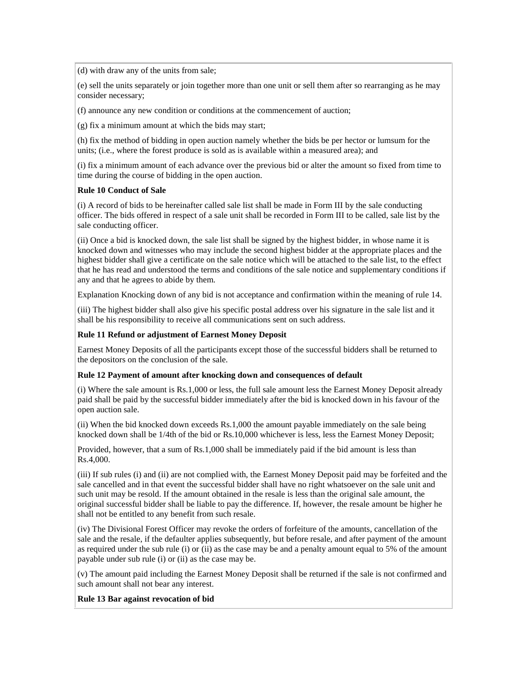(d) with draw any of the units from sale;

(e) sell the units separately or join together more than one unit or sell them after so rearranging as he may consider necessary;

(f) announce any new condition or conditions at the commencement of auction;

(g) fix a minimum amount at which the bids may start;

(h) fix the method of bidding in open auction namely whether the bids be per hector or lumsum for the units; (i.e., where the forest produce is sold as is available within a measured area); and

(i) fix a minimum amount of each advance over the previous bid or alter the amount so fixed from time to time during the course of bidding in the open auction.

### **Rule 10 Conduct of Sale**

(i) A record of bids to be hereinafter called sale list shall be made in Form III by the sale conducting officer. The bids offered in respect of a sale unit shall be recorded in Form III to be called, sale list by the sale conducting officer.

(ii) Once a bid is knocked down, the sale list shall be signed by the highest bidder, in whose name it is knocked down and witnesses who may include the second highest bidder at the appropriate places and the highest bidder shall give a certificate on the sale notice which will be attached to the sale list, to the effect that he has read and understood the terms and conditions of the sale notice and supplementary conditions if any and that he agrees to abide by them.

Explanation Knocking down of any bid is not acceptance and confirmation within the meaning of rule 14.

(iii) The highest bidder shall also give his specific postal address over his signature in the sale list and it shall be his responsibility to receive all communications sent on such address.

## **Rule 11 Refund or adjustment of Earnest Money Deposit**

Earnest Money Deposits of all the participants except those of the successful bidders shall be returned to the depositors on the conclusion of the sale.

### **Rule 12 Payment of amount after knocking down and consequences of default**

(i) Where the sale amount is Rs.1,000 or less, the full sale amount less the Earnest Money Deposit already paid shall be paid by the successful bidder immediately after the bid is knocked down in his favour of the open auction sale.

(ii) When the bid knocked down exceeds Rs.1,000 the amount payable immediately on the sale being knocked down shall be 1/4th of the bid or Rs.10,000 whichever is less, less the Earnest Money Deposit;

Provided, however, that a sum of Rs.1,000 shall be immediately paid if the bid amount is less than Rs.4,000.

(iii) If sub rules (i) and (ii) are not complied with, the Earnest Money Deposit paid may be forfeited and the sale cancelled and in that event the successful bidder shall have no right whatsoever on the sale unit and such unit may be resold. If the amount obtained in the resale is less than the original sale amount, the original successful bidder shall be liable to pay the difference. If, however, the resale amount be higher he shall not be entitled to any benefit from such resale.

(iv) The Divisional Forest Officer may revoke the orders of forfeiture of the amounts, cancellation of the sale and the resale, if the defaulter applies subsequently, but before resale, and after payment of the amount as required under the sub rule (i) or (ii) as the case may be and a penalty amount equal to 5% of the amount payable under sub rule (i) or (ii) as the case may be.

(v) The amount paid including the Earnest Money Deposit shall be returned if the sale is not confirmed and such amount shall not bear any interest.

## **Rule 13 Bar against revocation of bid**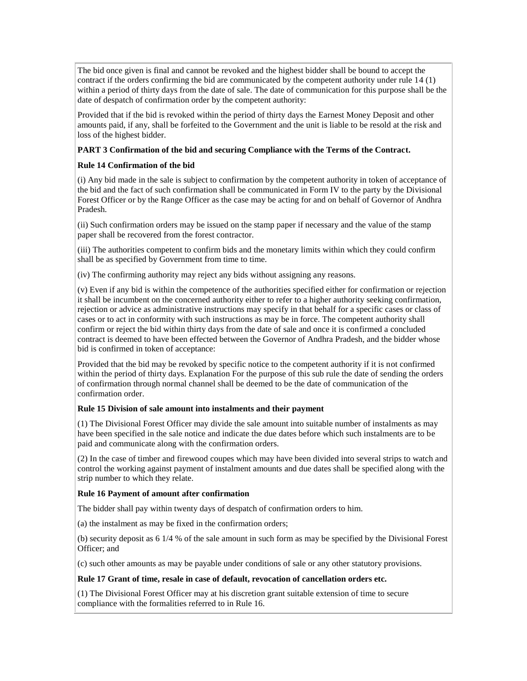The bid once given is final and cannot be revoked and the highest bidder shall be bound to accept the contract if the orders confirming the bid are communicated by the competent authority under rule 14 (1) within a period of thirty days from the date of sale. The date of communication for this purpose shall be the date of despatch of confirmation order by the competent authority:

Provided that if the bid is revoked within the period of thirty days the Earnest Money Deposit and other amounts paid, if any, shall be forfeited to the Government and the unit is liable to be resold at the risk and loss of the highest bidder.

## **PART 3 Confirmation of the bid and securing Compliance with the Terms of the Contract.**

## **Rule 14 Confirmation of the bid**

(i) Any bid made in the sale is subject to confirmation by the competent authority in token of acceptance of the bid and the fact of such confirmation shall be communicated in Form IV to the party by the Divisional Forest Officer or by the Range Officer as the case may be acting for and on behalf of Governor of Andhra Pradesh.

(ii) Such confirmation orders may be issued on the stamp paper if necessary and the value of the stamp paper shall be recovered from the forest contractor.

(iii) The authorities competent to confirm bids and the monetary limits within which they could confirm shall be as specified by Government from time to time.

(iv) The confirming authority may reject any bids without assigning any reasons.

(v) Even if any bid is within the competence of the authorities specified either for confirmation or rejection it shall be incumbent on the concerned authority either to refer to a higher authority seeking confirmation, rejection or advice as administrative instructions may specify in that behalf for a specific cases or class of cases or to act in conformity with such instructions as may be in force. The competent authority shall confirm or reject the bid within thirty days from the date of sale and once it is confirmed a concluded contract is deemed to have been effected between the Governor of Andhra Pradesh, and the bidder whose bid is confirmed in token of acceptance:

Provided that the bid may be revoked by specific notice to the competent authority if it is not confirmed within the period of thirty days. Explanation For the purpose of this sub rule the date of sending the orders of confirmation through normal channel shall be deemed to be the date of communication of the confirmation order.

## **Rule 15 Division of sale amount into instalments and their payment**

(1) The Divisional Forest Officer may divide the sale amount into suitable number of instalments as may have been specified in the sale notice and indicate the due dates before which such instalments are to be paid and communicate along with the confirmation orders.

(2) In the case of timber and firewood coupes which may have been divided into several strips to watch and control the working against payment of instalment amounts and due dates shall be specified along with the strip number to which they relate.

## **Rule 16 Payment of amount after confirmation**

The bidder shall pay within twenty days of despatch of confirmation orders to him.

(a) the instalment as may be fixed in the confirmation orders;

(b) security deposit as 6 1/4 % of the sale amount in such form as may be specified by the Divisional Forest Officer; and

(c) such other amounts as may be payable under conditions of sale or any other statutory provisions.

## **Rule 17 Grant of time, resale in case of default, revocation of cancellation orders etc.**

(1) The Divisional Forest Officer may at his discretion grant suitable extension of time to secure compliance with the formalities referred to in Rule 16.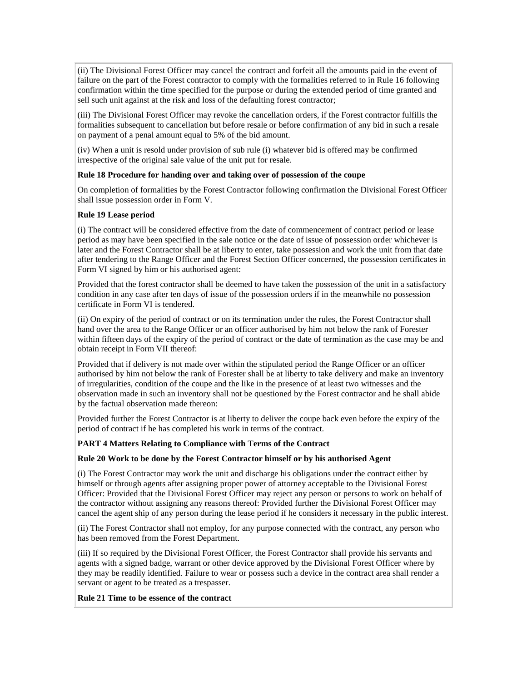(ii) The Divisional Forest Officer may cancel the contract and forfeit all the amounts paid in the event of failure on the part of the Forest contractor to comply with the formalities referred to in Rule 16 following confirmation within the time specified for the purpose or during the extended period of time granted and sell such unit against at the risk and loss of the defaulting forest contractor;

(iii) The Divisional Forest Officer may revoke the cancellation orders, if the Forest contractor fulfills the formalities subsequent to cancellation but before resale or before confirmation of any bid in such a resale on payment of a penal amount equal to 5% of the bid amount.

(iv) When a unit is resold under provision of sub rule (i) whatever bid is offered may be confirmed irrespective of the original sale value of the unit put for resale.

## **Rule 18 Procedure for handing over and taking over of possession of the coupe**

On completion of formalities by the Forest Contractor following confirmation the Divisional Forest Officer shall issue possession order in Form V.

### **Rule 19 Lease period**

(i) The contract will be considered effective from the date of commencement of contract period or lease period as may have been specified in the sale notice or the date of issue of possession order whichever is later and the Forest Contractor shall be at liberty to enter, take possession and work the unit from that date after tendering to the Range Officer and the Forest Section Officer concerned, the possession certificates in Form VI signed by him or his authorised agent:

Provided that the forest contractor shall be deemed to have taken the possession of the unit in a satisfactory condition in any case after ten days of issue of the possession orders if in the meanwhile no possession certificate in Form VI is tendered.

(ii) On expiry of the period of contract or on its termination under the rules, the Forest Contractor shall hand over the area to the Range Officer or an officer authorised by him not below the rank of Forester within fifteen days of the expiry of the period of contract or the date of termination as the case may be and obtain receipt in Form VII thereof:

Provided that if delivery is not made over within the stipulated period the Range Officer or an officer authorised by him not below the rank of Forester shall be at liberty to take delivery and make an inventory of irregularities, condition of the coupe and the like in the presence of at least two witnesses and the observation made in such an inventory shall not be questioned by the Forest contractor and he shall abide by the factual observation made thereon:

Provided further the Forest Contractor is at liberty to deliver the coupe back even before the expiry of the period of contract if he has completed his work in terms of the contract.

## **PART 4 Matters Relating to Compliance with Terms of the Contract**

### **Rule 20 Work to be done by the Forest Contractor himself or by his authorised Agent**

(i) The Forest Contractor may work the unit and discharge his obligations under the contract either by himself or through agents after assigning proper power of attorney acceptable to the Divisional Forest Officer: Provided that the Divisional Forest Officer may reject any person or persons to work on behalf of the contractor without assigning any reasons thereof: Provided further the Divisional Forest Officer may cancel the agent ship of any person during the lease period if he considers it necessary in the public interest.

(ii) The Forest Contractor shall not employ, for any purpose connected with the contract, any person who has been removed from the Forest Department.

(iii) If so required by the Divisional Forest Officer, the Forest Contractor shall provide his servants and agents with a signed badge, warrant or other device approved by the Divisional Forest Officer where by they may be readily identified. Failure to wear or possess such a device in the contract area shall render a servant or agent to be treated as a trespasser.

### **Rule 21 Time to be essence of the contract**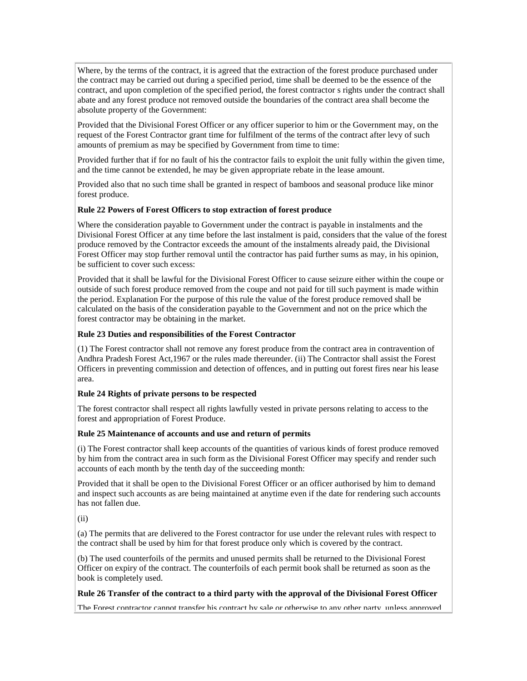Where, by the terms of the contract, it is agreed that the extraction of the forest produce purchased under the contract may be carried out during a specified period, time shall be deemed to be the essence of the contract, and upon completion of the specified period, the forest contractor s rights under the contract shall abate and any forest produce not removed outside the boundaries of the contract area shall become the absolute property of the Government:

Provided that the Divisional Forest Officer or any officer superior to him or the Government may, on the request of the Forest Contractor grant time for fulfilment of the terms of the contract after levy of such amounts of premium as may be specified by Government from time to time:

Provided further that if for no fault of his the contractor fails to exploit the unit fully within the given time, and the time cannot be extended, he may be given appropriate rebate in the lease amount.

Provided also that no such time shall be granted in respect of bamboos and seasonal produce like minor forest produce.

## **Rule 22 Powers of Forest Officers to stop extraction of forest produce**

Where the consideration payable to Government under the contract is payable in instalments and the Divisional Forest Officer at any time before the last instalment is paid, considers that the value of the forest produce removed by the Contractor exceeds the amount of the instalments already paid, the Divisional Forest Officer may stop further removal until the contractor has paid further sums as may, in his opinion, be sufficient to cover such excess:

Provided that it shall be lawful for the Divisional Forest Officer to cause seizure either within the coupe or outside of such forest produce removed from the coupe and not paid for till such payment is made within the period. Explanation For the purpose of this rule the value of the forest produce removed shall be calculated on the basis of the consideration payable to the Government and not on the price which the forest contractor may be obtaining in the market.

### **Rule 23 Duties and responsibilities of the Forest Contractor**

(1) The Forest contractor shall not remove any forest produce from the contract area in contravention of Andhra Pradesh Forest Act,1967 or the rules made thereunder. (ii) The Contractor shall assist the Forest Officers in preventing commission and detection of offences, and in putting out forest fires near his lease area.

### **Rule 24 Rights of private persons to be respected**

The forest contractor shall respect all rights lawfully vested in private persons relating to access to the forest and appropriation of Forest Produce.

### **Rule 25 Maintenance of accounts and use and return of permits**

(i) The Forest contractor shall keep accounts of the quantities of various kinds of forest produce removed by him from the contract area in such form as the Divisional Forest Officer may specify and render such accounts of each month by the tenth day of the succeeding month:

Provided that it shall be open to the Divisional Forest Officer or an officer authorised by him to demand and inspect such accounts as are being maintained at anytime even if the date for rendering such accounts has not fallen due.

(ii)

(a) The permits that are delivered to the Forest contractor for use under the relevant rules with respect to the contract shall be used by him for that forest produce only which is covered by the contract.

(b) The used counterfoils of the permits and unused permits shall be returned to the Divisional Forest Officer on expiry of the contract. The counterfoils of each permit book shall be returned as soon as the book is completely used.

### **Rule 26 Transfer of the contract to a third party with the approval of the Divisional Forest Officer**

The Forest contractor cannot transfer his contract by sale or otherwise to any other narty, unless annroved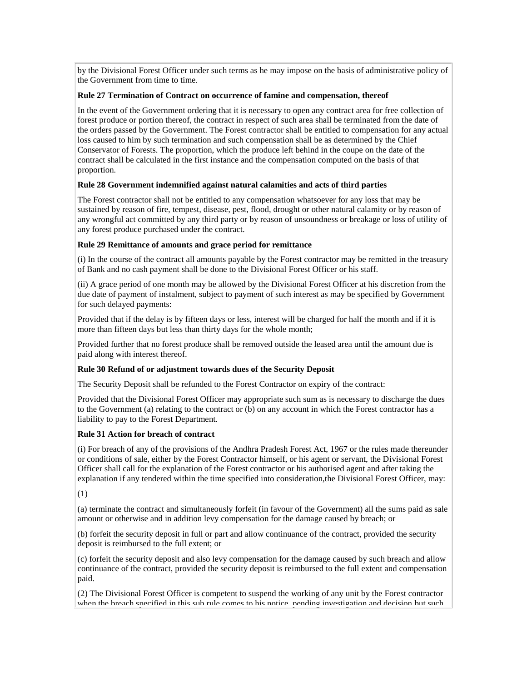by the Divisional Forest Officer under such terms as he may impose on the basis of administrative policy of the Government from time to time.

#### **Rule 27 Termination of Contract on occurrence of famine and compensation, thereof**

In the event of the Government ordering that it is necessary to open any contract area for free collection of forest produce or portion thereof, the contract in respect of such area shall be terminated from the date of the orders passed by the Government. The Forest contractor shall be entitled to compensation for any actual loss caused to him by such termination and such compensation shall be as determined by the Chief Conservator of Forests. The proportion, which the produce left behind in the coupe on the date of the contract shall be calculated in the first instance and the compensation computed on the basis of that proportion.

### **Rule 28 Government indemnified against natural calamities and acts of third parties**

The Forest contractor shall not be entitled to any compensation whatsoever for any loss that may be sustained by reason of fire, tempest, disease, pest, flood, drought or other natural calamity or by reason of any wrongful act committed by any third party or by reason of unsoundness or breakage or loss of utility of any forest produce purchased under the contract.

#### **Rule 29 Remittance of amounts and grace period for remittance**

(i) In the course of the contract all amounts payable by the Forest contractor may be remitted in the treasury of Bank and no cash payment shall be done to the Divisional Forest Officer or his staff.

(ii) A grace period of one month may be allowed by the Divisional Forest Officer at his discretion from the due date of payment of instalment, subject to payment of such interest as may be specified by Government for such delayed payments:

Provided that if the delay is by fifteen days or less, interest will be charged for half the month and if it is more than fifteen days but less than thirty days for the whole month;

Provided further that no forest produce shall be removed outside the leased area until the amount due is paid along with interest thereof.

### **Rule 30 Refund of or adjustment towards dues of the Security Deposit**

The Security Deposit shall be refunded to the Forest Contractor on expiry of the contract:

Provided that the Divisional Forest Officer may appropriate such sum as is necessary to discharge the dues to the Government (a) relating to the contract or (b) on any account in which the Forest contractor has a liability to pay to the Forest Department.

#### **Rule 31 Action for breach of contract**

(i) For breach of any of the provisions of the Andhra Pradesh Forest Act, 1967 or the rules made thereunder or conditions of sale, either by the Forest Contractor himself, or his agent or servant, the Divisional Forest Officer shall call for the explanation of the Forest contractor or his authorised agent and after taking the explanation if any tendered within the time specified into consideration,the Divisional Forest Officer, may:

(1)

(a) terminate the contract and simultaneously forfeit (in favour of the Government) all the sums paid as sale amount or otherwise and in addition levy compensation for the damage caused by breach; or

(b) forfeit the security deposit in full or part and allow continuance of the contract, provided the security deposit is reimbursed to the full extent; or

(c) forfeit the security deposit and also levy compensation for the damage caused by such breach and allow continuance of the contract, provided the security deposit is reimbursed to the full extent and compensation paid.

(2) The Divisional Forest Officer is competent to suspend the working of any unit by the Forest contractor when the breach specified in this sub rule comes to his notice, pending investigation and decision but such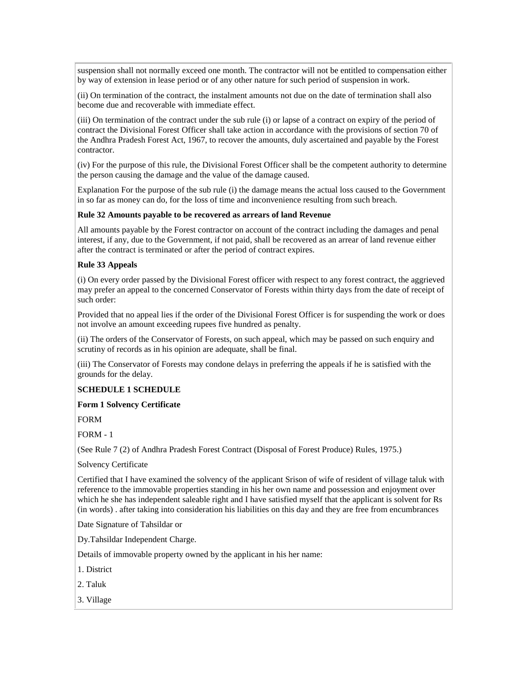suspension shall not normally exceed one month. The contractor will not be entitled to compensation either by way of extension in lease period or of any other nature for such period of suspension in work.

(ii) On termination of the contract, the instalment amounts not due on the date of termination shall also become due and recoverable with immediate effect.

(iii) On termination of the contract under the sub rule (i) or lapse of a contract on expiry of the period of contract the Divisional Forest Officer shall take action in accordance with the provisions of section 70 of the Andhra Pradesh Forest Act, 1967, to recover the amounts, duly ascertained and payable by the Forest contractor.

(iv) For the purpose of this rule, the Divisional Forest Officer shall be the competent authority to determine the person causing the damage and the value of the damage caused.

Explanation For the purpose of the sub rule (i) the damage means the actual loss caused to the Government in so far as money can do, for the loss of time and inconvenience resulting from such breach.

### **Rule 32 Amounts payable to be recovered as arrears of land Revenue**

All amounts payable by the Forest contractor on account of the contract including the damages and penal interest, if any, due to the Government, if not paid, shall be recovered as an arrear of land revenue either after the contract is terminated or after the period of contract expires.

### **Rule 33 Appeals**

(i) On every order passed by the Divisional Forest officer with respect to any forest contract, the aggrieved may prefer an appeal to the concerned Conservator of Forests within thirty days from the date of receipt of such order:

Provided that no appeal lies if the order of the Divisional Forest Officer is for suspending the work or does not involve an amount exceeding rupees five hundred as penalty.

(ii) The orders of the Conservator of Forests, on such appeal, which may be passed on such enquiry and scrutiny of records as in his opinion are adequate, shall be final.

(iii) The Conservator of Forests may condone delays in preferring the appeals if he is satisfied with the grounds for the delay.

## **SCHEDULE 1 SCHEDULE**

### **Form 1 Solvency Certificate**

FORM

FORM - 1

(See Rule 7 (2) of Andhra Pradesh Forest Contract (Disposal of Forest Produce) Rules, 1975.)

### Solvency Certificate

Certified that I have examined the solvency of the applicant Srison of wife of resident of village taluk with reference to the immovable properties standing in his her own name and possession and enjoyment over which he she has independent saleable right and I have satisfied myself that the applicant is solvent for Rs (in words) . after taking into consideration his liabilities on this day and they are free from encumbrances

Date Signature of Tahsildar or

Dy.Tahsildar Independent Charge.

Details of immovable property owned by the applicant in his her name:

- 1. District
- 2. Taluk
- 3. Village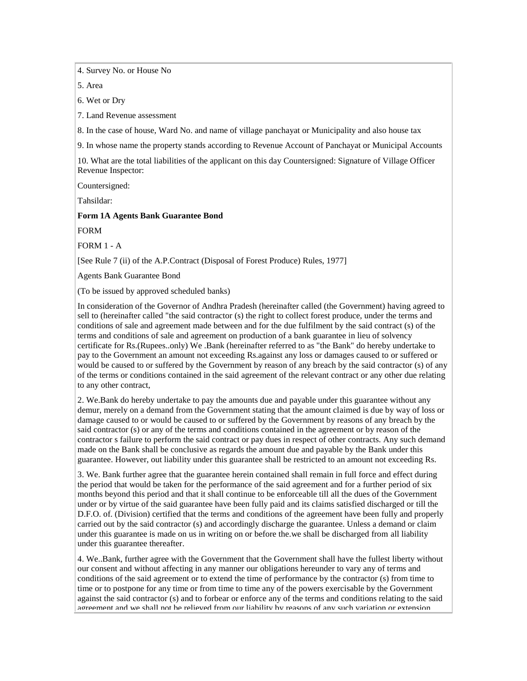4. Survey No. or House No

5. Area

6. Wet or Dry

7. Land Revenue assessment

8. In the case of house, Ward No. and name of village panchayat or Municipality and also house tax

9. In whose name the property stands according to Revenue Account of Panchayat or Municipal Accounts

10. What are the total liabilities of the applicant on this day Countersigned: Signature of Village Officer Revenue Inspector:

Countersigned:

Tahsildar:

### **Form 1A Agents Bank Guarantee Bond**

FORM

FORM 1 - A

[See Rule 7 (ii) of the A.P.Contract (Disposal of Forest Produce) Rules, 1977]

Agents Bank Guarantee Bond

(To be issued by approved scheduled banks)

In consideration of the Governor of Andhra Pradesh (hereinafter called (the Government) having agreed to sell to (hereinafter called "the said contractor (s) the right to collect forest produce, under the terms and conditions of sale and agreement made between and for the due fulfilment by the said contract (s) of the terms and conditions of sale and agreement on production of a bank guarantee in lieu of solvency certificate for Rs.(Rupees..only) We .Bank (hereinafter referred to as "the Bank" do hereby undertake to pay to the Government an amount not exceeding Rs.against any loss or damages caused to or suffered or would be caused to or suffered by the Government by reason of any breach by the said contractor (s) of any of the terms or conditions contained in the said agreement of the relevant contract or any other due relating to any other contract,

2. We.Bank do hereby undertake to pay the amounts due and payable under this guarantee without any demur, merely on a demand from the Government stating that the amount claimed is due by way of loss or damage caused to or would be caused to or suffered by the Government by reasons of any breach by the said contractor (s) or any of the terms and conditions contained in the agreement or by reason of the contractor s failure to perform the said contract or pay dues in respect of other contracts. Any such demand made on the Bank shall be conclusive as regards the amount due and payable by the Bank under this guarantee. However, out liability under this guarantee shall be restricted to an amount not exceeding Rs.

3. We. Bank further agree that the guarantee herein contained shall remain in full force and effect during the period that would be taken for the performance of the said agreement and for a further period of six months beyond this period and that it shall continue to be enforceable till all the dues of the Government under or by virtue of the said guarantee have been fully paid and its claims satisfied discharged or till the D.F.O. of. (Division) certified that the terms and conditions of the agreement have been fully and properly carried out by the said contractor (s) and accordingly discharge the guarantee. Unless a demand or claim under this guarantee is made on us in writing on or before the.we shall be discharged from all liability under this guarantee thereafter.

4. We..Bank, further agree with the Government that the Government shall have the fullest liberty without our consent and without affecting in any manner our obligations hereunder to vary any of terms and conditions of the said agreement or to extend the time of performance by the contractor (s) from time to time or to postpone for any time or from time to time any of the powers exercisable by the Government against the said contractor (s) and to forbear or enforce any of the terms and conditions relating to the said agreement and we shall not be relieved from our liability by reasons of any such variation or extension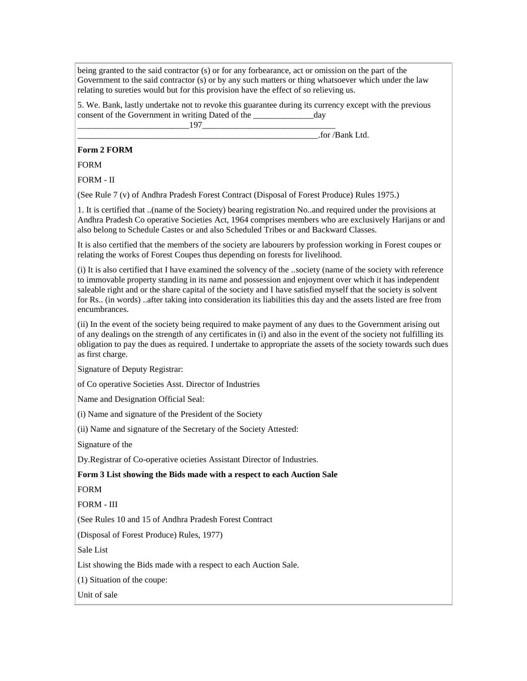being granted to the said contractor (s) or for any forbearance, act or omission on the part of the Government to the said contractor (s) or by any such matters or thing whatsoever which under the law relating to sureties would but for this provision have the effect of so relieving us.

5. We. Bank, lastly undertake not to revoke this guarantee during its currency except with the previous consent of the Government in writing Dated of the \_\_\_\_\_\_\_\_\_\_\_\_\_\_day

 $197$ 

 $\frac{1}{2}$  for /Bank Ltd.

# **Form 2 FORM**

FORM

FORM - II

(See Rule 7 (v) of Andhra Pradesh Forest Contract (Disposal of Forest Produce) Rules 1975.)

1. It is certified that ..(name of the Society) bearing registration No..and required under the provisions at Andhra Pradesh Co operative Societies Act, 1964 comprises members who are exclusively Harijans or and also belong to Schedule Castes or and also Scheduled Tribes or and Backward Classes.

It is also certified that the members of the society are labourers by profession working in Forest coupes or relating the works of Forest Coupes thus depending on forests for livelihood.

(i) It is also certified that I have examined the solvency of the ..society (name of the society with reference to immovable property standing in its name and possession and enjoyment over which it has independent saleable right and or the share capital of the society and I have satisfied myself that the society is solvent for Rs.. (in words) ..after taking into consideration its liabilities this day and the assets listed are free from encumbrances.

(ii) In the event of the society being required to make payment of any dues to the Government arising out of any dealings on the strength of any certificates in (i) and also in the event of the society not fulfilling its obligation to pay the dues as required. I undertake to appropriate the assets of the society towards such dues as first charge.

Signature of Deputy Registrar:

of Co operative Societies Asst. Director of Industries

Name and Designation Official Seal:

(i) Name and signature of the President of the Society

(ii) Name and signature of the Secretary of the Society Attested:

Signature of the

Dy.Registrar of Co-operative ocieties Assistant Director of Industries.

**Form 3 List showing the Bids made with a respect to each Auction Sale** 

FORM

FORM - III

(See Rules 10 and 15 of Andhra Pradesh Forest Contract

(Disposal of Forest Produce) Rules, 1977)

Sale List

List showing the Bids made with a respect to each Auction Sale.

(1) Situation of the coupe:

Unit of sale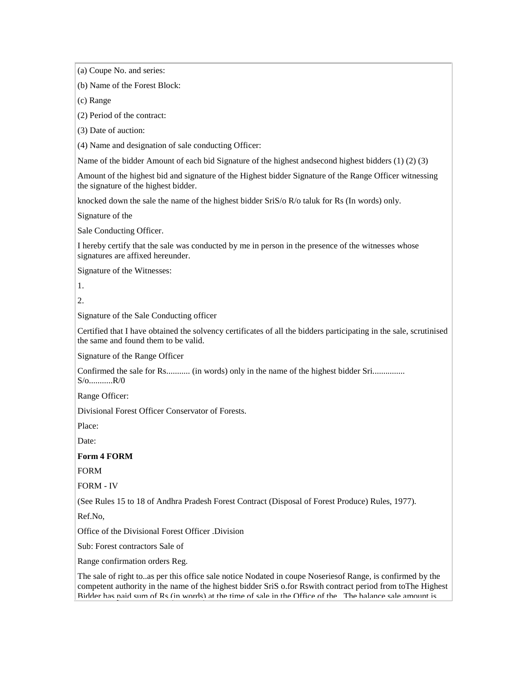(a) Coupe No. and series: (b) Name of the Forest Block: (c) Range (2) Period of the contract: (3) Date of auction: (4) Name and designation of sale conducting Officer: Name of the bidder Amount of each bid Signature of the highest andsecond highest bidders (1) (2) (3) Amount of the highest bid and signature of the Highest bidder Signature of the Range Officer witnessing the signature of the highest bidder. knocked down the sale the name of the highest bidder SriS/o R/o taluk for Rs (In words) only. Signature of the Sale Conducting Officer. I hereby certify that the sale was conducted by me in person in the presence of the witnesses whose signatures are affixed hereunder. Signature of the Witnesses: 1. 2. Signature of the Sale Conducting officer Certified that I have obtained the solvency certificates of all the bidders participating in the sale, scrutinised the same and found them to be valid. Signature of the Range Officer Confirmed the sale for Rs............ (in words) only in the name of the highest bidder Sri................ S/o...........R/0 Range Officer: Divisional Forest Officer Conservator of Forests. Place: Date: **Form 4 FORM** FORM FORM - IV (See Rules 15 to 18 of Andhra Pradesh Forest Contract (Disposal of Forest Produce) Rules, 1977). Ref.No, Office of the Divisional Forest Officer .Division Sub: Forest contractors Sale of Range confirmation orders Reg. The sale of right to..as per this office sale notice Nodated in coupe Noseriesof Range, is confirmed by the competent authority in the name of the highest bidder SriS o.for Rswith contract period from toThe Highest Bidder has paid sum of Rs (in words) at the time of sale in the Office of the ..The balance sale amount is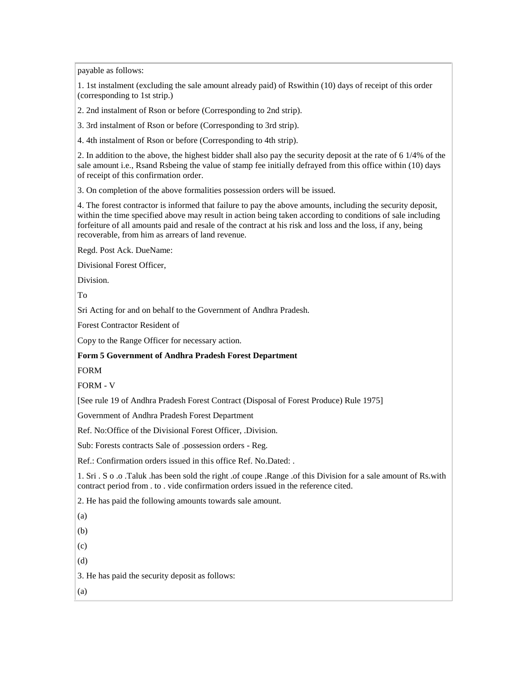payable as follows:

1. 1st instalment (excluding the sale amount already paid) of Rswithin (10) days of receipt of this order (corresponding to 1st strip.)

2. 2nd instalment of Rson or before (Corresponding to 2nd strip).

3. 3rd instalment of Rson or before (Corresponding to 3rd strip).

4. 4th instalment of Rson or before (Corresponding to 4th strip).

2. In addition to the above, the highest bidder shall also pay the security deposit at the rate of 6 1/4% of the sale amount i.e., Rsand Rsbeing the value of stamp fee initially defrayed from this office within (10) days of receipt of this confirmation order.

3. On completion of the above formalities possession orders will be issued.

4. The forest contractor is informed that failure to pay the above amounts, including the security deposit, within the time specified above may result in action being taken according to conditions of sale including forfeiture of all amounts paid and resale of the contract at his risk and loss and the loss, if any, being recoverable, from him as arrears of land revenue.

Regd. Post Ack. DueName:

Divisional Forest Officer,

Division.

To

Sri Acting for and on behalf to the Government of Andhra Pradesh.

Forest Contractor Resident of

Copy to the Range Officer for necessary action.

## **Form 5 Government of Andhra Pradesh Forest Department**

FORM

FORM - V

[See rule 19 of Andhra Pradesh Forest Contract (Disposal of Forest Produce) Rule 1975]

Government of Andhra Pradesh Forest Department

Ref. No:Office of the Divisional Forest Officer, .Division.

Sub: Forests contracts Sale of .possession orders - Reg.

Ref.: Confirmation orders issued in this office Ref. No.Dated: .

1. Sri . S o .o .Taluk .has been sold the right .of coupe .Range .of this Division for a sale amount of Rs.with contract period from . to . vide confirmation orders issued in the reference cited.

2. He has paid the following amounts towards sale amount.

(a)

(b)

(c)

(d)

3. He has paid the security deposit as follows:

(a)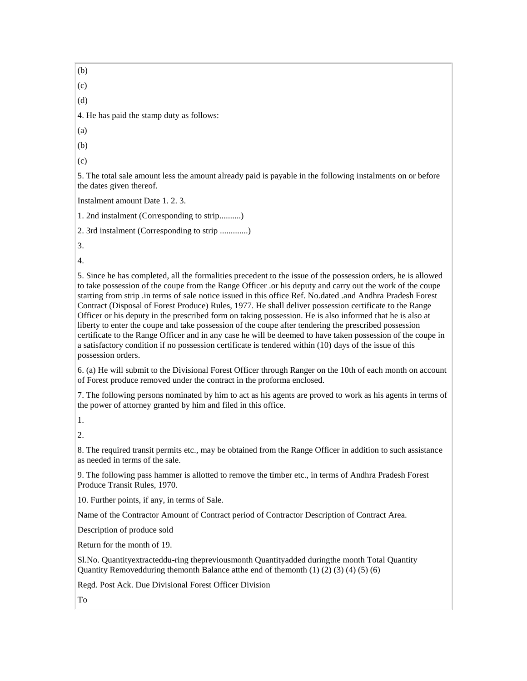(b) (c) (d) 4. He has paid the stamp duty as follows: (a) (b) (c) 5. The total sale amount less the amount already paid is payable in the following instalments on or before the dates given thereof. Instalment amount Date 1. 2. 3. 1. 2nd instalment (Corresponding to strip..........) 2. 3rd instalment (Corresponding to strip .............) 3. 4. 5. Since he has completed, all the formalities precedent to the issue of the possession orders, he is allowed to take possession of the coupe from the Range Officer .or his deputy and carry out the work of the coupe starting from strip .in terms of sale notice issued in this office Ref. No.dated .and Andhra Pradesh Forest Contract (Disposal of Forest Produce) Rules, 1977. He shall deliver possession certificate to the Range Officer or his deputy in the prescribed form on taking possession. He is also informed that he is also at liberty to enter the coupe and take possession of the coupe after tendering the prescribed possession certificate to the Range Officer and in any case he will be deemed to have taken possession of the coupe in a satisfactory condition if no possession certificate is tendered within (10) days of the issue of this possession orders. 6. (a) He will submit to the Divisional Forest Officer through Ranger on the 10th of each month on account of Forest produce removed under the contract in the proforma enclosed. 7. The following persons nominated by him to act as his agents are proved to work as his agents in terms of the power of attorney granted by him and filed in this office. 1. 2. 8. The required transit permits etc., may be obtained from the Range Officer in addition to such assistance as needed in terms of the sale. 9. The following pass hammer is allotted to remove the timber etc., in terms of Andhra Pradesh Forest Produce Transit Rules, 1970. 10. Further points, if any, in terms of Sale. Name of the Contractor Amount of Contract period of Contractor Description of Contract Area. Description of produce sold Return for the month of 19. Sl.No. Quantityextracteddu-ring thepreviousmonth Quantityadded duringthe month Total Quantity Quantity Removedduring themonth Balance at the end of themonth  $(1)$   $(2)$   $(3)$   $(4)$   $(5)$   $(6)$ Regd. Post Ack. Due Divisional Forest Officer Division To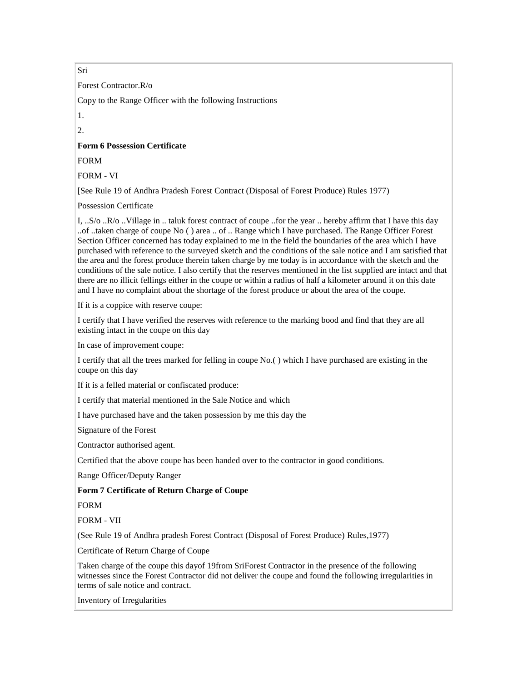Sri

Forest Contractor.R/o

Copy to the Range Officer with the following Instructions

1.

 $2<sup>2</sup>$ 

## **Form 6 Possession Certificate**

FORM

FORM - VI

[See Rule 19 of Andhra Pradesh Forest Contract (Disposal of Forest Produce) Rules 1977)

Possession Certificate

I, ..S/o ..R/o ..Village in .. taluk forest contract of coupe ..for the year .. hereby affirm that I have this day ..of ..taken charge of coupe No ( ) area .. of .. Range which I have purchased. The Range Officer Forest Section Officer concerned has today explained to me in the field the boundaries of the area which I have purchased with reference to the surveyed sketch and the conditions of the sale notice and I am satisfied that the area and the forest produce therein taken charge by me today is in accordance with the sketch and the conditions of the sale notice. I also certify that the reserves mentioned in the list supplied are intact and that there are no illicit fellings either in the coupe or within a radius of half a kilometer around it on this date and I have no complaint about the shortage of the forest produce or about the area of the coupe.

If it is a coppice with reserve coupe:

I certify that I have verified the reserves with reference to the marking bood and find that they are all existing intact in the coupe on this day

In case of improvement coupe:

I certify that all the trees marked for felling in coupe No.( ) which I have purchased are existing in the coupe on this day

If it is a felled material or confiscated produce:

I certify that material mentioned in the Sale Notice and which

I have purchased have and the taken possession by me this day the

Signature of the Forest

Contractor authorised agent.

Certified that the above coupe has been handed over to the contractor in good conditions.

Range Officer/Deputy Ranger

## **Form 7 Certificate of Return Charge of Coupe**

FORM

FORM - VII

(See Rule 19 of Andhra pradesh Forest Contract (Disposal of Forest Produce) Rules,1977)

Certificate of Return Charge of Coupe

Taken charge of the coupe this dayof 19from SriForest Contractor in the presence of the following witnesses since the Forest Contractor did not deliver the coupe and found the following irregularities in terms of sale notice and contract.

Inventory of Irregularities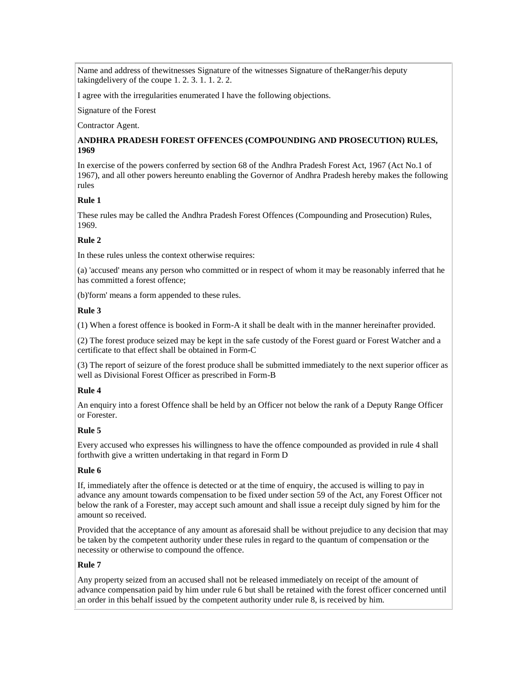Name and address of thewitnesses Signature of the witnesses Signature of theRanger/his deputy takingdelivery of the coupe 1. 2. 3. 1. 1. 2. 2.

I agree with the irregularities enumerated I have the following objections.

Signature of the Forest

Contractor Agent.

## **ANDHRA PRADESH FOREST OFFENCES (COMPOUNDING AND PROSECUTION) RULES, 1969**

In exercise of the powers conferred by section 68 of the Andhra Pradesh Forest Act, 1967 (Act No.1 of 1967), and all other powers hereunto enabling the Governor of Andhra Pradesh hereby makes the following rules

# **Rule 1**

These rules may be called the Andhra Pradesh Forest Offences (Compounding and Prosecution) Rules, 1969.

# **Rule 2**

In these rules unless the context otherwise requires:

(a) 'accused' means any person who committed or in respect of whom it may be reasonably inferred that he has committed a forest offence;

(b)'form' means a form appended to these rules.

## **Rule 3**

(1) When a forest offence is booked in Form-A it shall be dealt with in the manner hereinafter provided.

(2) The forest produce seized may be kept in the safe custody of the Forest guard or Forest Watcher and a certificate to that effect shall be obtained in Form-C

(3) The report of seizure of the forest produce shall be submitted immediately to the next superior officer as well as Divisional Forest Officer as prescribed in Form-B

## **Rule 4**

An enquiry into a forest Offence shall be held by an Officer not below the rank of a Deputy Range Officer or Forester.

## **Rule 5**

Every accused who expresses his willingness to have the offence compounded as provided in rule 4 shall forthwith give a written undertaking in that regard in Form D

## **Rule 6**

If, immediately after the offence is detected or at the time of enquiry, the accused is willing to pay in advance any amount towards compensation to be fixed under section 59 of the Act, any Forest Officer not below the rank of a Forester, may accept such amount and shall issue a receipt duly signed by him for the amount so received.

Provided that the acceptance of any amount as aforesaid shall be without prejudice to any decision that may be taken by the competent authority under these rules in regard to the quantum of compensation or the necessity or otherwise to compound the offence.

# **Rule 7**

Any property seized from an accused shall not be released immediately on receipt of the amount of advance compensation paid by him under rule 6 but shall be retained with the forest officer concerned until an order in this behalf issued by the competent authority under rule 8, is received by him.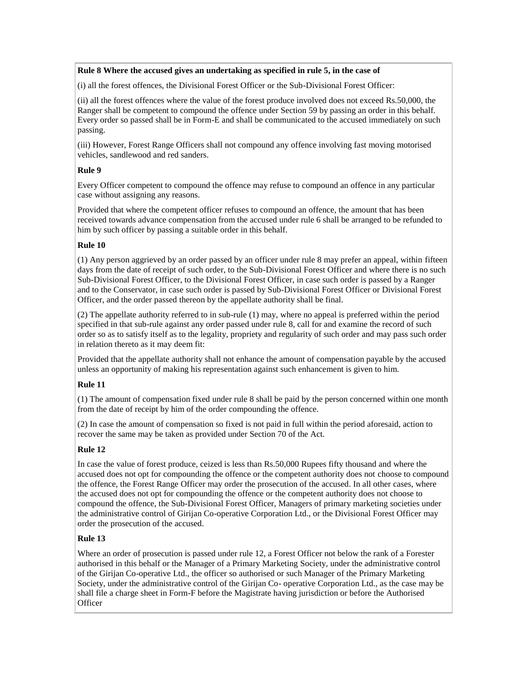# **Rule 8 Where the accused gives an undertaking as specified in rule 5, in the case of**

(i) all the forest offences, the Divisional Forest Officer or the Sub-Divisional Forest Officer:

(ii) all the forest offences where the value of the forest produce involved does not exceed Rs.50,000, the Ranger shall be competent to compound the offence under Section 59 by passing an order in this behalf. Every order so passed shall be in Form-E and shall be communicated to the accused immediately on such passing.

(iii) However, Forest Range Officers shall not compound any offence involving fast moving motorised vehicles, sandlewood and red sanders.

# **Rule 9**

Every Officer competent to compound the offence may refuse to compound an offence in any particular case without assigning any reasons.

Provided that where the competent officer refuses to compound an offence, the amount that has been received towards advance compensation from the accused under rule 6 shall be arranged to be refunded to him by such officer by passing a suitable order in this behalf.

# **Rule 10**

(1) Any person aggrieved by an order passed by an officer under rule 8 may prefer an appeal, within fifteen days from the date of receipt of such order, to the Sub-Divisional Forest Officer and where there is no such Sub-Divisional Forest Officer, to the Divisional Forest Officer, in case such order is passed by a Ranger and to the Conservator, in case such order is passed by Sub-Divisional Forest Officer or Divisional Forest Officer, and the order passed thereon by the appellate authority shall be final.

(2) The appellate authority referred to in sub-rule (1) may, where no appeal is preferred within the period specified in that sub-rule against any order passed under rule 8, call for and examine the record of such order so as to satisfy itself as to the legality, propriety and regularity of such order and may pass such order in relation thereto as it may deem fit:

Provided that the appellate authority shall not enhance the amount of compensation payable by the accused unless an opportunity of making his representation against such enhancement is given to him.

# **Rule 11**

(1) The amount of compensation fixed under rule 8 shall be paid by the person concerned within one month from the date of receipt by him of the order compounding the offence.

(2) In case the amount of compensation so fixed is not paid in full within the period aforesaid, action to recover the same may be taken as provided under Section 70 of the Act.

# **Rule 12**

In case the value of forest produce, ceized is less than Rs.50,000 Rupees fifty thousand and where the accused does not opt for compounding the offence or the competent authority does not choose to compound the offence, the Forest Range Officer may order the prosecution of the accused. In all other cases, where the accused does not opt for compounding the offence or the competent authority does not choose to compound the offence, the Sub-Divisional Forest Officer, Managers of primary marketing societies under the administrative control of Girijan Co-operative Corporation Ltd., or the Divisional Forest Officer may order the prosecution of the accused.

# **Rule 13**

Where an order of prosecution is passed under rule 12, a Forest Officer not below the rank of a Forester authorised in this behalf or the Manager of a Primary Marketing Society, under the administrative control of the Girijan Co-operative Ltd., the officer so authorised or such Manager of the Primary Marketing Society, under the administrative control of the Girijan Co- operative Corporation Ltd., as the case may be shall file a charge sheet in Form-F before the Magistrate having jurisdiction or before the Authorised **Officer**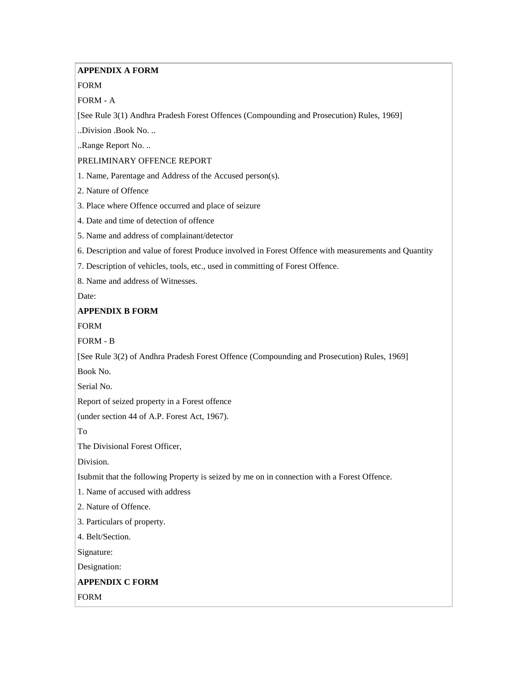# **APPENDIX A FORM**

# FORM

FORM - A

[See Rule 3(1) Andhra Pradesh Forest Offences (Compounding and Prosecution) Rules, 1969]

..Division .Book No. ..

..Range Report No. ..

# PRELIMINARY OFFENCE REPORT

1. Name, Parentage and Address of the Accused person(s).

2. Nature of Offence

3. Place where Offence occurred and place of seizure

- 4. Date and time of detection of offence
- 5. Name and address of complainant/detector

6. Description and value of forest Produce involved in Forest Offence with measurements and Quantity

7. Description of vehicles, tools, etc., used in committing of Forest Offence.

8. Name and address of Witnesses.

Date:

# **APPENDIX B FORM**

FORM

FORM - B

[See Rule 3(2) of Andhra Pradesh Forest Offence (Compounding and Prosecution) Rules, 1969]

Book No.

Serial No.

Report of seized property in a Forest offence

(under section 44 of A.P. Forest Act, 1967).

To

The Divisional Forest Officer,

Division.

Isubmit that the following Property is seized by me on in connection with a Forest Offence.

1. Name of accused with address

2. Nature of Offence.

3. Particulars of property.

4. Belt/Section.

Signature:

Designation:

# **APPENDIX C FORM**

FORM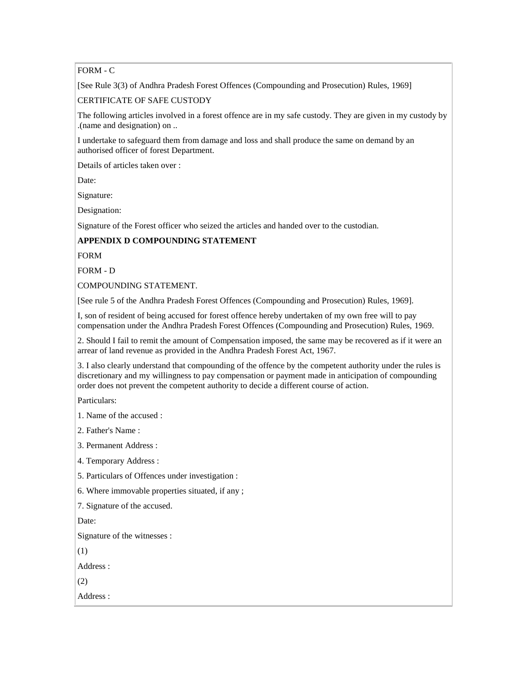# FORM - C

[See Rule 3(3) of Andhra Pradesh Forest Offences (Compounding and Prosecution) Rules, 1969]

CERTIFICATE OF SAFE CUSTODY

The following articles involved in a forest offence are in my safe custody. They are given in my custody by .(name and designation) on ..

I undertake to safeguard them from damage and loss and shall produce the same on demand by an authorised officer of forest Department.

Details of articles taken over :

Date:

Signature:

Designation:

Signature of the Forest officer who seized the articles and handed over to the custodian.

# **APPENDIX D COMPOUNDING STATEMENT**

FORM

FORM - D

COMPOUNDING STATEMENT.

[See rule 5 of the Andhra Pradesh Forest Offences (Compounding and Prosecution) Rules, 1969].

I, son of resident of being accused for forest offence hereby undertaken of my own free will to pay compensation under the Andhra Pradesh Forest Offences (Compounding and Prosecution) Rules, 1969.

2. Should I fail to remit the amount of Compensation imposed, the same may be recovered as if it were an arrear of land revenue as provided in the Andhra Pradesh Forest Act, 1967.

3. I also clearly understand that compounding of the offence by the competent authority under the rules is discretionary and my willingness to pay compensation or payment made in anticipation of compounding order does not prevent the competent authority to decide a different course of action.

Particulars:

1. Name of the accused :

2. Father's Name :

3. Permanent Address :

4. Temporary Address :

5. Particulars of Offences under investigation :

6. Where immovable properties situated, if any ;

7. Signature of the accused.

Date:

Signature of the witnesses :

(1)

Address :

(2)

Address :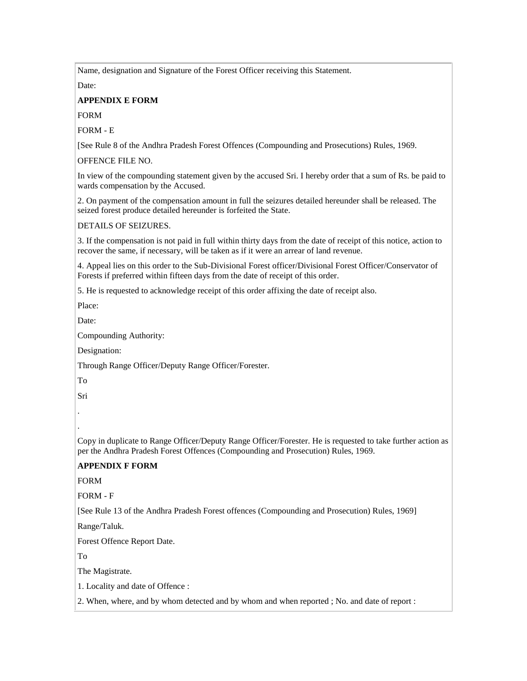Name, designation and Signature of the Forest Officer receiving this Statement.

Date:

### **APPENDIX E FORM**

FORM

FORM - E

[See Rule 8 of the Andhra Pradesh Forest Offences (Compounding and Prosecutions) Rules, 1969.

OFFENCE FILE NO.

In view of the compounding statement given by the accused Sri. I hereby order that a sum of Rs. be paid to wards compensation by the Accused.

2. On payment of the compensation amount in full the seizures detailed hereunder shall be released. The seized forest produce detailed hereunder is forfeited the State.

### DETAILS OF SEIZURES.

3. If the compensation is not paid in full within thirty days from the date of receipt of this notice, action to recover the same, if necessary, will be taken as if it were an arrear of land revenue.

4. Appeal lies on this order to the Sub-Divisional Forest officer/Divisional Forest Officer/Conservator of Forests if preferred within fifteen days from the date of receipt of this order.

5. He is requested to acknowledge receipt of this order affixing the date of receipt also.

Place:

Date:

Compounding Authority:

Designation:

Through Range Officer/Deputy Range Officer/Forester.

To

Sri

.

.

Copy in duplicate to Range Officer/Deputy Range Officer/Forester. He is requested to take further action as per the Andhra Pradesh Forest Offences (Compounding and Prosecution) Rules, 1969.

# **APPENDIX F FORM**

FORM

FORM - F

[See Rule 13 of the Andhra Pradesh Forest offences (Compounding and Prosecution) Rules, 1969]

Range/Taluk.

Forest Offence Report Date.

To

The Magistrate.

1. Locality and date of Offence :

2. When, where, and by whom detected and by whom and when reported ; No. and date of report :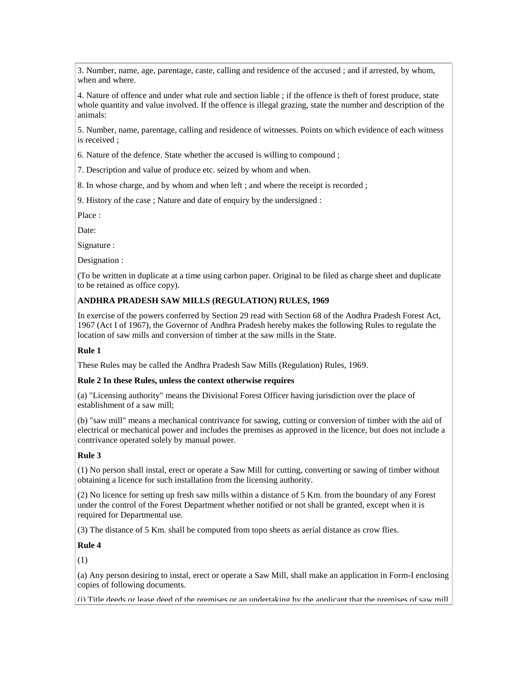3. Number, name, age, parentage, caste, calling and residence of the accused ; and if arrested, by whom, when and where.

4. Nature of offence and under what rule and section liable ; if the offence is theft of forest produce, state whole quantity and value involved. If the offence is illegal grazing, state the number and description of the animals:

5. Number, name, parentage, calling and residence of witnesses. Points on which evidence of each witness is received ;

6. Nature of the defence. State whether the accused is willing to compound ;

7. Description and value of produce etc. seized by whom and when.

8. In whose charge, and by whom and when left ; and where the receipt is recorded ;

9. History of the case ; Nature and date of enquiry by the undersigned :

Place :

Date:

Signature :

Designation :

(To be written in duplicate at a time using carbon paper. Original to be filed as charge sheet and duplicate to be retained as office copy).

### **ANDHRA PRADESH SAW MILLS (REGULATION) RULES, 1969**

In exercise of the powers conferred by Section 29 read with Section 68 of the Andhra Pradesh Forest Act, 1967 (Act I of 1967), the Governor of Andhra Pradesh hereby makes the following Rules to regulate the location of saw mills and conversion of timber at the saw mills in the State.

### **Rule 1**

These Rules may be called the Andhra Pradesh Saw Mills (Regulation) Rules, 1969.

#### **Rule 2 In these Rules, unless the context otherwise requires**

(a) "Licensing authority" means the Divisional Forest Officer having jurisdiction over the place of establishment of a saw mill;

(b) "saw mill" means a mechanical contrivance for sawing, cutting or conversion of timber with the aid of electrical or mechanical power and includes the premises as approved in the licence, but does not include a contrivance operated solely by manual power.

### **Rule 3**

(1) No person shall instal, erect or operate a Saw Mill for cutting, converting or sawing of timber without obtaining a licence for such installation from the licensing authority.

(2) No licence for setting up fresh saw mills within a distance of 5 Km. from the boundary of any Forest under the control of the Forest Department whether notified or not shall be granted, except when it is required for Departmental use.

(3) The distance of 5 Km. shall be computed from topo sheets as aerial distance as crow flies.

### **Rule 4**

(1)

(a) Any person desiring to instal, erect or operate a Saw Mill, shall make an application in Form-I enclosing copies of following documents.

(i) Title deeds or lease deed of the premises or an undertaking by the applicant that the premises of saw mill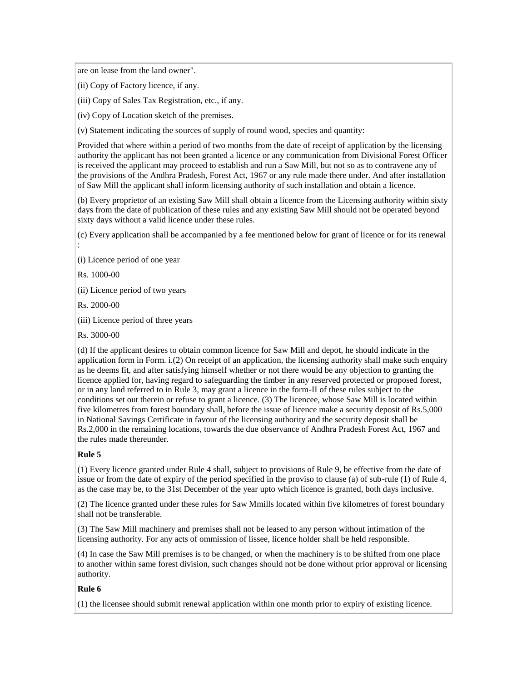are on lease from the land owner".

(ii) Copy of Factory licence, if any.

(iii) Copy of Sales Tax Registration, etc., if any.

(iv) Copy of Location sketch of the premises.

(v) Statement indicating the sources of supply of round wood, species and quantity:

Provided that where within a period of two months from the date of receipt of application by the licensing authority the applicant has not been granted a licence or any communication from Divisional Forest Officer is received the applicant may proceed to establish and run a Saw Mill, but not so as to contravene any of the provisions of the Andhra Pradesh, Forest Act, 1967 or any rule made there under. And after installation of Saw Mill the applicant shall inform licensing authority of such installation and obtain a licence.

(b) Every proprietor of an existing Saw Mill shall obtain a licence from the Licensing authority within sixty days from the date of publication of these rules and any existing Saw Mill should not be operated beyond sixty days without a valid licence under these rules.

(c) Every application shall be accompanied by a fee mentioned below for grant of licence or for its renewal

(i) Licence period of one year

Rs. 1000-00

:

(ii) Licence period of two years

Rs. 2000-00

(iii) Licence period of three years

Rs. 3000-00

(d) If the applicant desires to obtain common licence for Saw Mill and depot, he should indicate in the application form in Form. i.(2) On receipt of an application, the licensing authority shall make such enquiry as he deems fit, and after satisfying himself whether or not there would be any objection to granting the licence applied for, having regard to safeguarding the timber in any reserved protected or proposed forest, or in any land referred to in Rule 3, may grant a licence in the form-II of these rules subject to the conditions set out therein or refuse to grant a licence. (3) The licencee, whose Saw Mill is located within five kilometres from forest boundary shall, before the issue of licence make a security deposit of Rs.5,000 in National Savings Certificate in favour of the licensing authority and the security deposit shall be Rs.2,000 in the remaining locations, towards the due observance of Andhra Pradesh Forest Act, 1967 and the rules made thereunder.

## **Rule 5**

(1) Every licence granted under Rule 4 shall, subject to provisions of Rule 9, be effective from the date of issue or from the date of expiry of the period specified in the proviso to clause (a) of sub-rule (1) of Rule 4, as the case may be, to the 31st December of the year upto which licence is granted, both days inclusive.

(2) The licence granted under these rules for Saw Mmills located within five kilometres of forest boundary shall not be transferable.

(3) The Saw Mill machinery and premises shall not be leased to any person without intimation of the licensing authority. For any acts of ommission of lissee, licence holder shall be held responsible.

(4) In case the Saw Mill premises is to be changed, or when the machinery is to be shifted from one place to another within same forest division, such changes should not be done without prior approval or licensing authority.

## **Rule 6**

(1) the licensee should submit renewal application within one month prior to expiry of existing licence.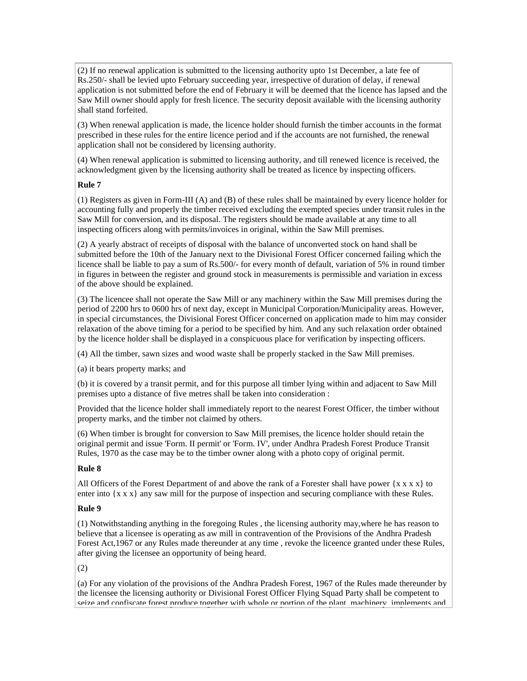(2) If no renewal application is submitted to the licensing authority upto 1st December, a late fee of Rs.250/- shall be levied upto February succeeding year, irrespective of duration of delay, if renewal application is not submitted before the end of February it will be deemed that the licence has lapsed and the Saw Mill owner should apply for fresh licence. The security deposit available with the licensing authority shall stand forfeited.

(3) When renewal application is made, the licence holder should furnish the timber accounts in the format prescribed in these rules for the entire licence period and if the accounts are not furnished, the renewal application shall not be considered by licensing authority.

(4) When renewal application is submitted to licensing authority, and till renewed licence is received, the acknowledgment given by the licensing authority shall be treated as licence by inspecting officers.

## **Rule 7**

(1) Registers as given in Form-III (A) and (B) of these rules shall be maintained by every licence holder for accounting fully and properly the timber received excluding the exempted species under transit rules in the Saw Mill for conversion, and its disposal. The registers should be made available at any time to all inspecting officers along with permits/invoices in original, within the Saw Mill premises.

(2) A yearly abstract of receipts of disposal with the balance of unconverted stock on hand shall be submitted before the 10th of the January next to the Divisional Forest Officer concerned failing which the licence shall be liable to pay a sum of Rs.500/- for every month of default, variation of 5% in round timber in figures in between the register and ground stock in measurements is permissible and variation in excess of the above should be explained.

(3) The licencee shall not operate the Saw Mill or any machinery within the Saw Mill premises during the period of 2200 hrs to 0600 hrs of next day, except in Municipal Corporation/Municipality areas. However, in special circumstances, the Divisional Forest Officer concerned on application made to him may consider relaxation of the above timing for a period to be specified by him. And any such relaxation order obtained by the licence holder shall be displayed in a conspicuous place for verification by inspecting officers.

(4) All the timber, sawn sizes and wood waste shall be properly stacked in the Saw Mill premises.

(a) it bears property marks; and

(b) it is covered by a transit permit, and for this purpose all timber lying within and adjacent to Saw Mill premises upto a distance of five metres shall be taken into consideration :

Provided that the licence holder shall immediately report to the nearest Forest Officer, the timber without property marks, and the timber not claimed by others.

(6) When timber is brought for conversion to Saw Mill premises, the licence holder should retain the original permit and issue 'Form. II permit' or 'Form. IV', under Andhra Pradesh Forest Produce Transit Rules, 1970 as the case may be to the timber owner along with a photo copy of original permit.

## **Rule 8**

All Officers of the Forest Department of and above the rank of a Forester shall have power  $\{x \times x\}$  to enter into  $\{x \times x\}$  any saw mill for the purpose of inspection and securing compliance with these Rules.

## **Rule 9**

(1) Notwithstanding anything in the foregoing Rules , the licensing authority may,where he has reason to believe that a licensee is operating as aw mill in contravention of the Provisions of the Andhra Pradesh Forest Act,1967 or any Rules made thereunder at any time , revoke the liceence granted under these Rules, after giving the licensee an opportunity of being heard.

(2)

(a) For any violation of the provisions of the Andhra Pradesh Forest, 1967 of the Rules made thereunder by the licensee the licensing authority or Divisional Forest Officer Flying Squad Party shall be competent to seize and confiscate forest produce together with whole or portion of the plant, machinery, implements and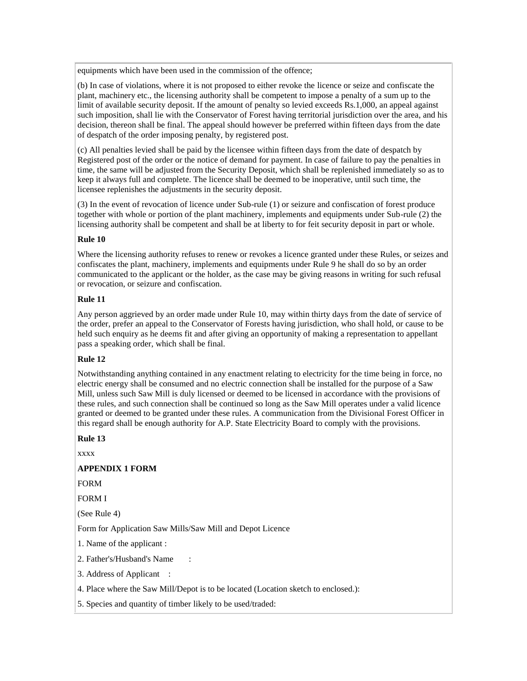equipments which have been used in the commission of the offence;

(b) In case of violations, where it is not proposed to either revoke the licence or seize and confiscate the plant, machinery etc., the licensing authority shall be competent to impose a penalty of a sum up to the limit of available security deposit. If the amount of penalty so levied exceeds Rs.1,000, an appeal against such imposition, shall lie with the Conservator of Forest having territorial jurisdiction over the area, and his decision, thereon shall be final. The appeal should however be preferred within fifteen days from the date of despatch of the order imposing penalty, by registered post.

(c) All penalties levied shall be paid by the licensee within fifteen days from the date of despatch by Registered post of the order or the notice of demand for payment. In case of failure to pay the penalties in time, the same will be adjusted from the Security Deposit, which shall be replenished immediately so as to keep it always full and complete. The licence shall be deemed to be inoperative, until such time, the licensee replenishes the adjustments in the security deposit.

(3) In the event of revocation of licence under Sub-rule (1) or seizure and confiscation of forest produce together with whole or portion of the plant machinery, implements and equipments under Sub-rule (2) the licensing authority shall be competent and shall be at liberty to for feit security deposit in part or whole.

# **Rule 10**

Where the licensing authority refuses to renew or revokes a licence granted under these Rules, or seizes and confiscates the plant, machinery, implements and equipments under Rule 9 he shall do so by an order communicated to the applicant or the holder, as the case may be giving reasons in writing for such refusal or revocation, or seizure and confiscation.

# **Rule 11**

Any person aggrieved by an order made under Rule 10, may within thirty days from the date of service of the order, prefer an appeal to the Conservator of Forests having jurisdiction, who shall hold, or cause to be held such enquiry as he deems fit and after giving an opportunity of making a representation to appellant pass a speaking order, which shall be final.

## **Rule 12**

Notwithstanding anything contained in any enactment relating to electricity for the time being in force, no electric energy shall be consumed and no electric connection shall be installed for the purpose of a Saw Mill, unless such Saw Mill is duly licensed or deemed to be licensed in accordance with the provisions of these rules, and such connection shall be continued so long as the Saw Mill operates under a valid licence granted or deemed to be granted under these rules. A communication from the Divisional Forest Officer in this regard shall be enough authority for A.P. State Electricity Board to comply with the provisions.

## **Rule 13**

xxxx

## **APPENDIX 1 FORM**

FORM

FORM I

(See Rule 4)

Form for Application Saw Mills/Saw Mill and Depot Licence

1. Name of the applicant :

2. Father's/Husband's Name :

3. Address of Applicant :

4. Place where the Saw Mill/Depot is to be located (Location sketch to enclosed.):

5. Species and quantity of timber likely to be used/traded: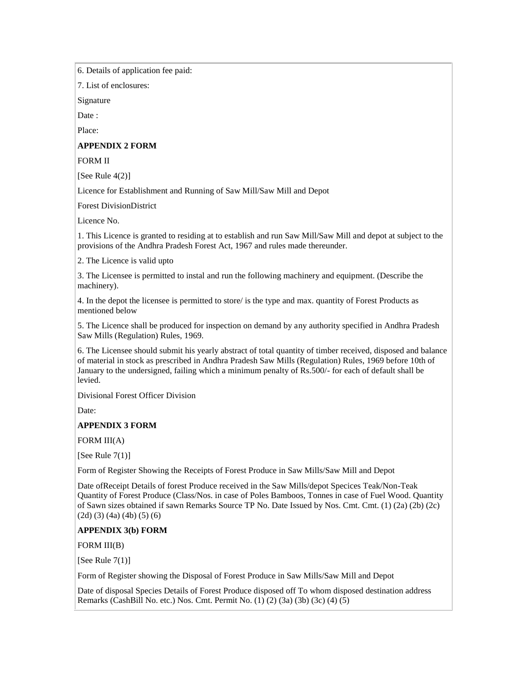6. Details of application fee paid:

7. List of enclosures:

Signature

Date :

Place:

### **APPENDIX 2 FORM**

FORM II

[See Rule  $4(2)$ ]

Licence for Establishment and Running of Saw Mill/Saw Mill and Depot

Forest DivisionDistrict

Licence No.

1. This Licence is granted to residing at to establish and run Saw Mill/Saw Mill and depot at subject to the provisions of the Andhra Pradesh Forest Act, 1967 and rules made thereunder.

2. The Licence is valid upto

3. The Licensee is permitted to instal and run the following machinery and equipment. (Describe the machinery).

4. In the depot the licensee is permitted to store/ is the type and max. quantity of Forest Products as mentioned below

5. The Licence shall be produced for inspection on demand by any authority specified in Andhra Pradesh Saw Mills (Regulation) Rules, 1969.

6. The Licensee should submit his yearly abstract of total quantity of timber received, disposed and balance of material in stock as prescribed in Andhra Pradesh Saw Mills (Regulation) Rules, 1969 before 10th of January to the undersigned, failing which a minimum penalty of Rs.500/- for each of default shall be levied.

Divisional Forest Officer Division

Date:

## **APPENDIX 3 FORM**

FORM III(A)

[See Rule  $7(1)$ ]

Form of Register Showing the Receipts of Forest Produce in Saw Mills/Saw Mill and Depot

Date ofReceipt Details of forest Produce received in the Saw Mills/depot Specices Teak/Non-Teak Quantity of Forest Produce (Class/Nos. in case of Poles Bamboos, Tonnes in case of Fuel Wood. Quantity of Sawn sizes obtained if sawn Remarks Source TP No. Date Issued by Nos. Cmt. Cmt. (1) (2a) (2b) (2c)  $(2d)$   $(3)$   $(4a)$   $(4b)$   $(5)$   $(6)$ 

## **APPENDIX 3(b) FORM**

FORM III(B)

[See Rule  $7(1)$ ]

Form of Register showing the Disposal of Forest Produce in Saw Mills/Saw Mill and Depot

Date of disposal Species Details of Forest Produce disposed off To whom disposed destination address Remarks (CashBill No. etc.) Nos. Cmt. Permit No. (1) (2) (3a) (3b) (3c) (4) (5)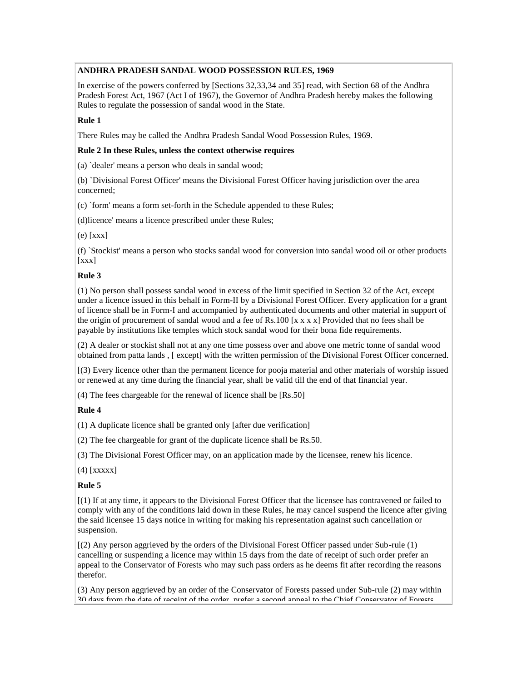# **ANDHRA PRADESH SANDAL WOOD POSSESSION RULES, 1969**

In exercise of the powers conferred by [Sections 32,33,34 and 35] read, with Section 68 of the Andhra Pradesh Forest Act, 1967 (Act I of 1967), the Governor of Andhra Pradesh hereby makes the following Rules to regulate the possession of sandal wood in the State.

## **Rule 1**

There Rules may be called the Andhra Pradesh Sandal Wood Possession Rules, 1969.

## **Rule 2 In these Rules, unless the context otherwise requires**

(a) `dealer' means a person who deals in sandal wood;

(b) `Divisional Forest Officer' means the Divisional Forest Officer having jurisdiction over the area concerned;

(c) `form' means a form set-forth in the Schedule appended to these Rules;

(d)licence' means a licence prescribed under these Rules;

(e) [xxx]

(f) `Stockist' means a person who stocks sandal wood for conversion into sandal wood oil or other products  $[xxx]$ 

# **Rule 3**

(1) No person shall possess sandal wood in excess of the limit specified in Section 32 of the Act, except under a licence issued in this behalf in Form-II by a Divisional Forest Officer. Every application for a grant of licence shall be in Form-I and accompanied by authenticated documents and other material in support of the origin of procurement of sandal wood and a fee of Rs.100  $[x x x x]$  Provided that no fees shall be payable by institutions like temples which stock sandal wood for their bona fide requirements.

(2) A dealer or stockist shall not at any one time possess over and above one metric tonne of sandal wood obtained from patta lands , [ except] with the written permission of the Divisional Forest Officer concerned.

[(3) Every licence other than the permanent licence for pooja material and other materials of worship issued or renewed at any time during the financial year, shall be valid till the end of that financial year.

(4) The fees chargeable for the renewal of licence shall be [Rs.50]

# **Rule 4**

(1) A duplicate licence shall be granted only [after due verification]

(2) The fee chargeable for grant of the duplicate licence shall be Rs.50.

(3) The Divisional Forest Officer may, on an application made by the licensee, renew his licence.

(4) [xxxxx]

## **Rule 5**

[(1) If at any time, it appears to the Divisional Forest Officer that the licensee has contravened or failed to comply with any of the conditions laid down in these Rules, he may cancel suspend the licence after giving the said licensee 15 days notice in writing for making his representation against such cancellation or suspension.

[(2) Any person aggrieved by the orders of the Divisional Forest Officer passed under Sub-rule (1) cancelling or suspending a licence may within 15 days from the date of receipt of such order prefer an appeal to the Conservator of Forests who may such pass orders as he deems fit after recording the reasons therefor.

(3) Any person aggrieved by an order of the Conservator of Forests passed under Sub-rule (2) may within 30 days from the date of receint of the order, prefer a second appeal to the Chief Conservator of Forests,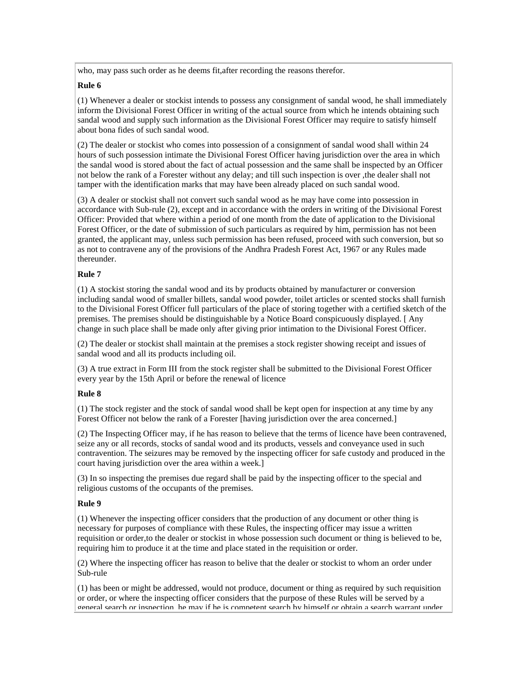who, may pass such order as he deems fit,after recording the reasons therefor.

# **Rule 6**

(1) Whenever a dealer or stockist intends to possess any consignment of sandal wood, he shall immediately inform the Divisional Forest Officer in writing of the actual source from which he intends obtaining such sandal wood and supply such information as the Divisional Forest Officer may require to satisfy himself about bona fides of such sandal wood.

(2) The dealer or stockist who comes into possession of a consignment of sandal wood shall within 24 hours of such possession intimate the Divisional Forest Officer having jurisdiction over the area in which the sandal wood is stored about the fact of actual possession and the same shall be inspected by an Officer not below the rank of a Forester without any delay; and till such inspection is over ,the dealer shall not tamper with the identification marks that may have been already placed on such sandal wood.

(3) A dealer or stockist shall not convert such sandal wood as he may have come into possession in accordance with Sub-rule (2), except and in accordance with the orders in writing of the Divisional Forest Officer: Provided that where within a period of one month from the date of application to the Divisional Forest Officer, or the date of submission of such particulars as required by him, permission has not been granted, the applicant may, unless such permission has been refused, proceed with such conversion, but so as not to contravene any of the provisions of the Andhra Pradesh Forest Act, 1967 or any Rules made thereunder.

# **Rule 7**

(1) A stockist storing the sandal wood and its by products obtained by manufacturer or conversion including sandal wood of smaller billets, sandal wood powder, toilet articles or scented stocks shall furnish to the Divisional Forest Officer full particulars of the place of storing together with a certified sketch of the premises. The premises should be distinguishable by a Notice Board conspicuously displayed. [ Any change in such place shall be made only after giving prior intimation to the Divisional Forest Officer.

(2) The dealer or stockist shall maintain at the premises a stock register showing receipt and issues of sandal wood and all its products including oil.

(3) A true extract in Form III from the stock register shall be submitted to the Divisional Forest Officer every year by the 15th April or before the renewal of licence

## **Rule 8**

(1) The stock register and the stock of sandal wood shall be kept open for inspection at any time by any Forest Officer not below the rank of a Forester [having jurisdiction over the area concerned.]

(2) The Inspecting Officer may, if he has reason to believe that the terms of licence have been contravened, seize any or all records, stocks of sandal wood and its products, vessels and conveyance used in such contravention. The seizures may be removed by the inspecting officer for safe custody and produced in the court having jurisdiction over the area within a week.]

(3) In so inspecting the premises due regard shall be paid by the inspecting officer to the special and religious customs of the occupants of the premises.

## **Rule 9**

(1) Whenever the inspecting officer considers that the production of any document or other thing is necessary for purposes of compliance with these Rules, the inspecting officer may issue a written requisition or order,to the dealer or stockist in whose possession such document or thing is believed to be, requiring him to produce it at the time and place stated in the requisition or order.

(2) Where the inspecting officer has reason to belive that the dealer or stockist to whom an order under Sub-rule

(1) has been or might be addressed, would not produce, document or thing as required by such requisition or order, or where the inspecting officer considers that the purpose of these Rules will be served by a general search or inspection, he may if he is competent search by himself or obtain a search warrant under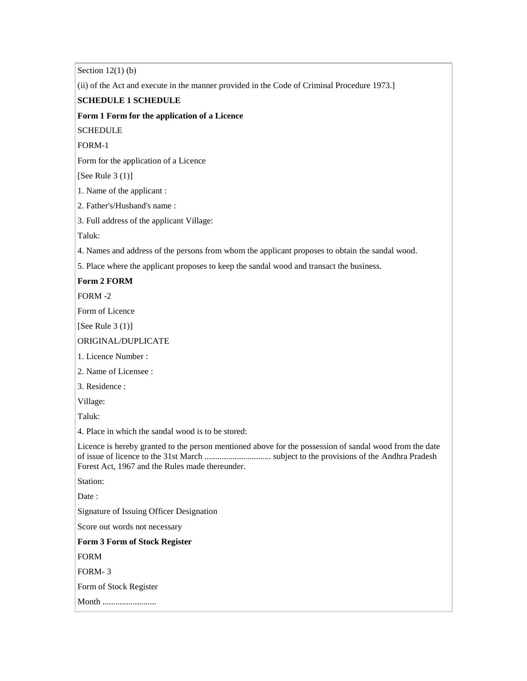Section  $12(1)$  (b)

(ii) of the Act and execute in the manner provided in the Code of Criminal Procedure 1973.]

# **SCHEDULE 1 SCHEDULE**

### **Form 1 Form for the application of a Licence**

**SCHEDULE** 

FORM-1

Form for the application of a Licence

[See Rule  $3(1)$ ]

1. Name of the applicant :

2. Father's/Husband's name :

3. Full address of the applicant Village:

Taluk:

4. Names and address of the persons from whom the applicant proposes to obtain the sandal wood.

5. Place where the applicant proposes to keep the sandal wood and transact the business.

# **Form 2 FORM**

FORM -2

Form of Licence

[See Rule 3 (1)]

### ORIGINAL/DUPLICATE

1. Licence Number :

2. Name of Licensee :

3. Residence :

Village:

Taluk:

4. Place in which the sandal wood is to be stored:

Licence is hereby granted to the person mentioned above for the possession of sandal wood from the date of issue of licence to the 31st March ............................... subject to the provisions of the Andhra Pradesh Forest Act, 1967 and the Rules made thereunder.

Station:

Date:

Signature of Issuing Officer Designation

Score out words not necessary

**Form 3 Form of Stock Register**

FORM

FORM- 3

Form of Stock Register

Month .........................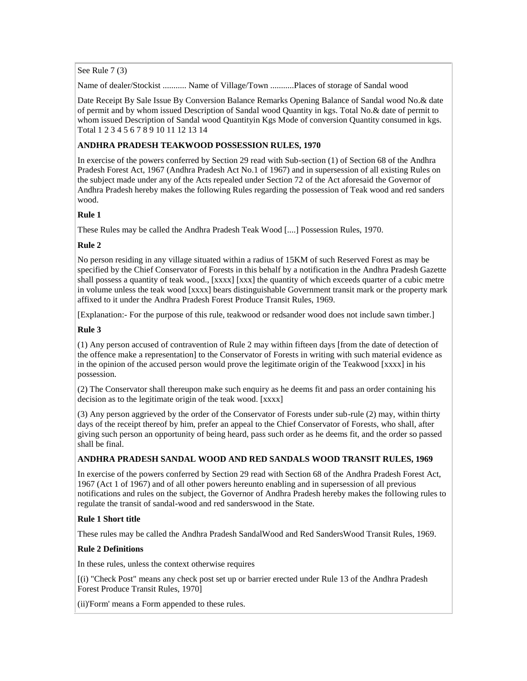See Rule 7 (3)

Name of dealer/Stockist ........... Name of Village/Town ...........Places of storage of Sandal wood

Date Receipt By Sale Issue By Conversion Balance Remarks Opening Balance of Sandal wood No.& date of permit and by whom issued Description of Sandal wood Quantity in kgs. Total No.& date of permit to whom issued Description of Sandal wood Quantityin Kgs Mode of conversion Quantity consumed in kgs. Total 1 2 3 4 5 6 7 8 9 10 11 12 13 14

## **ANDHRA PRADESH TEAKWOOD POSSESSION RULES, 1970**

In exercise of the powers conferred by Section 29 read with Sub-section (1) of Section 68 of the Andhra Pradesh Forest Act, 1967 (Andhra Pradesh Act No.1 of 1967) and in supersession of all existing Rules on the subject made under any of the Acts repealed under Section 72 of the Act aforesaid the Governor of Andhra Pradesh hereby makes the following Rules regarding the possession of Teak wood and red sanders wood.

# **Rule 1**

These Rules may be called the Andhra Pradesh Teak Wood [....] Possession Rules, 1970.

# **Rule 2**

No person residing in any village situated within a radius of 15KM of such Reserved Forest as may be specified by the Chief Conservator of Forests in this behalf by a notification in the Andhra Pradesh Gazette shall possess a quantity of teak wood., [xxxx] [xxx] the quantity of which exceeds quarter of a cubic metre in volume unless the teak wood [xxxx] bears distinguishable Government transit mark or the property mark affixed to it under the Andhra Pradesh Forest Produce Transit Rules, 1969.

[Explanation:- For the purpose of this rule, teakwood or redsander wood does not include sawn timber.]

## **Rule 3**

(1) Any person accused of contravention of Rule 2 may within fifteen days [from the date of detection of the offence make a representation] to the Conservator of Forests in writing with such material evidence as in the opinion of the accused person would prove the legitimate origin of the Teakwood [xxxx] in his possession.

(2) The Conservator shall thereupon make such enquiry as he deems fit and pass an order containing his decision as to the legitimate origin of the teak wood. [xxxx]

(3) Any person aggrieved by the order of the Conservator of Forests under sub-rule (2) may, within thirty days of the receipt thereof by him, prefer an appeal to the Chief Conservator of Forests, who shall, after giving such person an opportunity of being heard, pass such order as he deems fit, and the order so passed shall be final.

## **ANDHRA PRADESH SANDAL WOOD AND RED SANDALS WOOD TRANSIT RULES, 1969**

In exercise of the powers conferred by Section 29 read with Section 68 of the Andhra Pradesh Forest Act, 1967 (Act 1 of 1967) and of all other powers hereunto enabling and in supersession of all previous notifications and rules on the subject, the Governor of Andhra Pradesh hereby makes the following rules to regulate the transit of sandal-wood and red sanderswood in the State.

## **Rule 1 Short title**

These rules may be called the Andhra Pradesh SandalWood and Red SandersWood Transit Rules, 1969.

## **Rule 2 Definitions**

In these rules, unless the context otherwise requires

[(i) "Check Post" means any check post set up or barrier erected under Rule 13 of the Andhra Pradesh Forest Produce Transit Rules, 1970]

(ii)'Form' means a Form appended to these rules.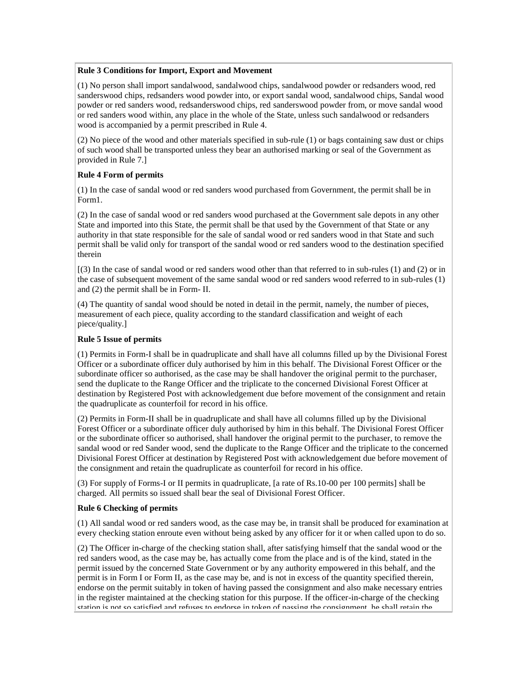## **Rule 3 Conditions for Import, Export and Movement**

(1) No person shall import sandalwood, sandalwood chips, sandalwood powder or redsanders wood, red sanderswood chips, redsanders wood powder into, or export sandal wood, sandalwood chips, Sandal wood powder or red sanders wood, redsanderswood chips, red sanderswood powder from, or move sandal wood or red sanders wood within, any place in the whole of the State, unless such sandalwood or redsanders wood is accompanied by a permit prescribed in Rule 4.

(2) No piece of the wood and other materials specified in sub-rule (1) or bags containing saw dust or chips of such wood shall be transported unless they bear an authorised marking or seal of the Government as provided in Rule 7.]

# **Rule 4 Form of permits**

(1) In the case of sandal wood or red sanders wood purchased from Government, the permit shall be in Form1.

(2) In the case of sandal wood or red sanders wood purchased at the Government sale depots in any other State and imported into this State, the permit shall be that used by the Government of that State or any authority in that state responsible for the sale of sandal wood or red sanders wood in that State and such permit shall be valid only for transport of the sandal wood or red sanders wood to the destination specified therein

[(3) In the case of sandal wood or red sanders wood other than that referred to in sub-rules (1) and (2) or in the case of subsequent movement of the same sandal wood or red sanders wood referred to in sub-rules (1) and (2) the permit shall be in Form- II.

(4) The quantity of sandal wood should be noted in detail in the permit, namely, the number of pieces, measurement of each piece, quality according to the standard classification and weight of each piece/quality.]

## **Rule 5 Issue of permits**

(1) Permits in Form-I shall be in quadruplicate and shall have all columns filled up by the Divisional Forest Officer or a subordinate officer duly authorised by him in this behalf. The Divisional Forest Officer or the subordinate officer so authorised, as the case may be shall handover the original permit to the purchaser, send the duplicate to the Range Officer and the triplicate to the concerned Divisional Forest Officer at destination by Registered Post with acknowledgement due before movement of the consignment and retain the quadruplicate as counterfoil for record in his office.

(2) Permits in Form-II shall be in quadruplicate and shall have all columns filled up by the Divisional Forest Officer or a subordinate officer duly authorised by him in this behalf. The Divisional Forest Officer or the subordinate officer so authorised, shall handover the original permit to the purchaser, to remove the sandal wood or red Sander wood, send the duplicate to the Range Officer and the triplicate to the concerned Divisional Forest Officer at destination by Registered Post with acknowledgement due before movement of the consignment and retain the quadruplicate as counterfoil for record in his office.

(3) For supply of Forms-I or II permits in quadruplicate, [a rate of Rs.10-00 per 100 permits] shall be charged. All permits so issued shall bear the seal of Divisional Forest Officer.

# **Rule 6 Checking of permits**

(1) All sandal wood or red sanders wood, as the case may be, in transit shall be produced for examination at every checking station enroute even without being asked by any officer for it or when called upon to do so.

(2) The Officer in-charge of the checking station shall, after satisfying himself that the sandal wood or the red sanders wood, as the case may be, has actually come from the place and is of the kind, stated in the permit issued by the concerned State Government or by any authority empowered in this behalf, and the permit is in Form I or Form II, as the case may be, and is not in excess of the quantity specified therein, endorse on the permit suitably in token of having passed the consignment and also make necessary entries in the register maintained at the checking station for this purpose. If the officer-in-charge of the checking station is not so satisfied and refuses to endorse in token of passing the consignment, he shall retain the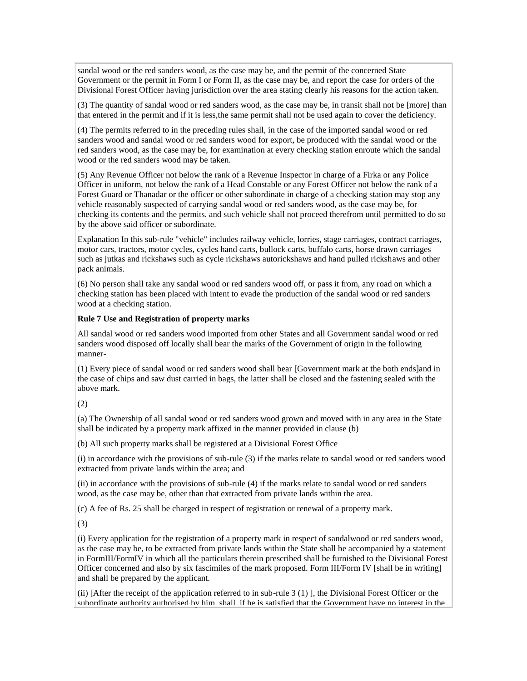sandal wood or the red sanders wood, as the case may be, and the permit of the concerned State Government or the permit in Form I or Form II, as the case may be, and report the case for orders of the Divisional Forest Officer having jurisdiction over the area stating clearly his reasons for the action taken.

(3) The quantity of sandal wood or red sanders wood, as the case may be, in transit shall not be [more] than that entered in the permit and if it is less,the same permit shall not be used again to cover the deficiency.

(4) The permits referred to in the preceding rules shall, in the case of the imported sandal wood or red sanders wood and sandal wood or red sanders wood for export, be produced with the sandal wood or the red sanders wood, as the case may be, for examination at every checking station enroute which the sandal wood or the red sanders wood may be taken.

(5) Any Revenue Officer not below the rank of a Revenue Inspector in charge of a Firka or any Police Officer in uniform, not below the rank of a Head Constable or any Forest Officer not below the rank of a Forest Guard or Thanadar or the officer or other subordinate in charge of a checking station may stop any vehicle reasonably suspected of carrying sandal wood or red sanders wood, as the case may be, for checking its contents and the permits. and such vehicle shall not proceed therefrom until permitted to do so by the above said officer or subordinate.

Explanation In this sub-rule "vehicle" includes railway vehicle, lorries, stage carriages, contract carriages, motor cars, tractors, motor cycles, cycles hand carts, bullock carts, buffalo carts, horse drawn carriages such as jutkas and rickshaws such as cycle rickshaws autorickshaws and hand pulled rickshaws and other pack animals.

(6) No person shall take any sandal wood or red sanders wood off, or pass it from, any road on which a checking station has been placed with intent to evade the production of the sandal wood or red sanders wood at a checking station.

### **Rule 7 Use and Registration of property marks**

All sandal wood or red sanders wood imported from other States and all Government sandal wood or red sanders wood disposed off locally shall bear the marks of the Government of origin in the following manner-

(1) Every piece of sandal wood or red sanders wood shall bear [Government mark at the both ends]and in the case of chips and saw dust carried in bags, the latter shall be closed and the fastening sealed with the above mark.

(2)

(a) The Ownership of all sandal wood or red sanders wood grown and moved with in any area in the State shall be indicated by a property mark affixed in the manner provided in clause (b)

(b) All such property marks shall be registered at a Divisional Forest Office

(i) in accordance with the provisions of sub-rule (3) if the marks relate to sandal wood or red sanders wood extracted from private lands within the area; and

(ii) in accordance with the provisions of sub-rule (4) if the marks relate to sandal wood or red sanders wood, as the case may be, other than that extracted from private lands within the area.

(c) A fee of Rs. 25 shall be charged in respect of registration or renewal of a property mark.

(3)

(i) Every application for the registration of a property mark in respect of sandalwood or red sanders wood, as the case may be, to be extracted from private lands within the State shall be accompanied by a statement in FormIII/FormIV in which all the particulars therein prescribed shall be furnished to the Divisional Forest Officer concerned and also by six fascimiles of the mark proposed. Form III/Form IV [shall be in writing] and shall be prepared by the applicant.

(ii) [After the receipt of the application referred to in sub-rule 3 (1) ], the Divisional Forest Officer or the subordinate authority authorised by him, shall, if he is satisfied that the Government have no interest in the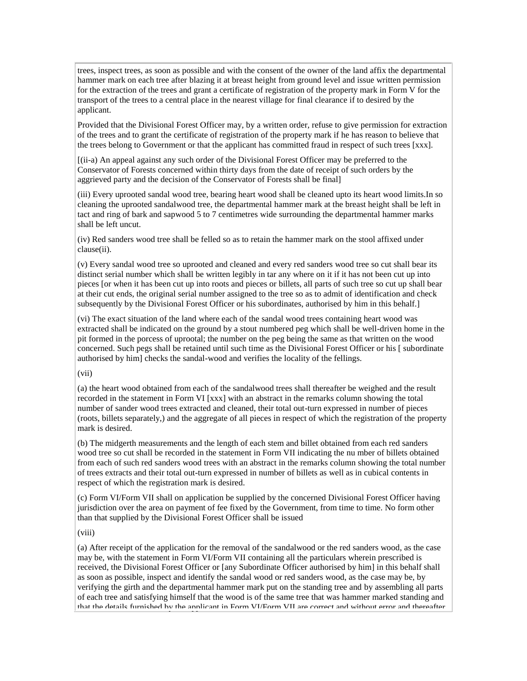trees, inspect trees, as soon as possible and with the consent of the owner of the land affix the departmental hammer mark on each tree after blazing it at breast height from ground level and issue written permission for the extraction of the trees and grant a certificate of registration of the property mark in Form V for the transport of the trees to a central place in the nearest village for final clearance if to desired by the applicant.

Provided that the Divisional Forest Officer may, by a written order, refuse to give permission for extraction of the trees and to grant the certificate of registration of the property mark if he has reason to believe that the trees belong to Government or that the applicant has committed fraud in respect of such trees [xxx].

[(ii-a) An appeal against any such order of the Divisional Forest Officer may be preferred to the Conservator of Forests concerned within thirty days from the date of receipt of such orders by the aggrieved party and the decision of the Conservator of Forests shall be final]

(iii) Every uprooted sandal wood tree, bearing heart wood shall be cleaned upto its heart wood limits.In so cleaning the uprooted sandalwood tree, the departmental hammer mark at the breast height shall be left in tact and ring of bark and sapwood 5 to 7 centimetres wide surrounding the departmental hammer marks shall be left uncut.

(iv) Red sanders wood tree shall be felled so as to retain the hammer mark on the stool affixed under clause(ii).

(v) Every sandal wood tree so uprooted and cleaned and every red sanders wood tree so cut shall bear its distinct serial number which shall be written legibly in tar any where on it if it has not been cut up into pieces [or when it has been cut up into roots and pieces or billets, all parts of such tree so cut up shall bear at their cut ends, the original serial number assigned to the tree so as to admit of identification and check subsequently by the Divisional Forest Officer or his subordinates, authorised by him in this behalf.]

(vi) The exact situation of the land where each of the sandal wood trees containing heart wood was extracted shall be indicated on the ground by a stout numbered peg which shall be well-driven home in the pit formed in the porcess of uprootal; the number on the peg being the same as that written on the wood concerned. Such pegs shall be retained until such time as the Divisional Forest Officer or his [ subordinate authorised by him] checks the sandal-wood and verifies the locality of the fellings.

### (vii)

(a) the heart wood obtained from each of the sandalwood trees shall thereafter be weighed and the result recorded in the statement in Form VI [xxx] with an abstract in the remarks column showing the total number of sander wood trees extracted and cleaned, their total out-turn expressed in number of pieces (roots, billets separately,) and the aggregate of all pieces in respect of which the registration of the property mark is desired.

(b) The midgerth measurements and the length of each stem and billet obtained from each red sanders wood tree so cut shall be recorded in the statement in Form VII indicating the nu mber of billets obtained from each of such red sanders wood trees with an abstract in the remarks column showing the total number of trees extracts and their total out-turn expressed in number of billets as well as in cubical contents in respect of which the registration mark is desired.

(c) Form VI/Form VII shall on application be supplied by the concerned Divisional Forest Officer having jurisdiction over the area on payment of fee fixed by the Government, from time to time. No form other than that supplied by the Divisional Forest Officer shall be issued

### (viii)

(a) After receipt of the application for the removal of the sandalwood or the red sanders wood, as the case may be, with the statement in Form VI/Form VII containing all the particulars wherein prescribed is received, the Divisional Forest Officer or [any Subordinate Officer authorised by him] in this behalf shall as soon as possible, inspect and identify the sandal wood or red sanders wood, as the case may be, by verifying the girth and the departmental hammer mark put on the standing tree and by assembling all parts of each tree and satisfying himself that the wood is of the same tree that was hammer marked standing and that the details furnished by the annlicant in Form VI/Form VII are correct and without error and thereafter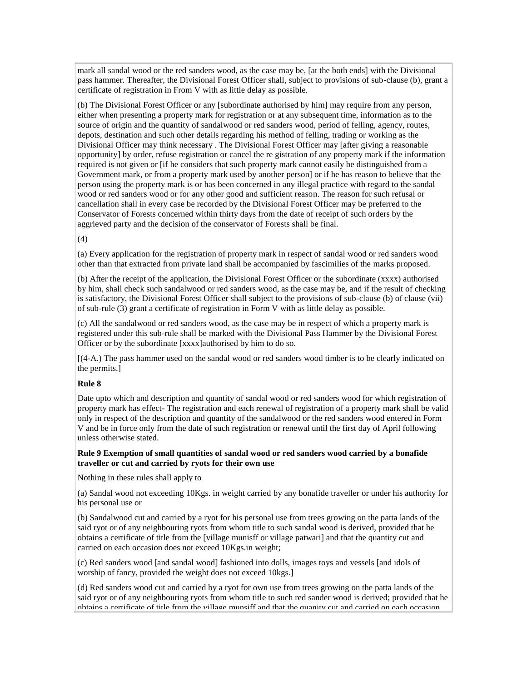mark all sandal wood or the red sanders wood, as the case may be, [at the both ends] with the Divisional pass hammer. Thereafter, the Divisional Forest Officer shall, subject to provisions of sub-clause (b), grant a certificate of registration in From V with as little delay as possible.

(b) The Divisional Forest Officer or any [subordinate authorised by him] may require from any person, either when presenting a property mark for registration or at any subsequent time, information as to the source of origin and the quantity of sandalwood or red sanders wood, period of felling, agency, routes, depots, destination and such other details regarding his method of felling, trading or working as the Divisional Officer may think necessary . The Divisional Forest Officer may [after giving a reasonable opportunity] by order, refuse registration or cancel the re gistration of any property mark if the information required is not given or [if he considers that such property mark cannot easily be distinguished from a Government mark, or from a property mark used by another person] or if he has reason to believe that the person using the property mark is or has been concerned in any illegal practice with regard to the sandal wood or red sanders wood or for any other good and sufficient reason. The reason for such refusal or cancellation shall in every case be recorded by the Divisional Forest Officer may be preferred to the Conservator of Forests concerned within thirty days from the date of receipt of such orders by the aggrieved party and the decision of the conservator of Forests shall be final.

(4)

(a) Every application for the registration of property mark in respect of sandal wood or red sanders wood other than that extracted from private land shall be accompanied by fascimilies of the marks proposed.

(b) After the receipt of the application, the Divisional Forest Officer or the subordinate (xxxx) authorised by him, shall check such sandalwood or red sanders wood, as the case may be, and if the result of checking is satisfactory, the Divisional Forest Officer shall subject to the provisions of sub-clause (b) of clause (vii) of sub-rule (3) grant a certificate of registration in Form V with as little delay as possible.

(c) All the sandalwood or red sanders wood, as the case may be in respect of which a property mark is registered under this sub-rule shall be marked with the Divisional Pass Hammer by the Divisional Forest Officer or by the subordinate [xxxx]authorised by him to do so.

[(4-A.) The pass hammer used on the sandal wood or red sanders wood timber is to be clearly indicated on the permits.]

## **Rule 8**

Date upto which and description and quantity of sandal wood or red sanders wood for which registration of property mark has effect- The registration and each renewal of registration of a property mark shall be valid only in respect of the description and quantity of the sandalwood or the red sanders wood entered in Form V and be in force only from the date of such registration or renewal until the first day of April following unless otherwise stated.

### **Rule 9 Exemption of small quantities of sandal wood or red sanders wood carried by a bonafide traveller or cut and carried by ryots for their own use**

Nothing in these rules shall apply to

(a) Sandal wood not exceeding 10Kgs. in weight carried by any bonafide traveller or under his authority for his personal use or

(b) Sandalwood cut and carried by a ryot for his personal use from trees growing on the patta lands of the said ryot or of any neighbouring ryots from whom title to such sandal wood is derived, provided that he obtains a certificate of title from the [village munisff or village patwari] and that the quantity cut and carried on each occasion does not exceed 10Kgs.in weight;

(c) Red sanders wood [and sandal wood] fashioned into dolls, images toys and vessels [and idols of worship of fancy, provided the weight does not exceed 10kgs.]

(d) Red sanders wood cut and carried by a ryot for own use from trees growing on the patta lands of the said ryot or of any neighbouring ryots from whom title to such red sander wood is derived; provided that he obtains a certificate of title from the village munsiff and that the quanity cut and carried on each occasion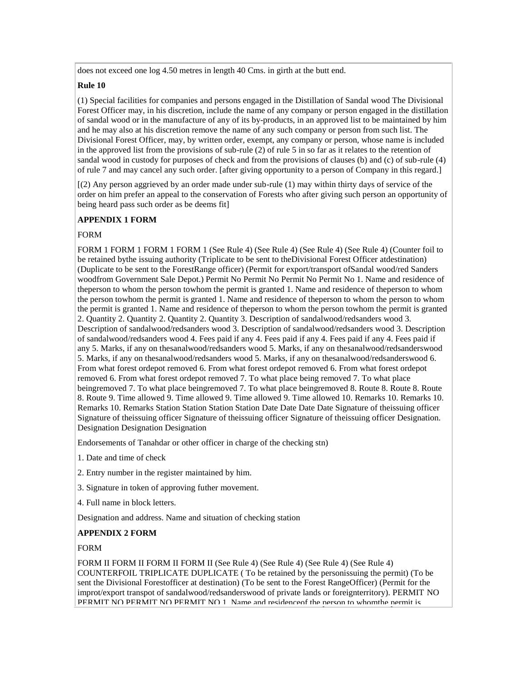does not exceed one log 4.50 metres in length 40 Cms. in girth at the butt end.

## **Rule 10**

(1) Special facilities for companies and persons engaged in the Distillation of Sandal wood The Divisional Forest Officer may, in his discretion, include the name of any company or person engaged in the distillation of sandal wood or in the manufacture of any of its by-products, in an approved list to be maintained by him and he may also at his discretion remove the name of any such company or person from such list. The Divisional Forest Officer, may, by written order, exempt, any company or person, whose name is included in the approved list from the provisions of sub-rule (2) of rule 5 in so far as it relates to the retention of sandal wood in custody for purposes of check and from the provisions of clauses (b) and (c) of sub-rule (4) of rule 7 and may cancel any such order. [after giving opportunity to a person of Company in this regard.]

[(2) Any person aggrieved by an order made under sub-rule (1) may within thirty days of service of the order on him prefer an appeal to the conservation of Forests who after giving such person an opportunity of being heard pass such order as be deems fit]

# **APPENDIX 1 FORM**

# FORM

FORM 1 FORM 1 FORM 1 FORM 1 (See Rule 4) (See Rule 4) (See Rule 4) (See Rule 4) (Counter foil to be retained bythe issuing authority (Triplicate to be sent to theDivisional Forest Officer atdestination) (Duplicate to be sent to the ForestRange officer) (Permit for export/transport ofSandal wood/red Sanders woodfrom Government Sale Depot.) Permit No Permit No Permit No Permit No 1. Name and residence of theperson to whom the person towhom the permit is granted 1. Name and residence of theperson to whom the person towhom the permit is granted 1. Name and residence of theperson to whom the person to whom the permit is granted 1. Name and residence of theperson to whom the person towhom the permit is granted 2. Quantity 2. Quantity 2. Quantity 2. Quantity 3. Description of sandalwood/redsanders wood 3. Description of sandalwood/redsanders wood 3. Description of sandalwood/redsanders wood 3. Description of sandalwood/redsanders wood 4. Fees paid if any 4. Fees paid if any 4. Fees paid if any 4. Fees paid if any 5. Marks, if any on thesanalwood/redsanders wood 5. Marks, if any on thesanalwood/redsanderswood 5. Marks, if any on thesanalwood/redsanders wood 5. Marks, if any on thesanalwood/redsanderswood 6. From what forest ordepot removed 6. From what forest ordepot removed 6. From what forest ordepot removed 6. From what forest ordepot removed 7. To what place being removed 7. To what place beingremoved 7. To what place beingremoved 7. To what place beingremoved 8. Route 8. Route 8. Route 8. Route 9. Time allowed 9. Time allowed 9. Time allowed 9. Time allowed 10. Remarks 10. Remarks 10. Remarks 10. Remarks Station Station Station Station Date Date Date Date Signature of theissuing officer Signature of theissuing officer Signature of theissuing officer Signature of theissuing officer Designation. Designation Designation Designation

Endorsements of Tanahdar or other officer in charge of the checking stn)

- 1. Date and time of check
- 2. Entry number in the register maintained by him.
- 3. Signature in token of approving futher movement.
- 4. Full name in block letters.

Designation and address. Name and situation of checking station

## **APPENDIX 2 FORM**

## FORM

FORM II FORM II FORM II FORM II (See Rule 4) (See Rule 4) (See Rule 4) (See Rule 4) COUNTERFOIL TRIPLICATE DUPLICATE ( To be retained by the personissuing the permit) (To be sent the Divisional Forestofficer at destination) (To be sent to the Forest RangeOfficer) (Permit for the improt/export transpot of sandalwood/redsanderswood of private lands or foreignterritory). PERMIT NO PERMIT NO PERMIT NO PERMIT NO 1. Name and residence of the person to whom the permit is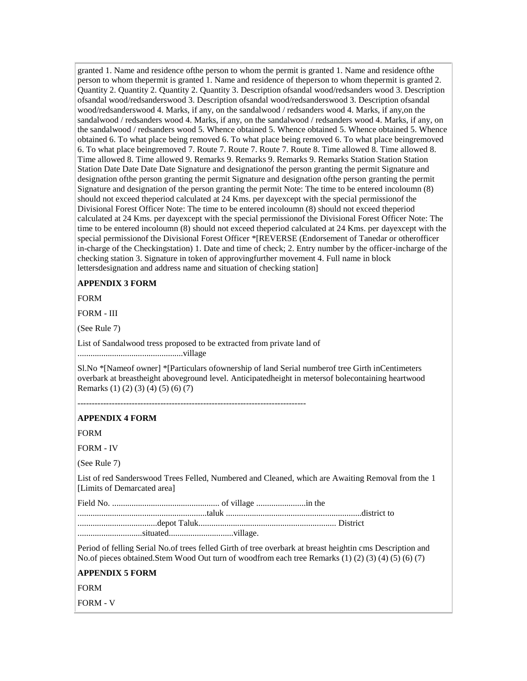granted 1. Name and residence ofthe person to whom the permit is granted 1. Name and residence ofthe person to whom thepermit is granted 1. Name and residence of theperson to whom thepermit is granted 2. Quantity 2. Quantity 2. Quantity 2. Quantity 3. Description ofsandal wood/redsanders wood 3. Description ofsandal wood/redsanderswood 3. Description ofsandal wood/redsanderswood 3. Description ofsandal wood/redsanderswood 4. Marks, if any, on the sandalwood / redsanders wood 4. Marks, if any,on the sandalwood / redsanders wood 4. Marks, if any, on the sandalwood / redsanders wood 4. Marks, if any, on the sandalwood / redsanders wood 5. Whence obtained 5. Whence obtained 5. Whence obtained 5. Whence obtained 6. To what place being removed 6. To what place being removed 6. To what place beingremoved 6. To what place beingremoved 7. Route 7. Route 7. Route 7. Route 8. Time allowed 8. Time allowed 8. Time allowed 8. Time allowed 9. Remarks 9. Remarks 9. Remarks 9. Remarks Station Station Station Station Date Date Date Date Signature and designationof the person granting the permit Signature and designation ofthe person granting the permit Signature and designation ofthe person granting the permit Signature and designation of the person granting the permit Note: The time to be entered incoloumn (8) should not exceed theperiod calculated at 24 Kms. per dayexcept with the special permissionof the Divisional Forest Officer Note: The time to be entered incoloumn (8) should not exceed theperiod calculated at 24 Kms. per dayexcept with the special permissionof the Divisional Forest Officer Note: The time to be entered incoloumn (8) should not exceed theperiod calculated at 24 Kms. per dayexcept with the special permissionof the Divisional Forest Officer \*[REVERSE (Endorsement of Tanedar or otherofficer in-charge of the Checkingstation) 1. Date and time of check; 2. Entry number by the officer-incharge of the checking station 3. Signature in token of approvingfurther movement 4. Full name in block lettersdesignation and address name and situation of checking station]

# **APPENDIX 3 FORM**

FORM

FORM - III

(See Rule 7)

List of Sandalwood tress proposed to be extracted from private land of .................................................village

Sl.No \*[Nameof owner] \*[Particulars ofownership of land Serial numberof tree Girth inCentimeters overbark at breastheight aboveground level. Anticipatedheight in metersof bolecontaining heartwood Remarks (1) (2) (3) (4) (5) (6) (7)

--------------------------------------------------------------------------------

#### **APPENDIX 4 FORM**

FORM

FORM - IV

(See Rule 7)

List of red Sanderswood Trees Felled, Numbered and Cleaned, which are Awaiting Removal from the 1 [Limits of Demarcated area]

Field No. .................................................. of village .......................in the

............................................................taluk ...............................................................district to .....................................depot Taluk................................................................ District

..............................situated..............................village.

Period of felling Serial No.of trees felled Girth of tree overbark at breast heightin cms Description and No.of pieces obtained.Stem Wood Out turn of woodfrom each tree Remarks (1) (2) (3) (4) (5) (6) (7)

#### **APPENDIX 5 FORM**

FORM

FORM - V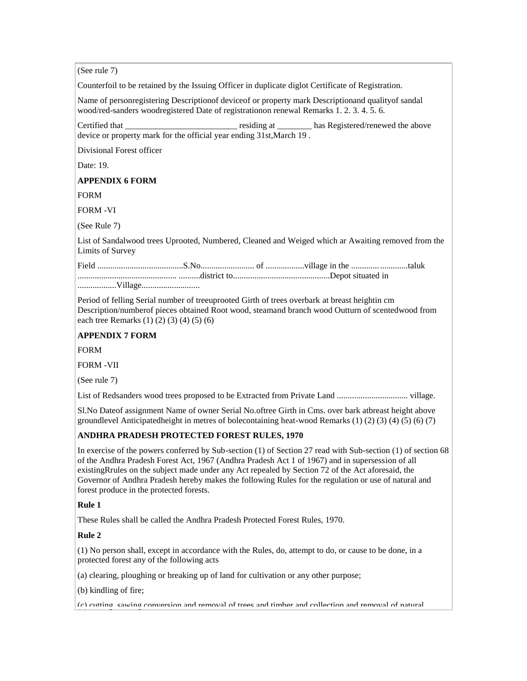(See rule 7)

Counterfoil to be retained by the Issuing Officer in duplicate diglot Certificate of Registration.

Name of personregistering Descriptionof deviceof or property mark Descriptionand qualityof sandal wood/red-sanders woodregistered Date of registrationon renewal Remarks 1. 2. 3. 4. 5. 6.

Certified that \_\_\_\_\_\_\_\_\_\_\_\_\_\_\_\_\_\_\_\_\_\_\_\_\_\_ residing at \_\_\_\_\_\_\_\_ has Registered/renewed the above device or property mark for the official year ending 31st,March 19 .

Divisional Forest officer

Date: 19.

# **APPENDIX 6 FORM**

FORM

FORM -VI

(See Rule 7)

List of Sandalwood trees Uprooted, Numbered, Cleaned and Weiged which ar Awaiting removed from the Limits of Survey

| <b>****</b> |  |  |
|-------------|--|--|

..................Village...........................

Period of felling Serial number of treeuprooted Girth of trees overbark at breast heightin cm Description/numberof pieces obtained Root wood, steamand branch wood Outturn of scentedwood from each tree Remarks (1) (2) (3) (4) (5) (6)

# **APPENDIX 7 FORM**

FORM

FORM -VII

(See rule 7)

List of Redsanders wood trees proposed to be Extracted from Private Land ................................. village.

Sl.No Dateof assignment Name of owner Serial No.oftree Girth in Cms. over bark atbreast height above groundlevel Anticipatedheight in metres of bolecontaining heat-wood Remarks (1) (2) (3) (4) (5) (6) (7)

# **ANDHRA PRADESH PROTECTED FOREST RULES, 1970**

In exercise of the powers conferred by Sub-section (1) of Section 27 read with Sub-section (1) of section 68 of the Andhra Pradesh Forest Act, 1967 (Andhra Pradesh Act 1 of 1967) and in supersession of all existingRrules on the subject made under any Act repealed by Section 72 of the Act aforesaid, the Governor of Andhra Pradesh hereby makes the following Rules for the regulation or use of natural and forest produce in the protected forests.

# **Rule 1**

These Rules shall be called the Andhra Pradesh Protected Forest Rules, 1970.

# **Rule 2**

(1) No person shall, except in accordance with the Rules, do, attempt to do, or cause to be done, in a protected forest any of the following acts

(a) clearing, ploughing or breaking up of land for cultivation or any other purpose;

(b) kindling of fire;

(c) cutting, sawing conversion and removal of trees and timber and collection and removal of natural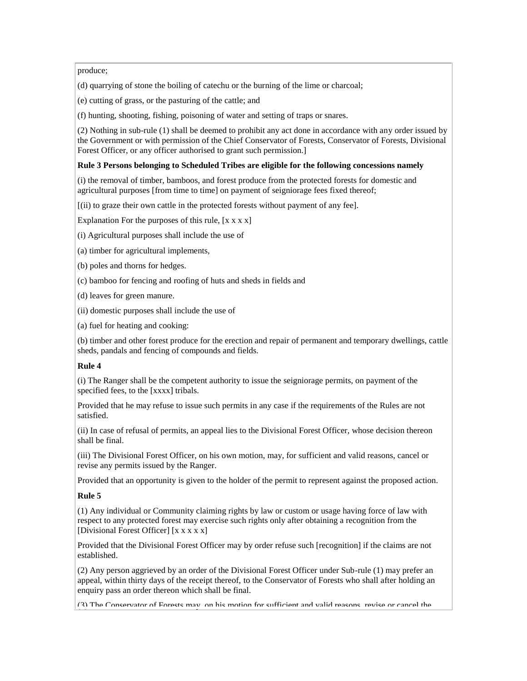#### produce;

(d) quarrying of stone the boiling of catechu or the burning of the lime or charcoal;

(e) cutting of grass, or the pasturing of the cattle; and

(f) hunting, shooting, fishing, poisoning of water and setting of traps or snares.

(2) Nothing in sub-rule (1) shall be deemed to prohibit any act done in accordance with any order issued by the Government or with permission of the Chief Conservator of Forests, Conservator of Forests, Divisional Forest Officer, or any officer authorised to grant such permission.

#### **Rule 3 Persons belonging to Scheduled Tribes are eligible for the following concessions namely**

(i) the removal of timber, bamboos, and forest produce from the protected forests for domestic and agricultural purposes [from time to time] on payment of seigniorage fees fixed thereof;

[(ii) to graze their own cattle in the protected forests without payment of any fee].

Explanation For the purposes of this rule,  $[x x x x]$ 

(i) Agricultural purposes shall include the use of

(a) timber for agricultural implements,

(b) poles and thorns for hedges.

(c) bamboo for fencing and roofing of huts and sheds in fields and

(d) leaves for green manure.

(ii) domestic purposes shall include the use of

(a) fuel for heating and cooking:

(b) timber and other forest produce for the erection and repair of permanent and temporary dwellings, cattle sheds, pandals and fencing of compounds and fields.

# **Rule 4**

(i) The Ranger shall be the competent authority to issue the seigniorage permits, on payment of the specified fees, to the [xxxx] tribals.

Provided that he may refuse to issue such permits in any case if the requirements of the Rules are not satisfied.

(ii) In case of refusal of permits, an appeal lies to the Divisional Forest Officer, whose decision thereon shall be final.

(iii) The Divisional Forest Officer, on his own motion, may, for sufficient and valid reasons, cancel or revise any permits issued by the Ranger.

Provided that an opportunity is given to the holder of the permit to represent against the proposed action.

# **Rule 5**

(1) Any individual or Community claiming rights by law or custom or usage having force of law with respect to any protected forest may exercise such rights only after obtaining a recognition from the [Divisional Forest Officer] [x x x x x]

Provided that the Divisional Forest Officer may by order refuse such [recognition] if the claims are not established.

(2) Any person aggrieved by an order of the Divisional Forest Officer under Sub-rule (1) may prefer an appeal, within thirty days of the receipt thereof, to the Conservator of Forests who shall after holding an enquiry pass an order thereon which shall be final.

(3) The Conservator of Forests may, on his motion for sufficient and valid reasons, revise or cancel the